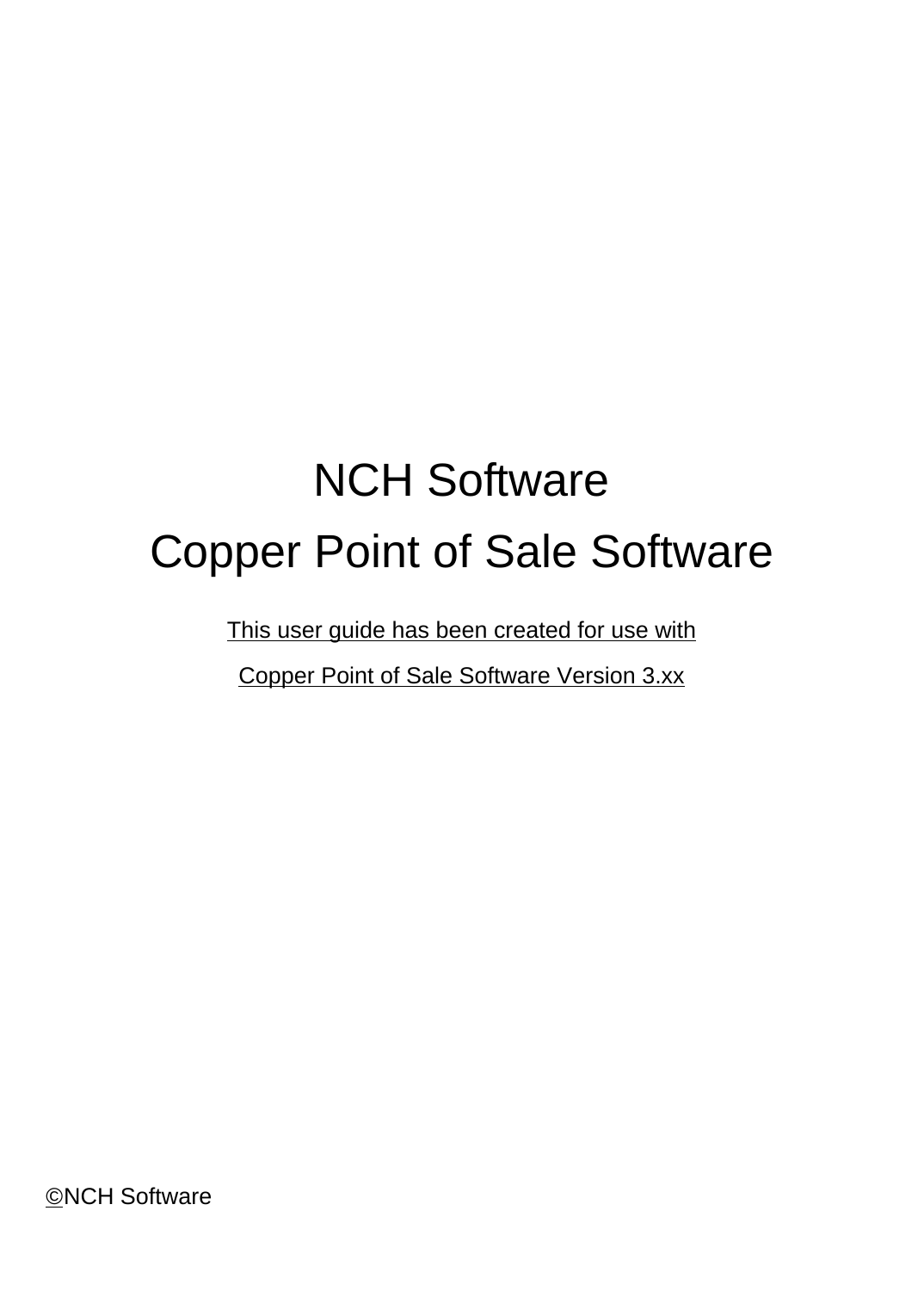# NCH Software Copper Point of Sale Software

This user guide has been created for use with

Copper Point of Sale Software Version 3.xx

©NCH Software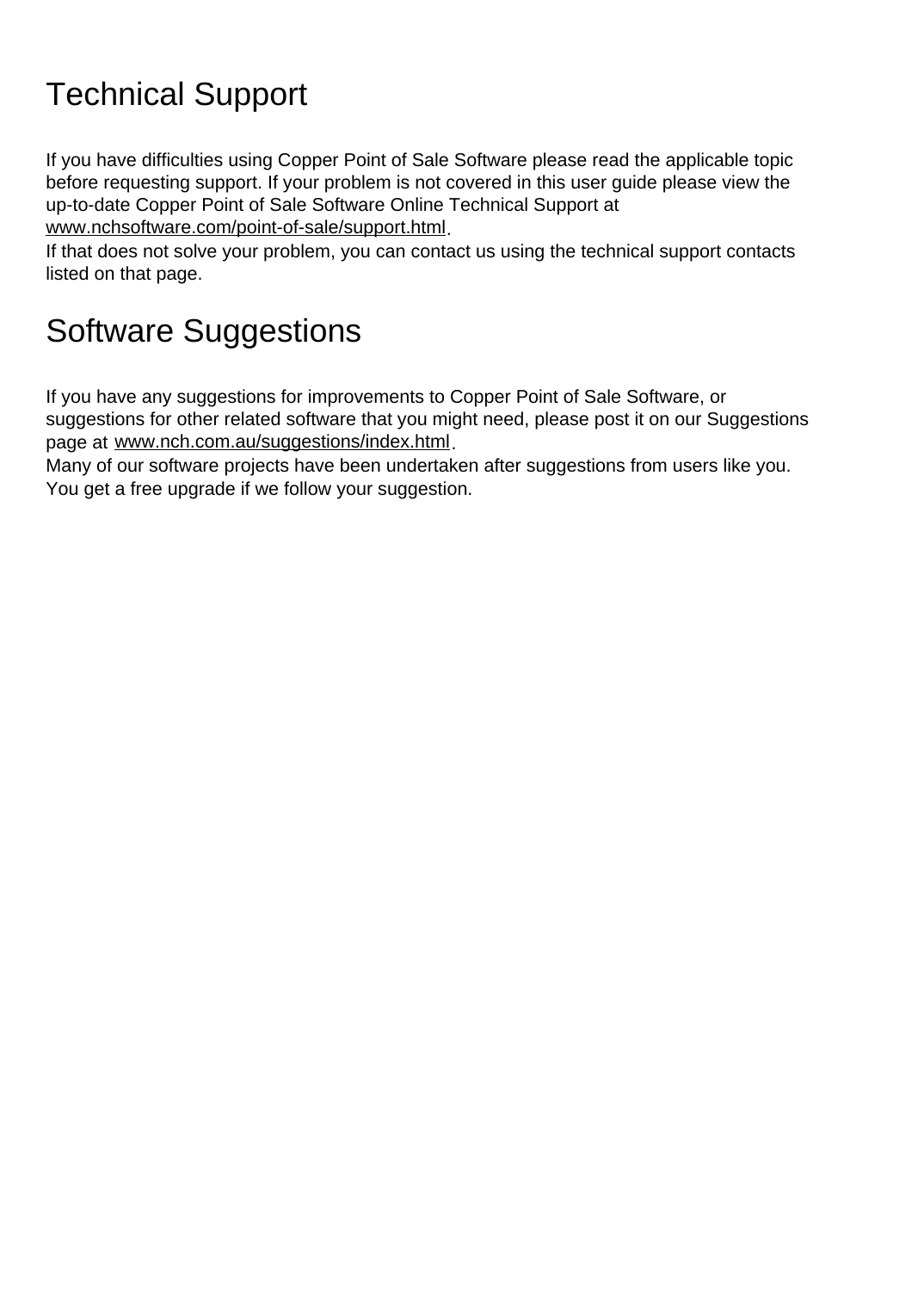# Technical Support

If you have difficulties using Copper Point of Sale Software please read the applicable topic before requesting support. If your problem is not covered in this user guide please view the up-to-date Copper Point of Sale Software Online Technical Support at <www.nchsoftware.com/point-of-sale/support.html>.

If that does not solve your problem, you can contact us using the technical support contacts listed on that page.

# Software Suggestions

If you have any suggestions for improvements to Copper Point of Sale Software, or suggestions for other related software that you might need, please post it on our Suggestions page at <www.nch.com.au/suggestions/index.html>.

Many of our software projects have been undertaken after suggestions from users like you. You get a free upgrade if we follow your suggestion.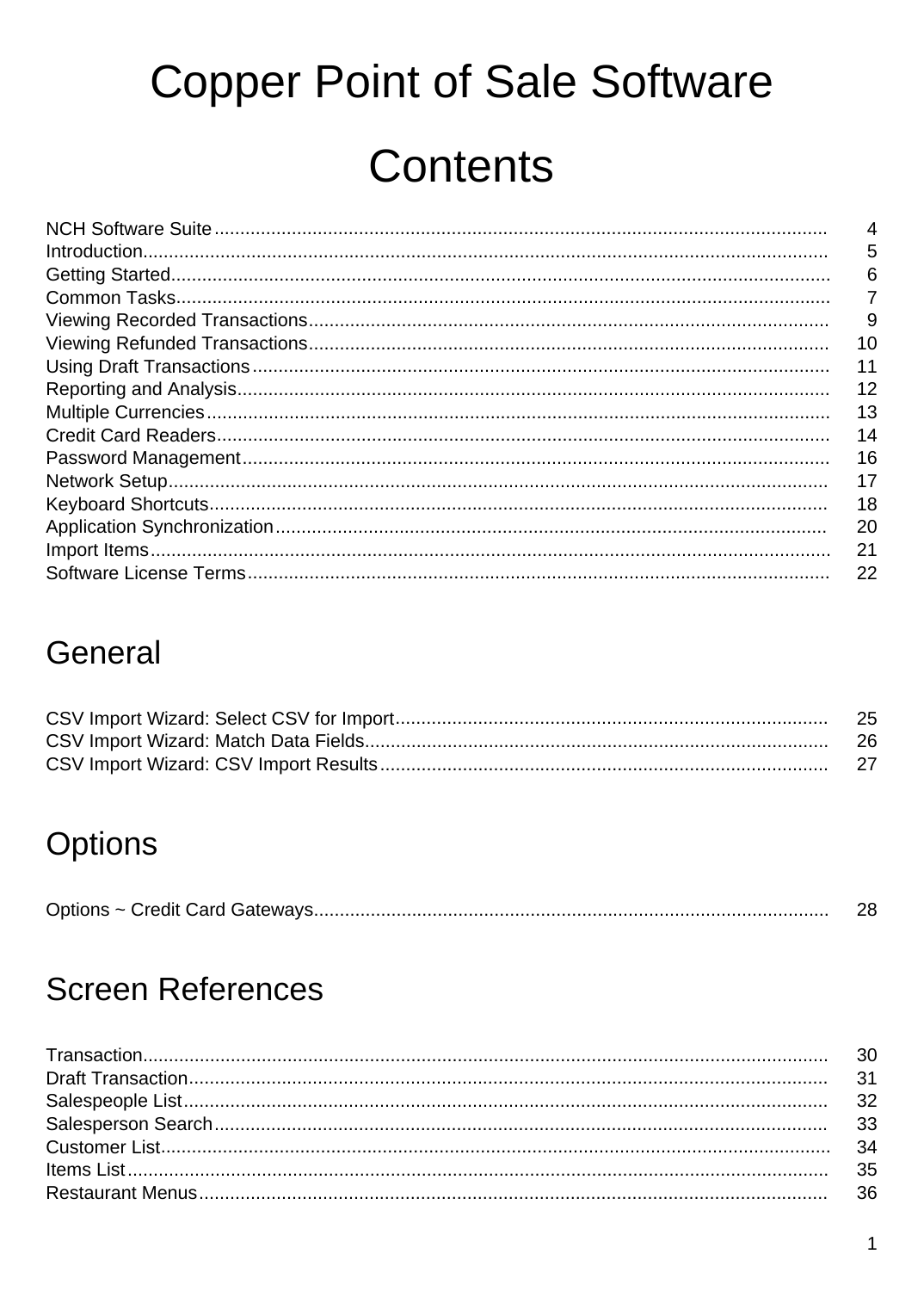# **Copper Point of Sale Software Contents**

|                                                                                                            | 4  |
|------------------------------------------------------------------------------------------------------------|----|
| $\label{prop:1} \begin{minipage}[c]{0.9\linewidth} \textbf{Introduction}.\textbf{________} \end{minipage}$ | 5  |
|                                                                                                            | 6  |
|                                                                                                            | 7  |
|                                                                                                            | 9  |
|                                                                                                            | 10 |
|                                                                                                            | 11 |
|                                                                                                            | 12 |
|                                                                                                            | 13 |
|                                                                                                            | 14 |
|                                                                                                            | 16 |
|                                                                                                            | 17 |
|                                                                                                            | 18 |
|                                                                                                            | 20 |
|                                                                                                            | 21 |
|                                                                                                            | 22 |
|                                                                                                            |    |

### General

| -25 |
|-----|
|     |
|     |

### Options

|--|--|

### **Screen References**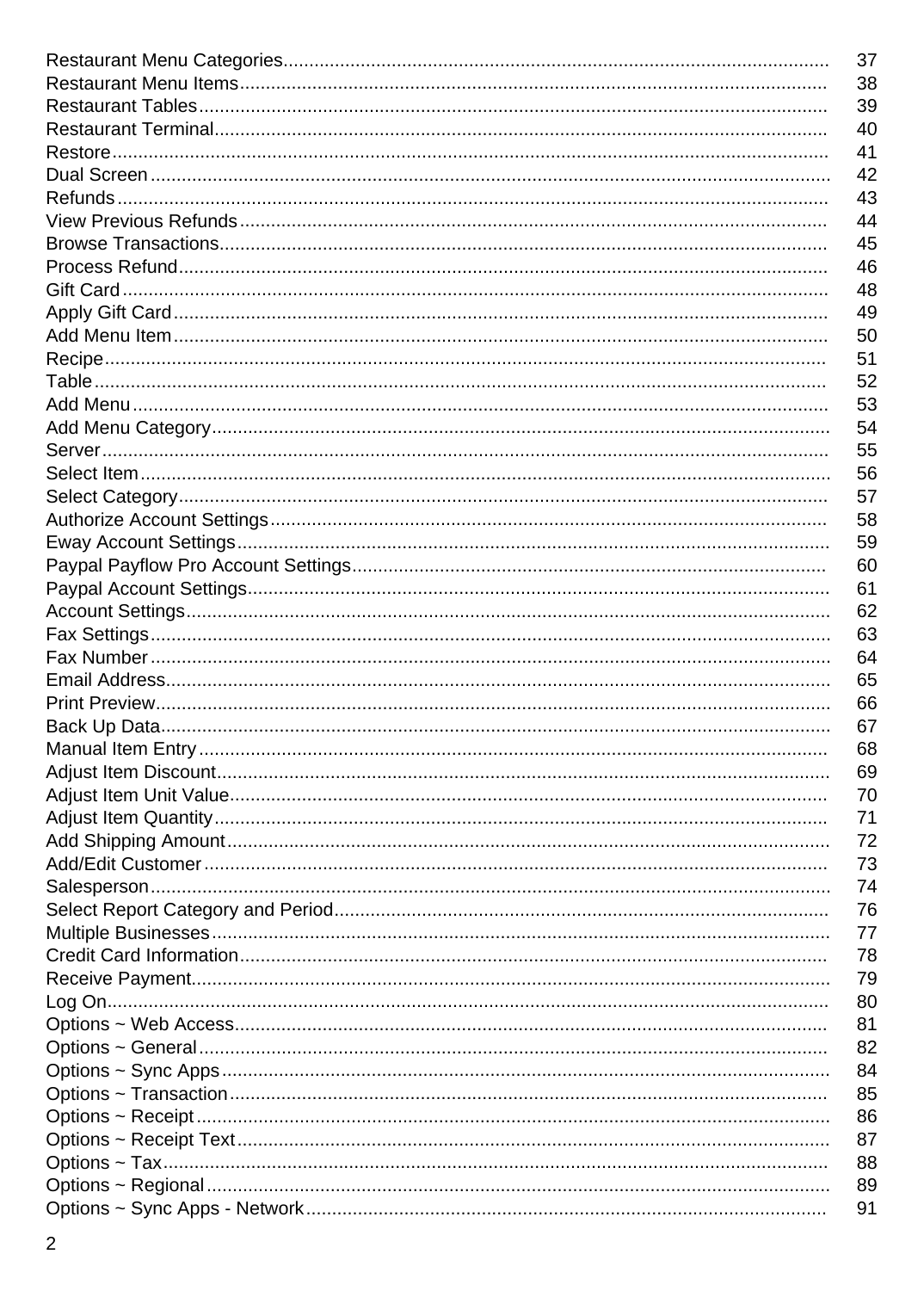| 37 |
|----|
| 38 |
| 39 |
| 40 |
| 41 |
| 42 |
| 43 |
| 44 |
| 45 |
| 46 |
| 48 |
| 49 |
| 50 |
| 51 |
| 52 |
|    |
| 53 |
| 54 |
| 55 |
| 56 |
| 57 |
| 58 |
| 59 |
| 60 |
| 61 |
| 62 |
| 63 |
| 64 |
| 65 |
| 66 |
| 67 |
| 68 |
| 69 |
| 70 |
| 71 |
| 72 |
| 73 |
| 74 |
|    |
| 76 |
| 77 |
| 78 |
| 79 |
| 80 |
| 81 |
| 82 |
| 84 |
| 85 |
| 86 |
| 87 |
| 88 |
| 89 |
| 91 |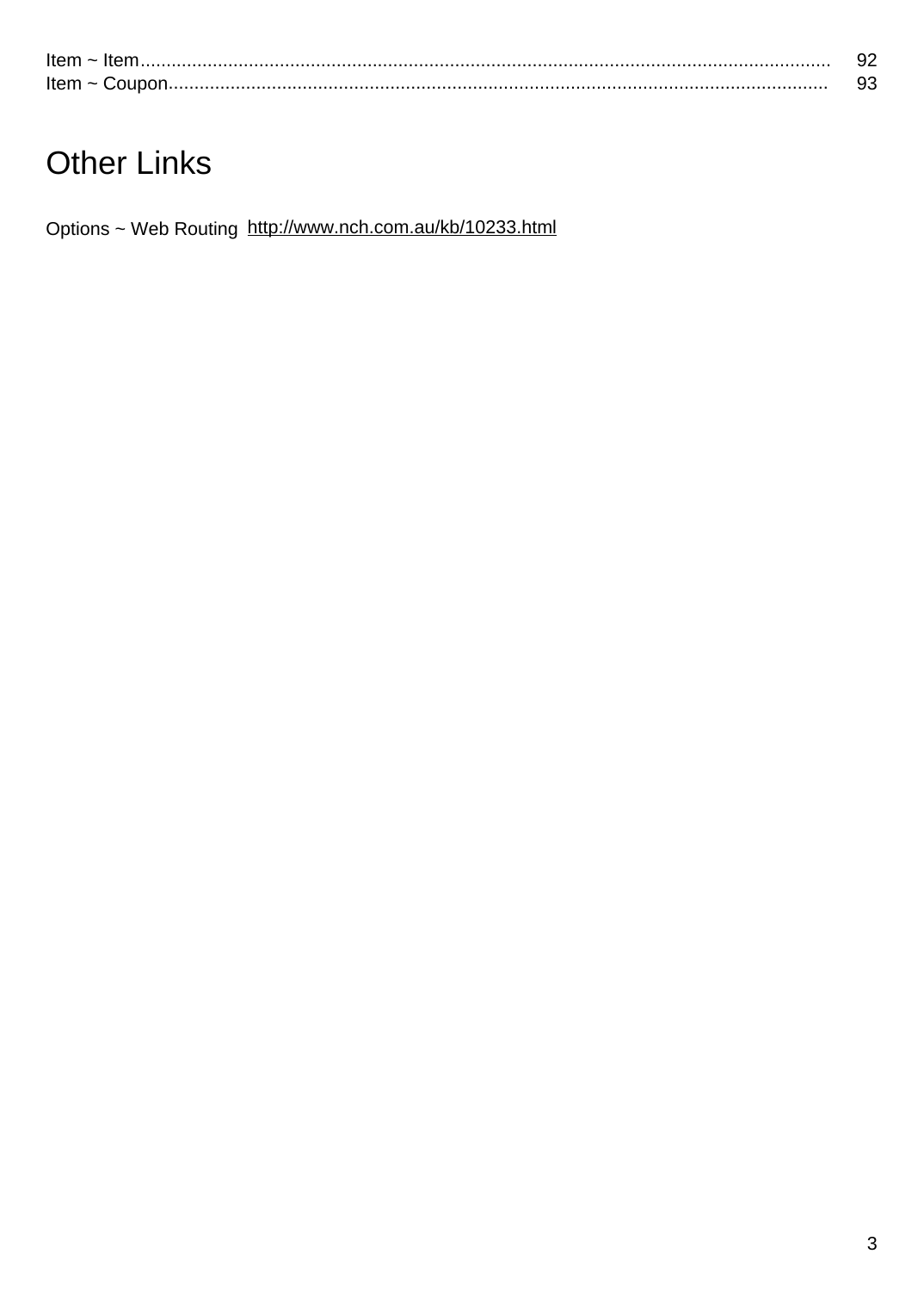| Item $\sim$   |  |
|---------------|--|
| Item $\sim$ C |  |

# **Other Links**

Options ~ Web Routing http://www.nch.com.au/kb/10233.html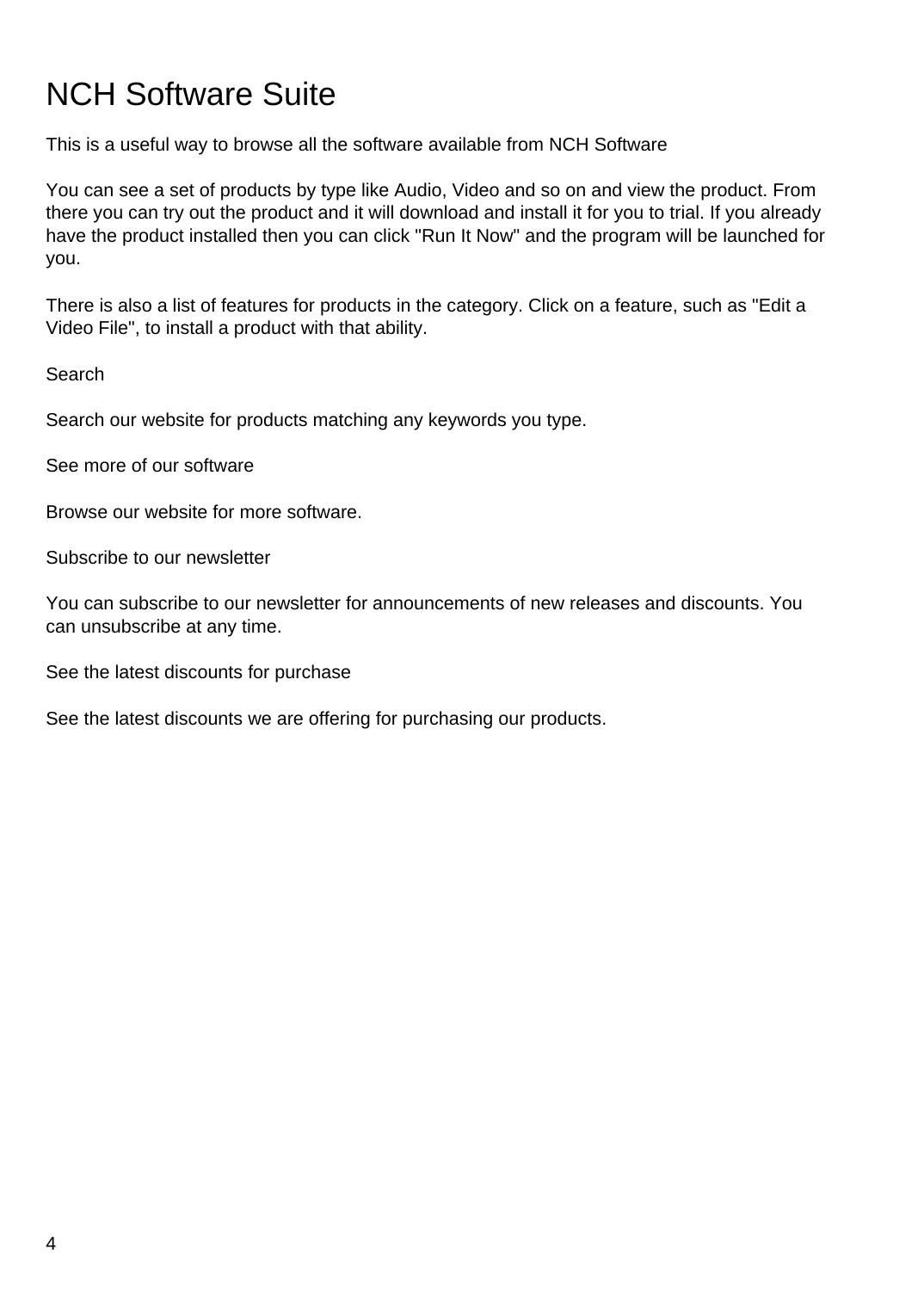### NCH Software Suite

This is a useful way to browse all the software available from NCH Software

You can see a set of products by type like Audio, Video and so on and view the product. From there you can try out the product and it will download and install it for you to trial. If you already have the product installed then you can click "Run It Now" and the program will be launched for you.

There is also a list of features for products in the category. Click on a feature, such as "Edit a Video File", to install a product with that ability.

Search

Search our website for products matching any keywords you type.

See more of our software

Browse our website for more software.

Subscribe to our newsletter

You can subscribe to our newsletter for announcements of new releases and discounts. You can unsubscribe at any time.

See the latest discounts for purchase

See the latest discounts we are offering for purchasing our products.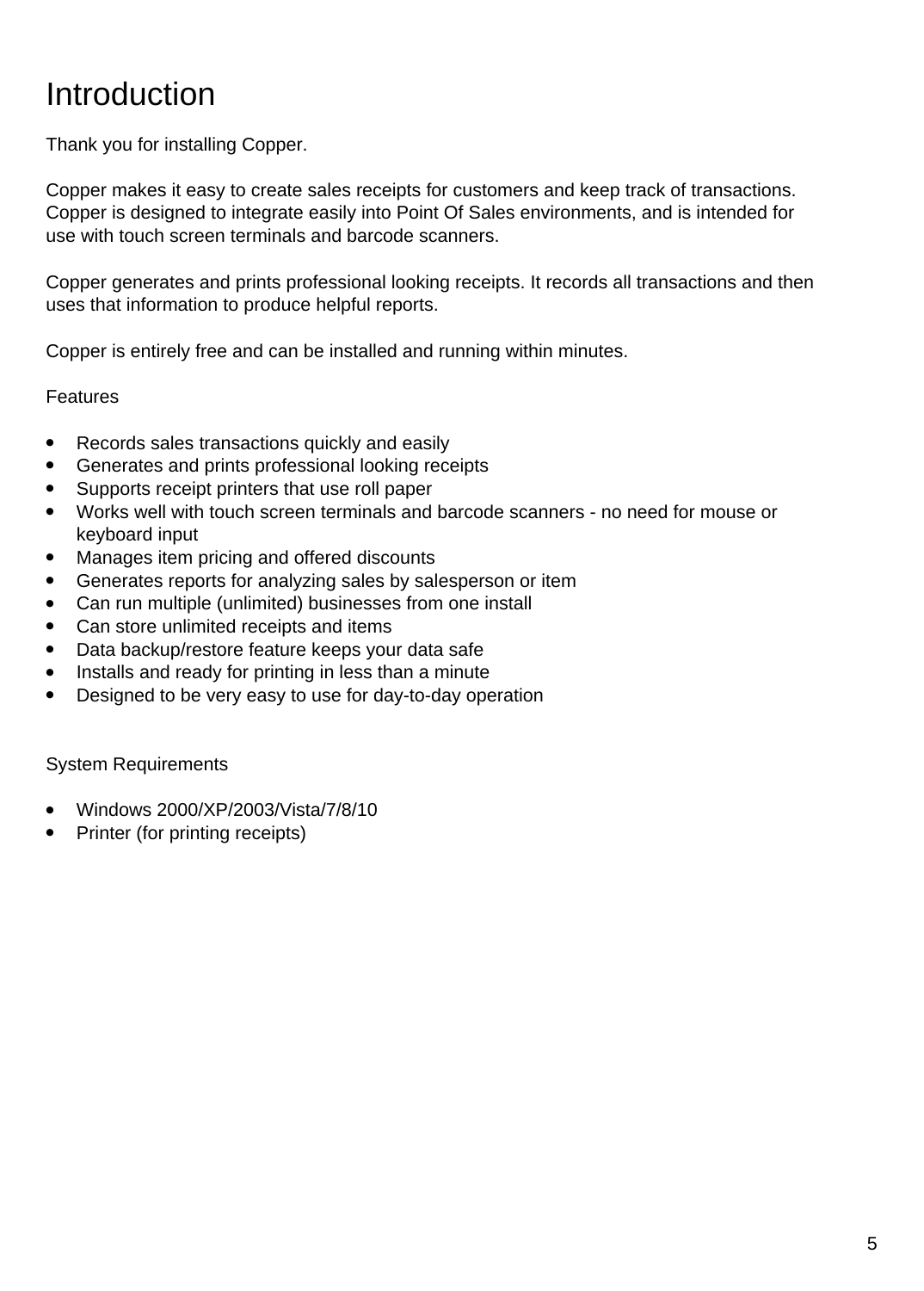### Introduction

Thank you for installing Copper.

Copper makes it easy to create sales receipts for customers and keep track of transactions. Copper is designed to integrate easily into Point Of Sales environments, and is intended for use with touch screen terminals and barcode scanners.

Copper generates and prints professional looking receipts. It records all transactions and then uses that information to produce helpful reports.

Copper is entirely free and can be installed and running within minutes.

#### Features

- Records sales transactions quickly and easily
- Generates and prints professional looking receipts
- Supports receipt printers that use roll paper
- Works well with touch screen terminals and barcode scanners no need for mouse or keyboard input
- Manages item pricing and offered discounts
- Generates reports for analyzing sales by salesperson or item
- Can run multiple (unlimited) businesses from one install
- Can store unlimited receipts and items
- Data backup/restore feature keeps your data safe
- Installs and ready for printing in less than a minute
- Designed to be very easy to use for day-to-day operation

System Requirements

- Windows 2000/XP/2003/Vista/7/8/10
- Printer (for printing receipts)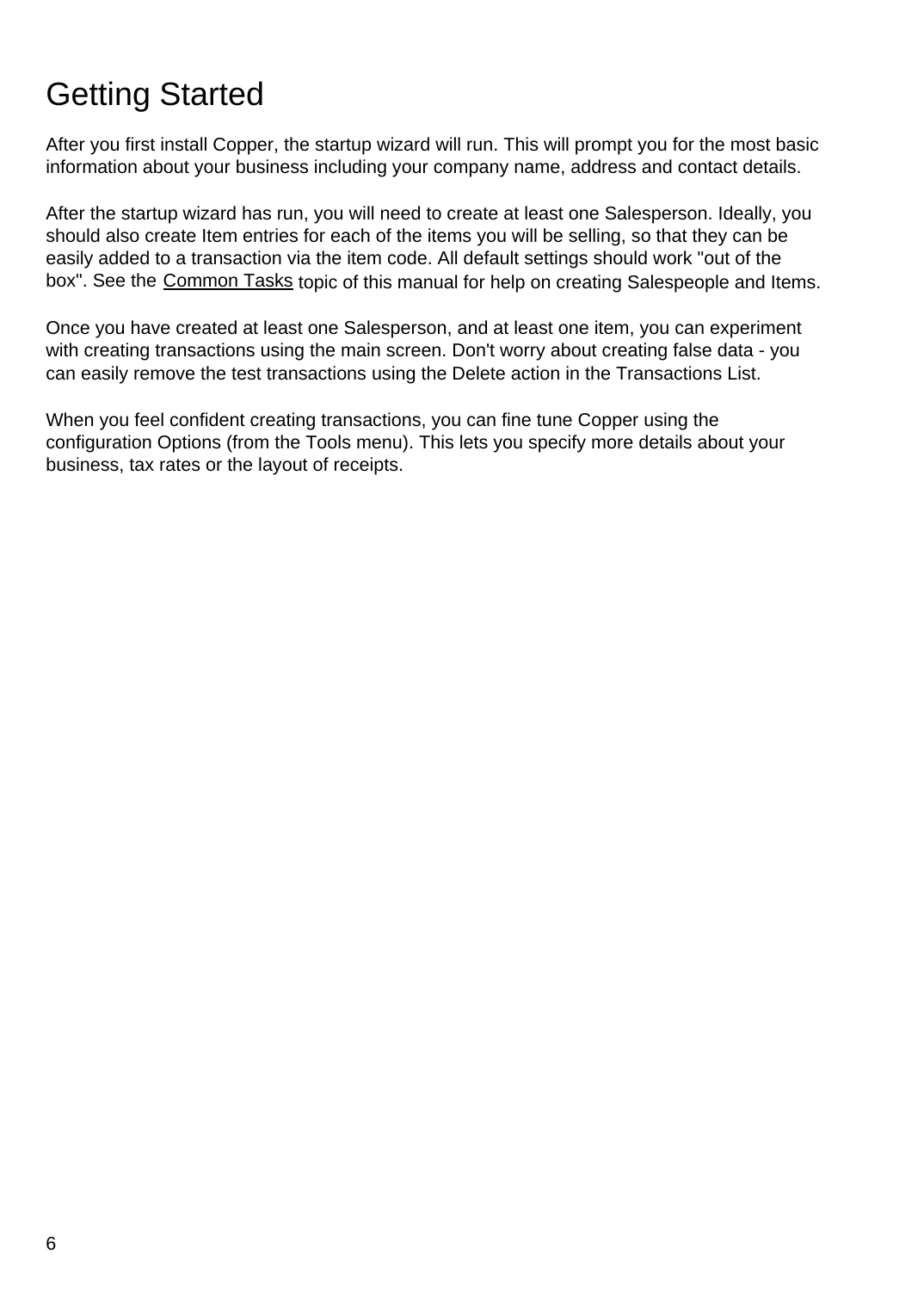### Getting Started

After you first install Copper, the startup wizard will run. This will prompt you for the most basic information about your business including your company name, address and contact details.

After the startup wizard has run, you will need to create at least one Salesperson. Ideally, you should also create Item entries for each of the items you will be selling, so that they can be easily added to a transaction via the item code. All default settings should work "out of the box". See the [Common Tasks](commontasks.html) topic of this manual for help on creating Salespeople and Items.

Once you have created at least one Salesperson, and at least one item, you can experiment with creating transactions using the main screen. Don't worry about creating false data - you can easily remove the test transactions using the Delete action in the Transactions List.

When you feel confident creating transactions, you can fine tune Copper using the configuration Options (from the Tools menu). This lets you specify more details about your business, tax rates or the layout of receipts.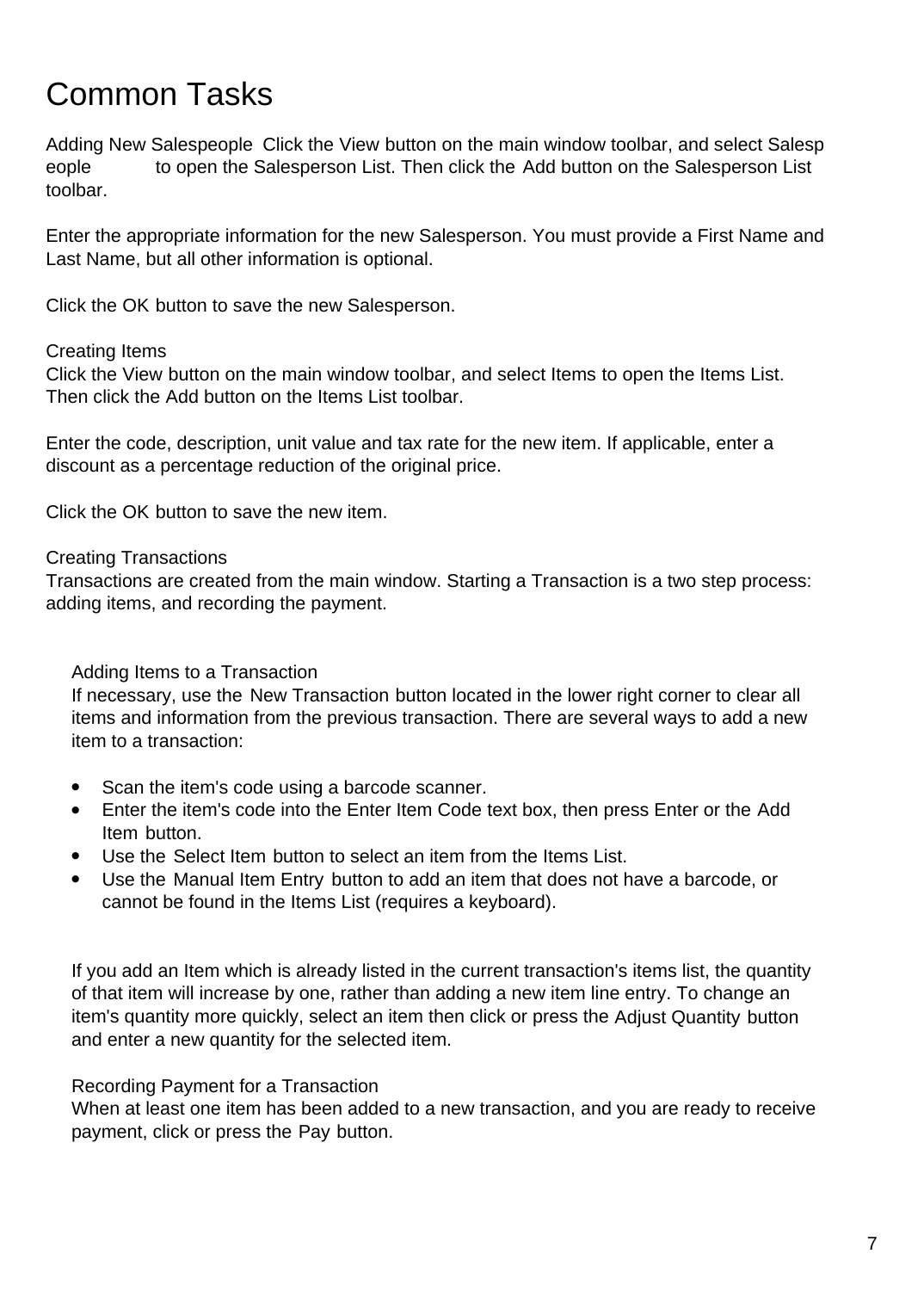### Common Tasks

Adding New Salespeople Click the View button on the main window toolbar, and select Salesp eople to open the Salesperson List. Then click the Add button on the Salesperson List toolbar.

Enter the appropriate information for the new Salesperson. You must provide a First Name and Last Name, but all other information is optional.

Click the OK button to save the new Salesperson.

#### Creating Items

Click the View button on the main window toolbar, and select Items to open the Items List. Then click the Add button on the Items List toolbar.

Enter the code, description, unit value and tax rate for the new item. If applicable, enter a discount as a percentage reduction of the original price.

Click the OK button to save the new item.

Creating Transactions

Transactions are created from the main window. Starting a Transaction is a two step process: adding items, and recording the payment.

#### Adding Items to a Transaction

If necessary, use the New Transaction button located in the lower right corner to clear all items and information from the previous transaction. There are several ways to add a new item to a transaction:

- Scan the item's code using a barcode scanner.
- Enter the item's code into the Enter Item Code text box, then press Enter or the Add Item button.
- Use the Select Item button to select an item from the Items List.
- Use the Manual Item Entry button to add an item that does not have a barcode, or cannot be found in the Items List (requires a keyboard).

If you add an Item which is already listed in the current transaction's items list, the quantity of that item will increase by one, rather than adding a new item line entry. To change an item's quantity more quickly, select an item then click or press the Adjust Quantity button and enter a new quantity for the selected item.

#### Recording Payment for a Transaction

When at least one item has been added to a new transaction, and you are ready to receive payment, click or press the Pay button.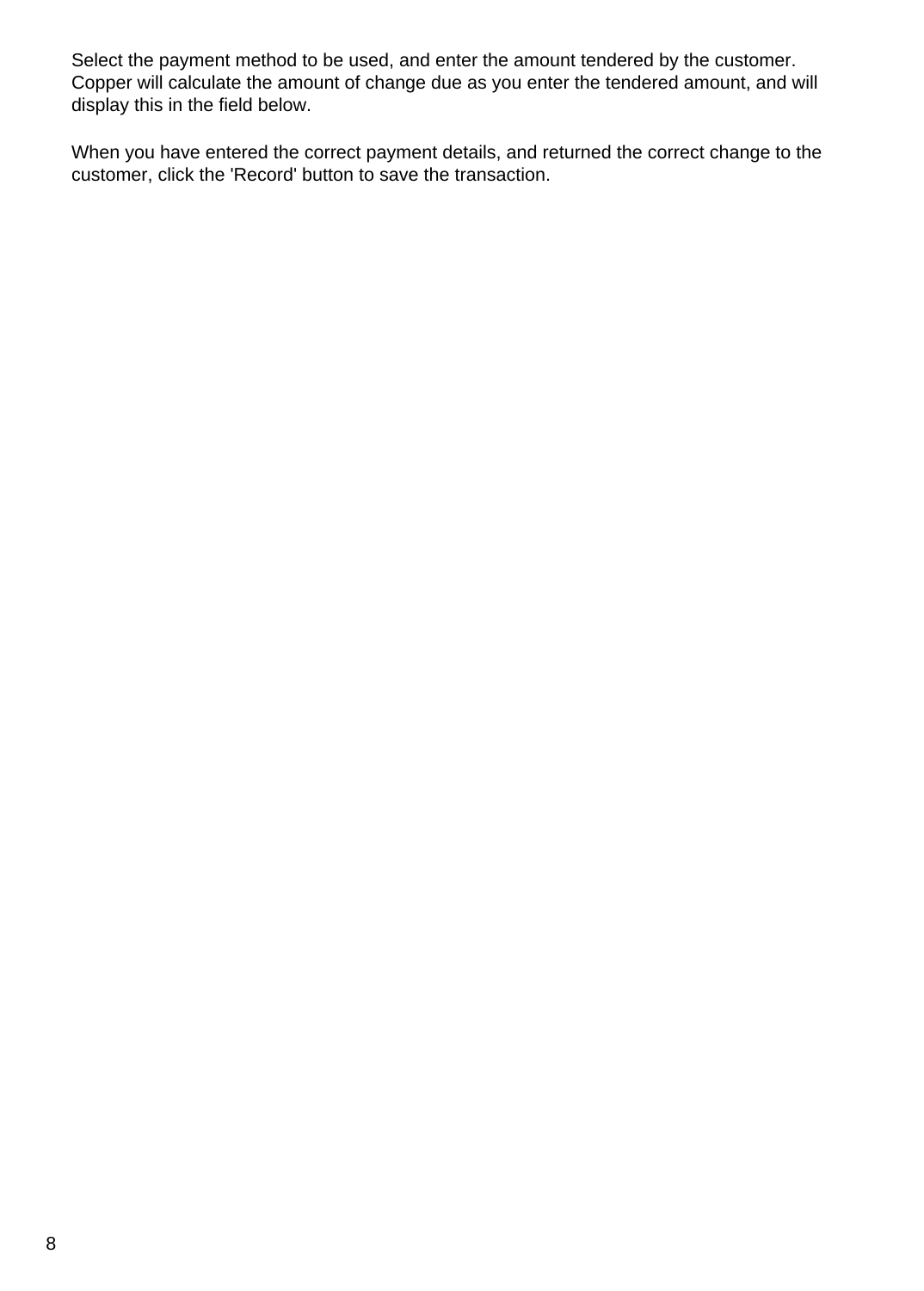Select the payment method to be used, and enter the amount tendered by the customer. Copper will calculate the amount of change due as you enter the tendered amount, and will display this in the field below.

When you have entered the correct payment details, and returned the correct change to the customer, click the 'Record' button to save the transaction.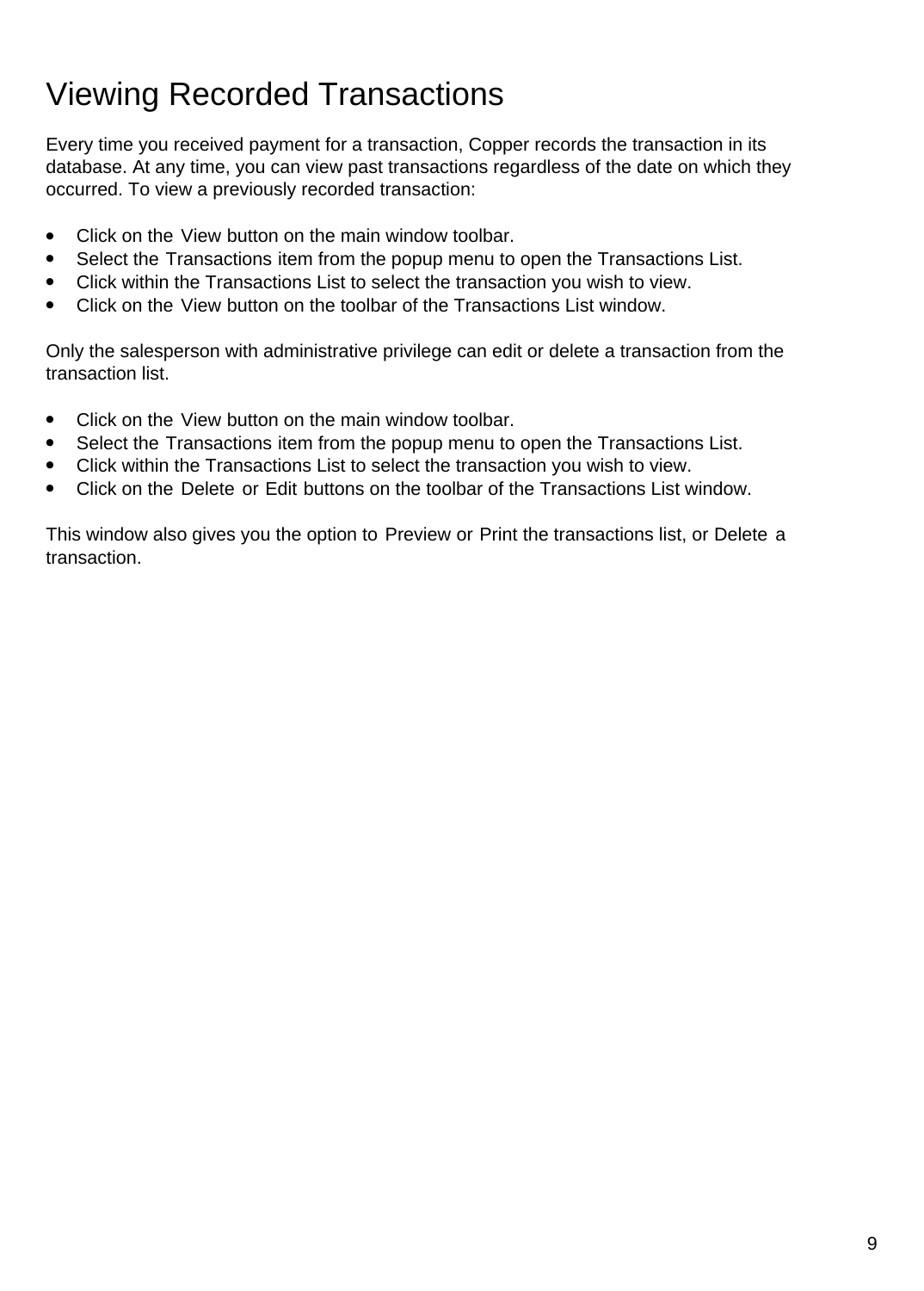# Viewing Recorded Transactions

Every time you received payment for a transaction, Copper records the transaction in its database. At any time, you can view past transactions regardless of the date on which they occurred. To view a previously recorded transaction:

- Click on the View button on the main window toolbar.
- Select the Transactions item from the popup menu to open the Transactions List.
- Click within the Transactions List to select the transaction you wish to view.
- Click on the View button on the toolbar of the Transactions List window.

Only the salesperson with administrative privilege can edit or delete a transaction from the transaction list.

- Click on the View button on the main window toolbar.
- Select the Transactions item from the popup menu to open the Transactions List.
- Click within the Transactions List to select the transaction you wish to view.
- Click on the Delete or Edit buttons on the toolbar of the Transactions List window.

This window also gives you the option to Preview or Print the transactions list, or Delete a transaction.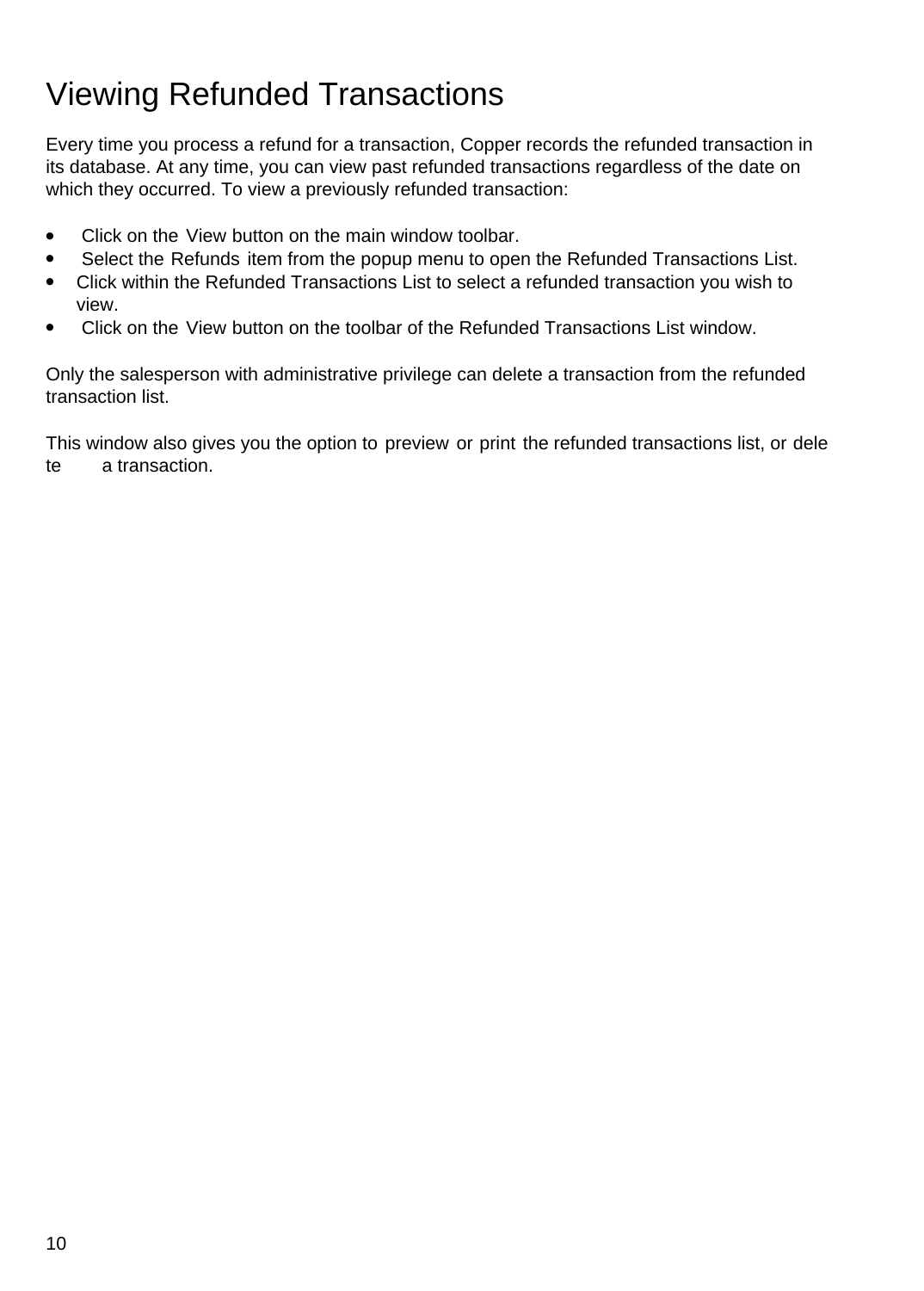# Viewing Refunded Transactions

Every time you process a refund for a transaction, Copper records the refunded transaction in its database. At any time, you can view past refunded transactions regardless of the date on which they occurred. To view a previously refunded transaction:

- Click on the View button on the main window toolbar.
- Select the Refunds item from the popup menu to open the Refunded Transactions List.
- Click within the Refunded Transactions List to select a refunded transaction you wish to view.
- Click on the View button on the toolbar of the Refunded Transactions List window.

Only the salesperson with administrative privilege can delete a transaction from the refunded transaction list.

This window also gives you the option to preview or print the refunded transactions list, or dele te a transaction.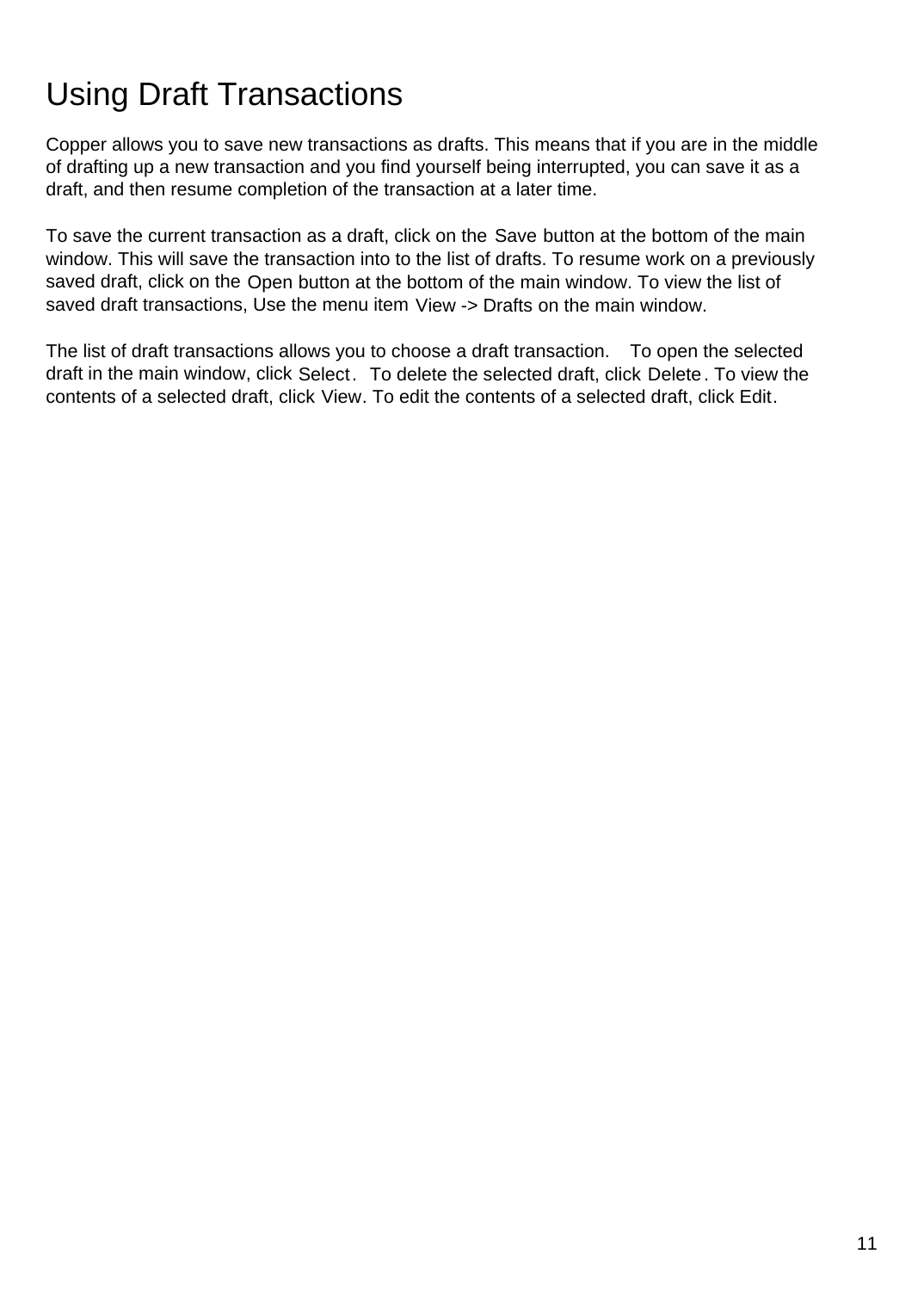# Using Draft Transactions

Copper allows you to save new transactions as drafts. This means that if you are in the middle of drafting up a new transaction and you find yourself being interrupted, you can save it as a draft, and then resume completion of the transaction at a later time.

To save the current transaction as a draft, click on the Save button at the bottom of the main window. This will save the transaction into to the list of drafts. To resume work on a previously saved draft, click on the Open button at the bottom of the main window. To view the list of saved draft transactions, Use the menu item View -> Drafts on the main window.

The list of draft transactions allows you to choose a draft transaction. To open the selected draft in the main window, click Select. To delete the selected draft, click Delete. To view the contents of a selected draft, click View. To edit the contents of a selected draft, click Edit.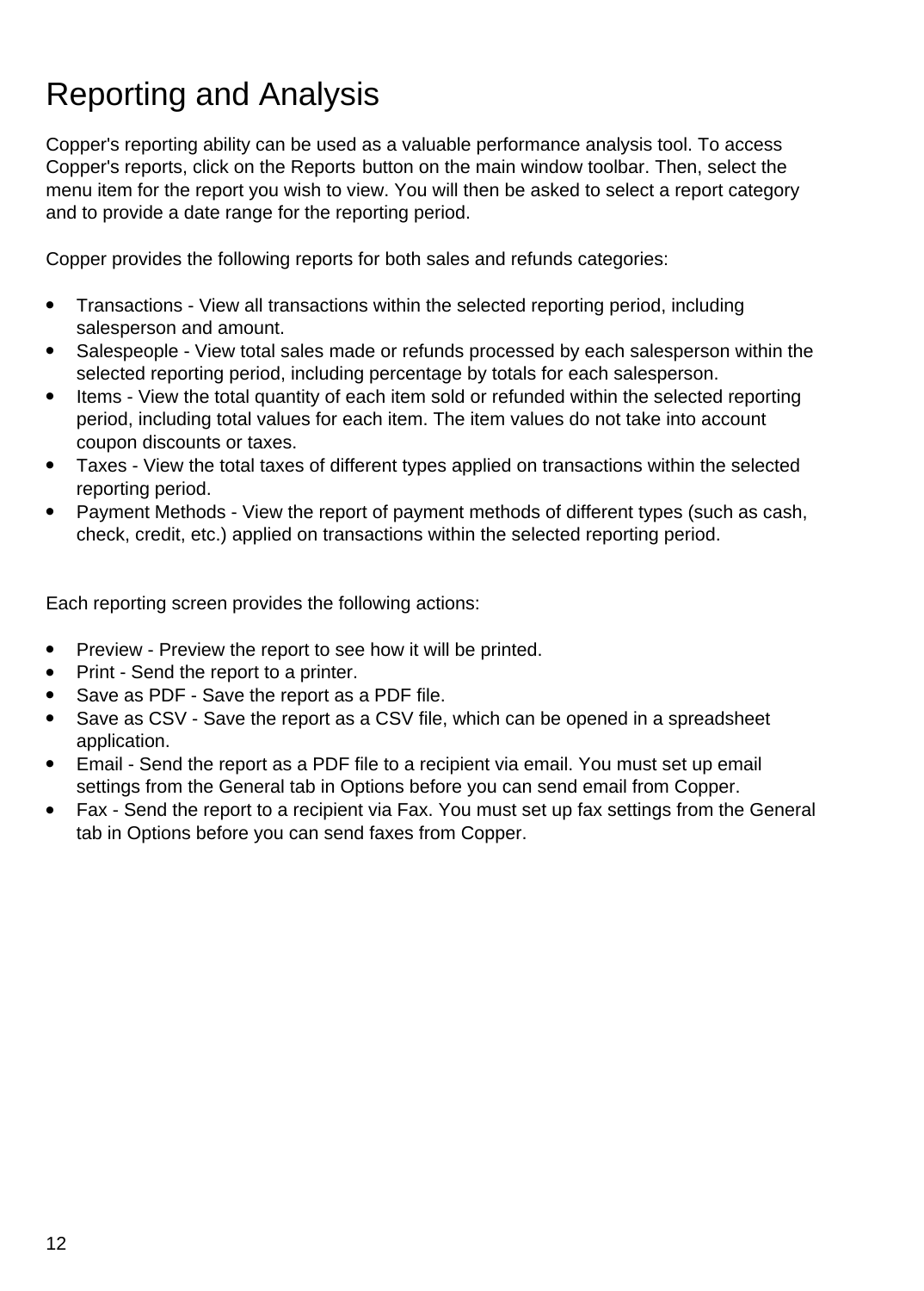# Reporting and Analysis

Copper's reporting ability can be used as a valuable performance analysis tool. To access Copper's reports, click on the Reports button on the main window toolbar. Then, select the menu item for the report you wish to view. You will then be asked to select a report category and to provide a date range for the reporting period.

Copper provides the following reports for both sales and refunds categories:

- Transactions View all transactions within the selected reporting period, including salesperson and amount.
- Salespeople View total sales made or refunds processed by each salesperson within the selected reporting period, including percentage by totals for each salesperson.
- Items View the total quantity of each item sold or refunded within the selected reporting period, including total values for each item. The item values do not take into account coupon discounts or taxes.
- Taxes View the total taxes of different types applied on transactions within the selected reporting period.
- Payment Methods View the report of payment methods of different types (such as cash, check, credit, etc.) applied on transactions within the selected reporting period.

Each reporting screen provides the following actions:

- Preview Preview the report to see how it will be printed.
- Print Send the report to a printer.
- Save as PDF Save the report as a PDF file.
- Save as CSV Save the report as a CSV file, which can be opened in a spreadsheet application.
- Email Send the report as a PDF file to a recipient via email. You must set up email settings from the General tab in Options before you can send email from Copper.
- Fax Send the report to a recipient via Fax. You must set up fax settings from the General tab in Options before you can send faxes from Copper.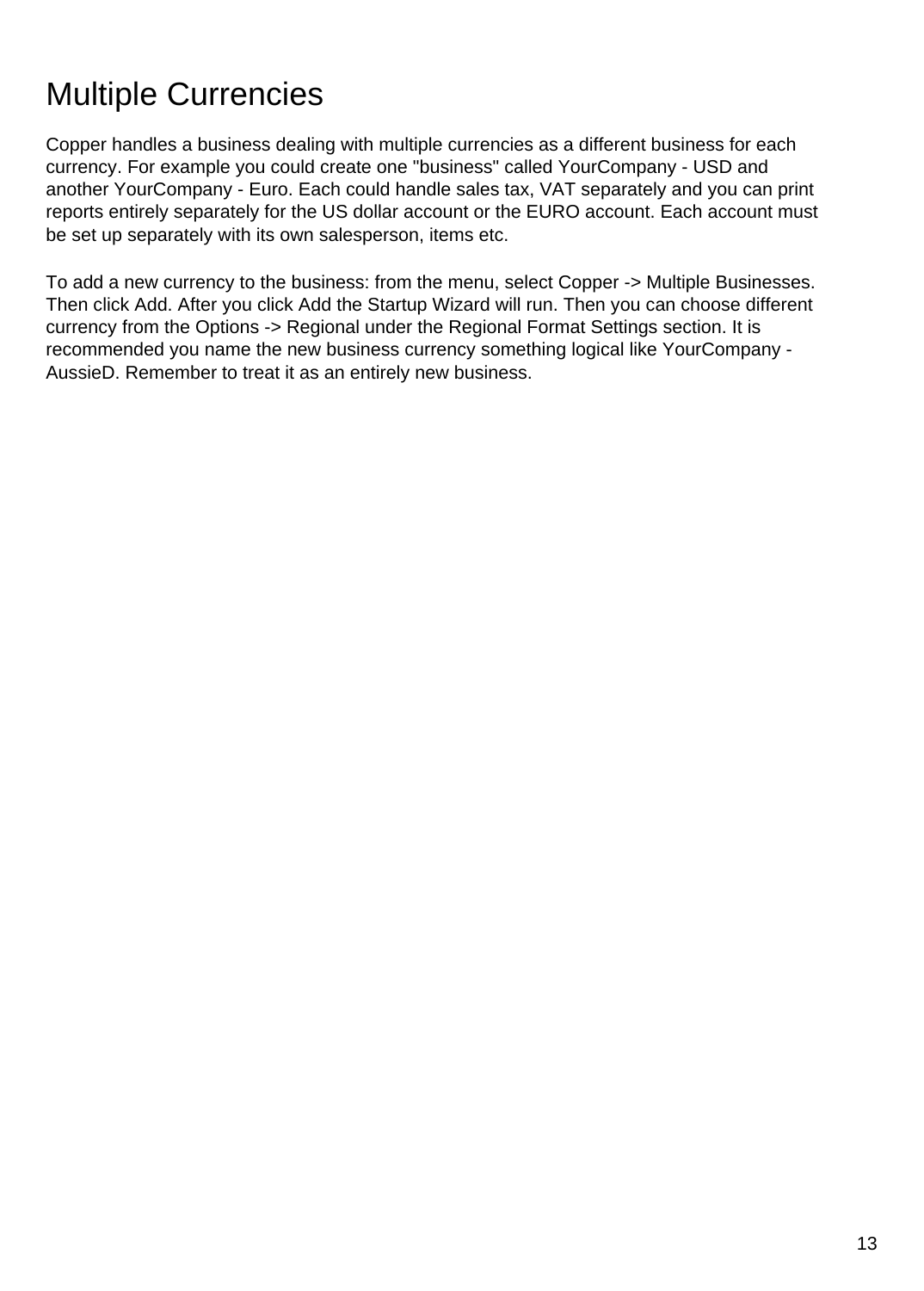# Multiple Currencies

Copper handles a business dealing with multiple currencies as a different business for each currency. For example you could create one "business" called YourCompany - USD and another YourCompany - Euro. Each could handle sales tax, VAT separately and you can print reports entirely separately for the US dollar account or the EURO account. Each account must be set up separately with its own salesperson, items etc.

To add a new currency to the business: from the menu, select Copper -> Multiple Businesses. Then click Add. After you click Add the Startup Wizard will run. Then you can choose different currency from the Options -> Regional under the Regional Format Settings section. It is recommended you name the new business currency something logical like YourCompany - AussieD. Remember to treat it as an entirely new business.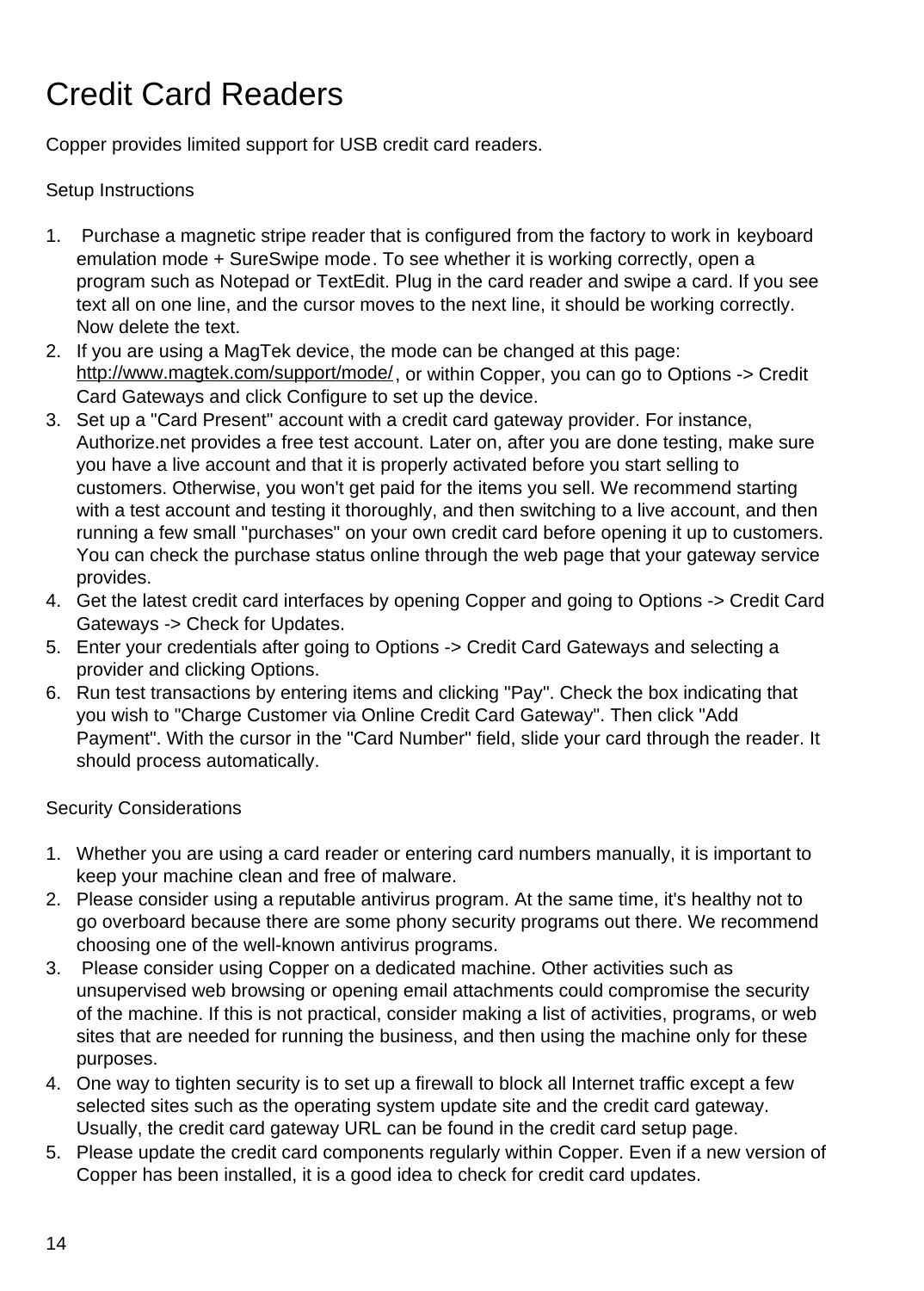# Credit Card Readers

Copper provides limited support for USB credit card readers.

#### Setup Instructions

- 1. Purchase a magnetic stripe reader that is configured from the factory to work in keyboard emulation mode + SureSwipe mode. To see whether it is working correctly, open a program such as Notepad or TextEdit. Plug in the card reader and swipe a card. If you see text all on one line, and the cursor moves to the next line, it should be working correctly. Now delete the text.
- 2. If you are using a MagTek device, the mode can be changed at this page: <http://www.magtek.com/support/mode/>, or within Copper, you can go to Options -> Credit Card Gateways and click Configure to set up the device.
- 3. Set up a "Card Present" account with a credit card gateway provider. For instance, Authorize.net provides a free test account. Later on, after you are done testing, make sure you have a live account and that it is properly activated before you start selling to customers. Otherwise, you won't get paid for the items you sell. We recommend starting with a test account and testing it thoroughly, and then switching to a live account, and then running a few small "purchases" on your own credit card before opening it up to customers. You can check the purchase status online through the web page that your gateway service provides.
- 4. Get the latest credit card interfaces by opening Copper and going to Options -> Credit Card Gateways -> Check for Updates.
- 5. Enter your credentials after going to Options -> Credit Card Gateways and selecting a provider and clicking Options.
- 6. Run test transactions by entering items and clicking "Pay". Check the box indicating that you wish to "Charge Customer via Online Credit Card Gateway". Then click "Add Payment". With the cursor in the "Card Number" field, slide your card through the reader. It should process automatically.

#### Security Considerations

- 1. Whether you are using a card reader or entering card numbers manually, it is important to keep your machine clean and free of malware.
- 2. Please consider using a reputable antivirus program. At the same time, it's healthy not to go overboard because there are some phony security programs out there. We recommend choosing one of the well-known antivirus programs.
- 3. Please consider using Copper on a dedicated machine. Other activities such as unsupervised web browsing or opening email attachments could compromise the security of the machine. If this is not practical, consider making a list of activities, programs, or web sites that are needed for running the business, and then using the machine only for these purposes.
- 4. One way to tighten security is to set up a firewall to block all Internet traffic except a few selected sites such as the operating system update site and the credit card gateway. Usually, the credit card gateway URL can be found in the credit card setup page.
- 5. Please update the credit card components regularly within Copper. Even if a new version of Copper has been installed, it is a good idea to check for credit card updates.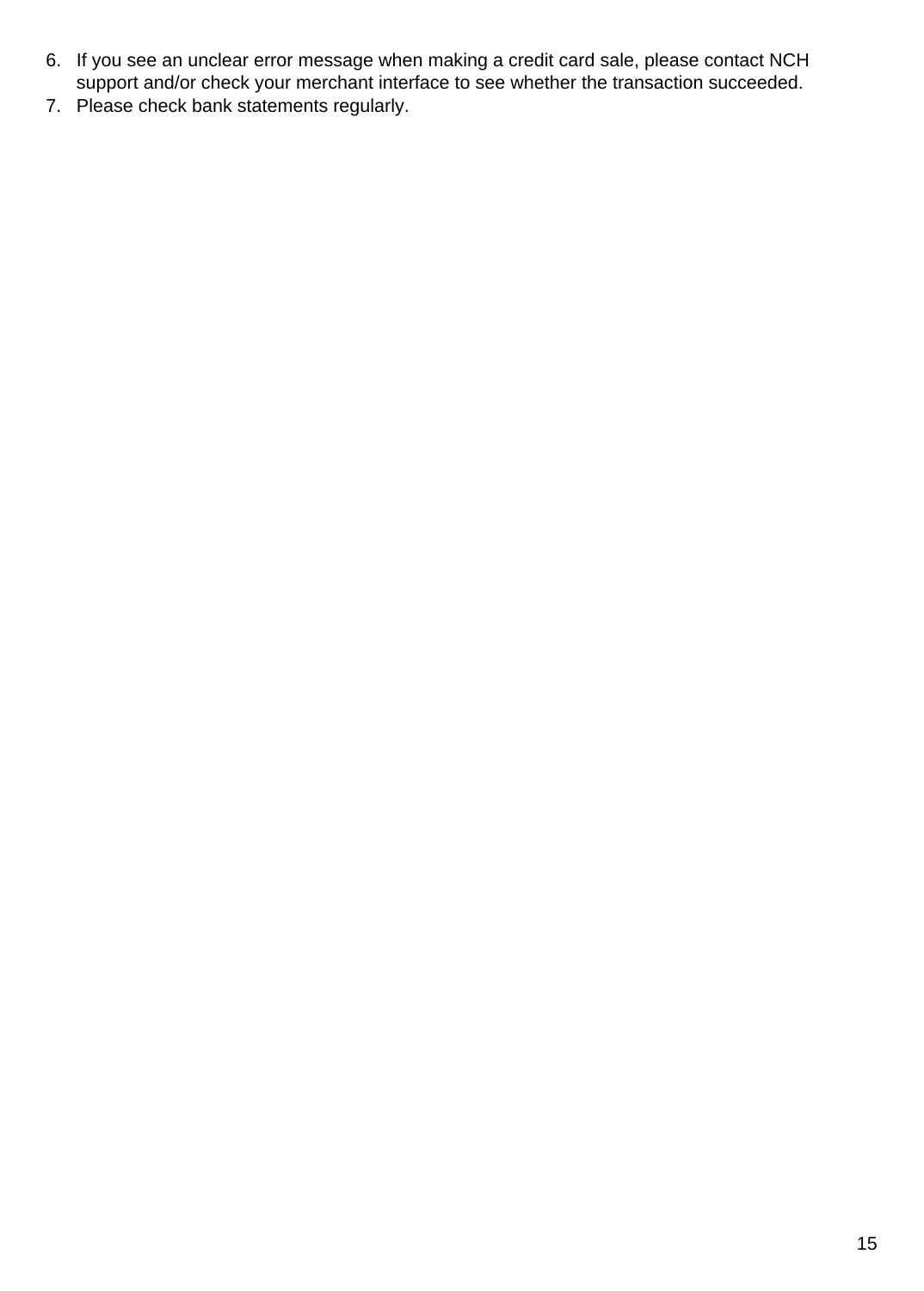- 6. If you see an unclear error message when making a credit card sale, please contact NCH support and/or check your merchant interface to see whether the transaction succeeded.
- 7. Please check bank statements regularly.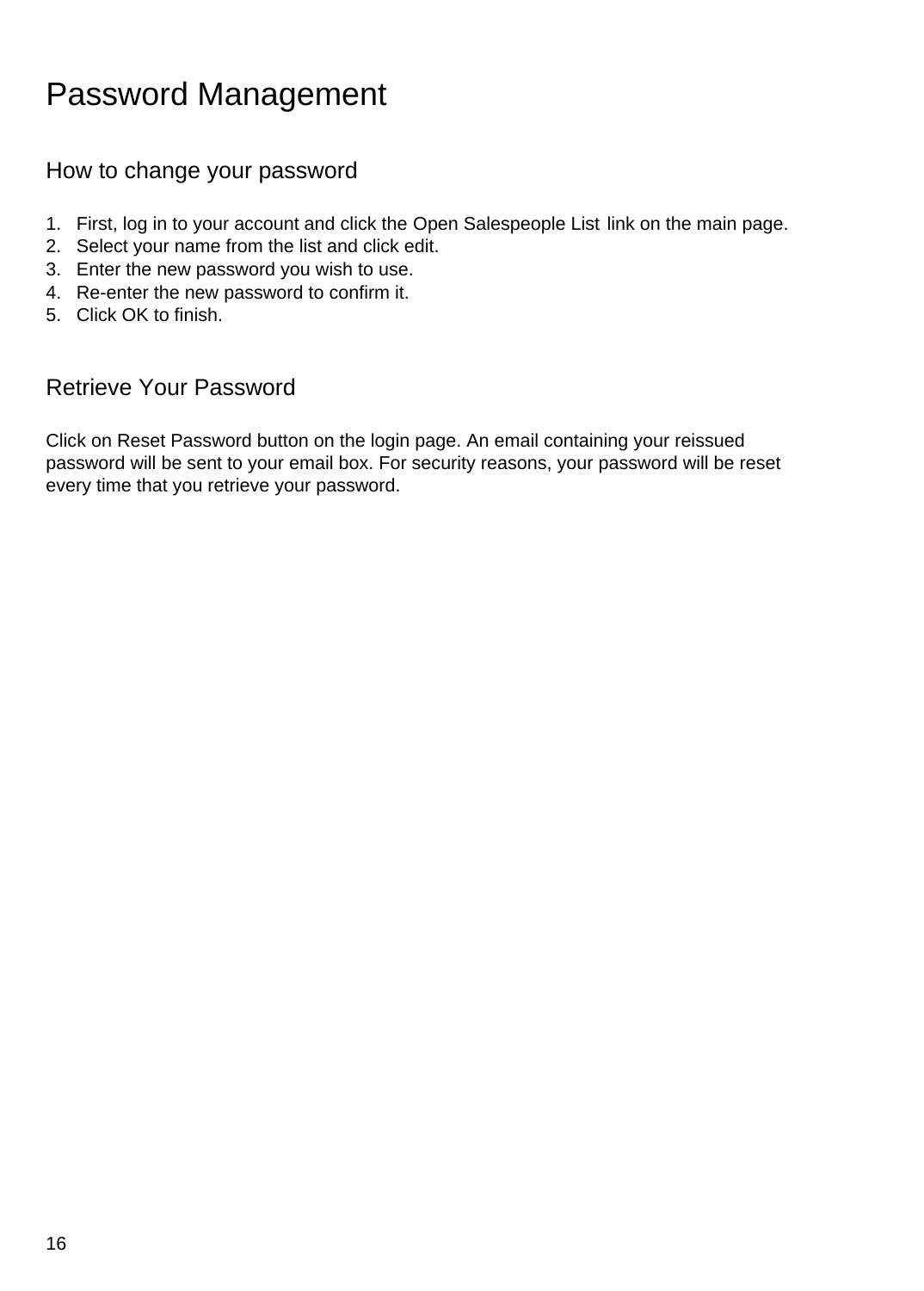### Password Management

### How to change your password

- 1. First, log in to your account and click the Open Salespeople List link on the main page.
- 2. Select your name from the list and click edit.
- 3. Enter the new password you wish to use.
- 4. Re-enter the new password to confirm it.
- 5. Click OK to finish.

### Retrieve Your Password

Click on Reset Password button on the login page. An email containing your reissued password will be sent to your email box. For security reasons, your password will be reset every time that you retrieve your password.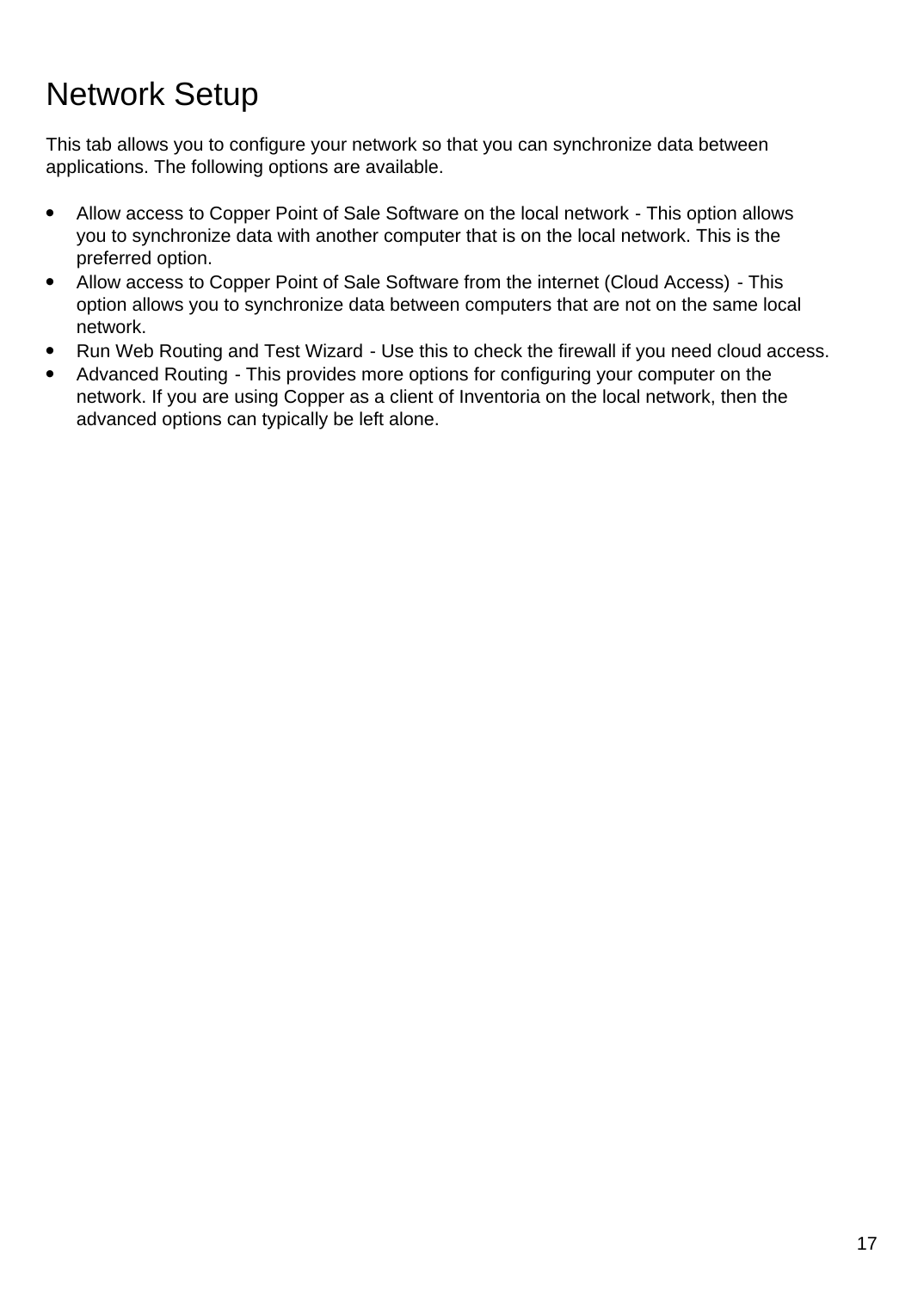### Network Setup

This tab allows you to configure your network so that you can synchronize data between applications. The following options are available.

- Allow access to Copper Point of Sale Software on the local network This option allows you to synchronize data with another computer that is on the local network. This is the preferred option.
- Allow access to Copper Point of Sale Software from the internet (Cloud Access) This option allows you to synchronize data between computers that are not on the same local network.
- Run Web Routing and Test Wizard Use this to check the firewall if you need cloud access.
- Advanced Routing This provides more options for configuring your computer on the network. If you are using Copper as a client of Inventoria on the local network, then the advanced options can typically be left alone.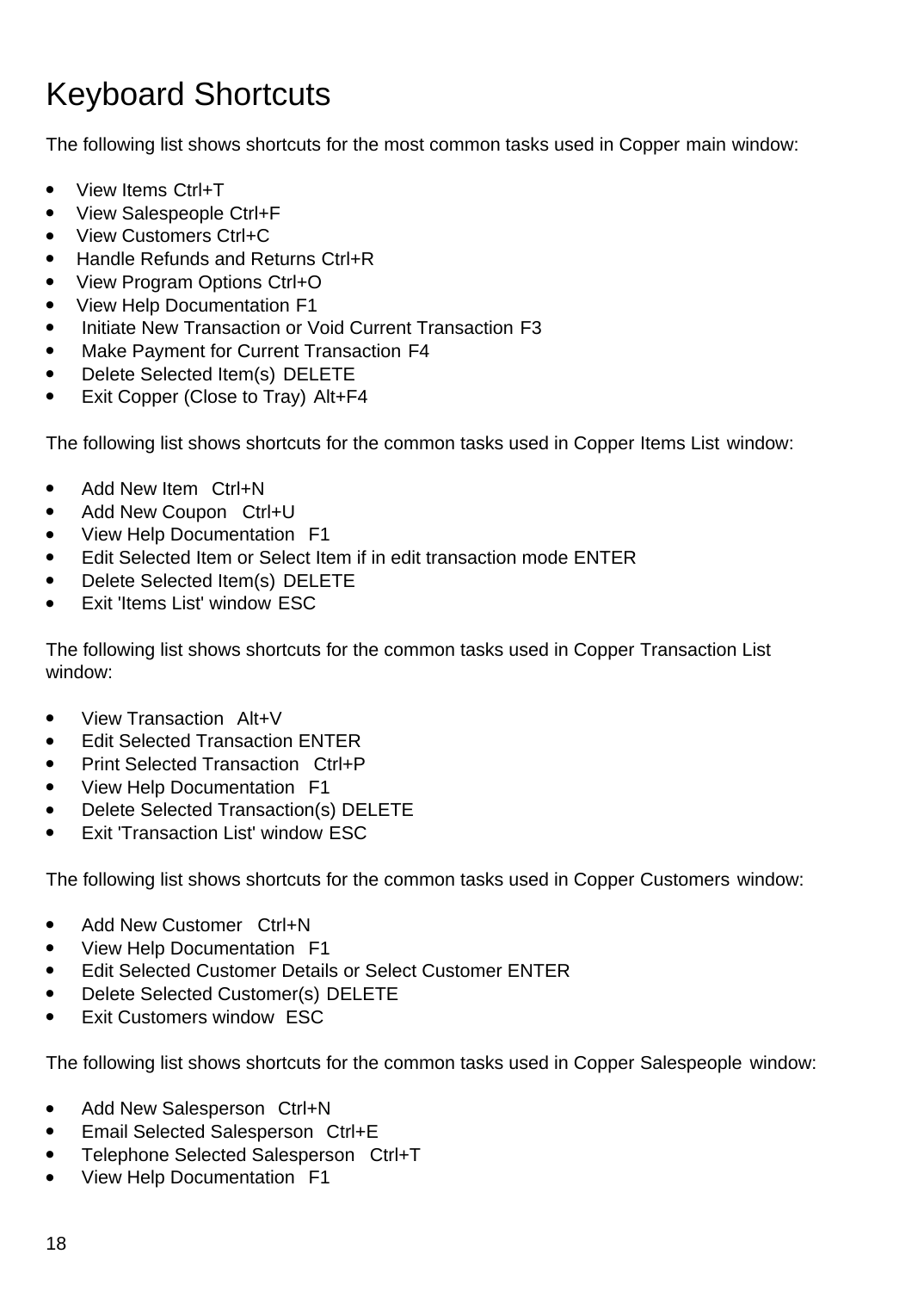# Keyboard Shortcuts

The following list shows shortcuts for the most common tasks used in Copper main window:

- View Items Ctrl+T
- View Salespeople Ctrl+F
- View Customers Ctrl+C
- Handle Refunds and Returns Ctrl+R
- View Program Options Ctrl+O
- View Help Documentation F1
- Initiate New Transaction or Void Current Transaction F3
- Make Payment for Current Transaction F4
- Delete Selected Item(s) DELETE
- Exit Copper (Close to Tray) Alt+F4

The following list shows shortcuts for the common tasks used in Copper Items List window:

- Add New Item Ctrl+N
- Add New Coupon Ctrl+U
- View Help Documentation F1
- Edit Selected Item or Select Item if in edit transaction mode ENTER
- Delete Selected Item(s) DELETE
- Exit 'Items List' window ESC

The following list shows shortcuts for the common tasks used in Copper Transaction List window:

- View Transaction Alt+V
- **Edit Selected Transaction ENTER**
- Print Selected Transaction Ctrl+P
- View Help Documentation F1
- Delete Selected Transaction(s) DELETE
- Exit 'Transaction List' window ESC

The following list shows shortcuts for the common tasks used in Copper Customers window:

- Add New Customer Ctrl+N
- View Help Documentation F1
- Edit Selected Customer Details or Select Customer ENTER
- Delete Selected Customer(s) DELETE
- Exit Customers window ESC

The following list shows shortcuts for the common tasks used in Copper Salespeople window:

- Add New Salesperson Ctrl+N
- Email Selected Salesperson Ctrl+E
- Telephone Selected Salesperson Ctrl+T
- View Help Documentation F1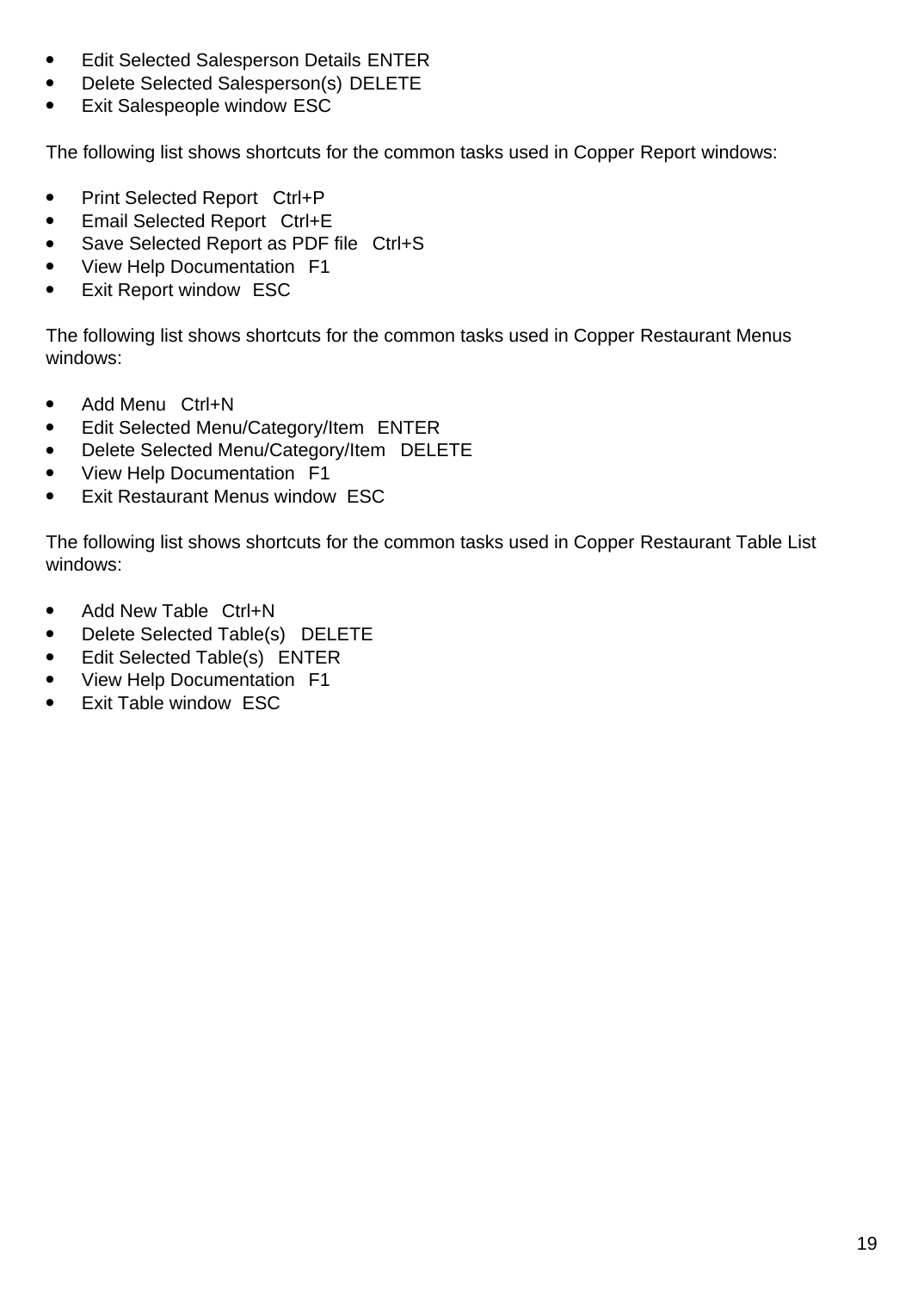- Edit Selected Salesperson Details ENTER
- Delete Selected Salesperson(s) DELETE
- Exit Salespeople window ESC

The following list shows shortcuts for the common tasks used in Copper Report windows:

- Print Selected Report Ctrl+P
- Email Selected Report Ctrl+E
- Save Selected Report as PDF file Ctrl+S
- View Help Documentation F1
- Exit Report window ESC

The following list shows shortcuts for the common tasks used in Copper Restaurant Menus windows:

- Add Menu Ctrl+N
- Edit Selected Menu/Category/Item ENTER
- Delete Selected Menu/Category/Item DELETE
- View Help Documentation F1
- Exit Restaurant Menus window ESC

The following list shows shortcuts for the common tasks used in Copper Restaurant Table List windows:

- Add New Table Ctrl+N
- Delete Selected Table(s) DELETE
- Edit Selected Table(s) ENTER
- View Help Documentation F1
- Exit Table window ESC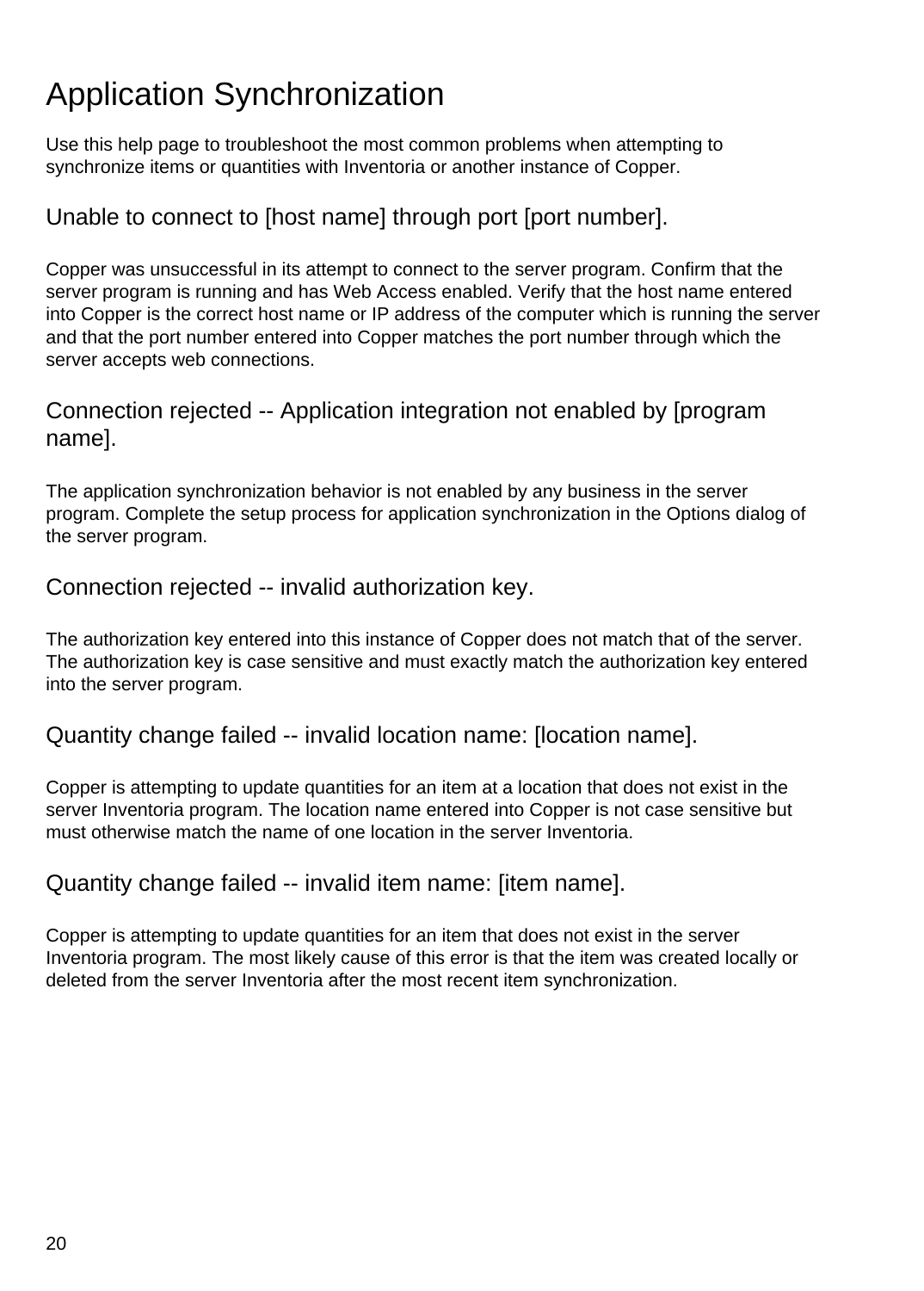# Application Synchronization

Use this help page to troubleshoot the most common problems when attempting to synchronize items or quantities with Inventoria or another instance of Copper.

### Unable to connect to [host name] through port [port number].

Copper was unsuccessful in its attempt to connect to the server program. Confirm that the server program is running and has Web Access enabled. Verify that the host name entered into Copper is the correct host name or IP address of the computer which is running the server and that the port number entered into Copper matches the port number through which the server accepts web connections.

### Connection rejected -- Application integration not enabled by [program name].

The application synchronization behavior is not enabled by any business in the server program. Complete the setup process for application synchronization in the Options dialog of the server program.

### Connection rejected -- invalid authorization key.

The authorization key entered into this instance of Copper does not match that of the server. The authorization key is case sensitive and must exactly match the authorization key entered into the server program.

Quantity change failed -- invalid location name: [location name].

Copper is attempting to update quantities for an item at a location that does not exist in the server Inventoria program. The location name entered into Copper is not case sensitive but must otherwise match the name of one location in the server Inventoria.

### Quantity change failed -- invalid item name: [item name].

Copper is attempting to update quantities for an item that does not exist in the server Inventoria program. The most likely cause of this error is that the item was created locally or deleted from the server Inventoria after the most recent item synchronization.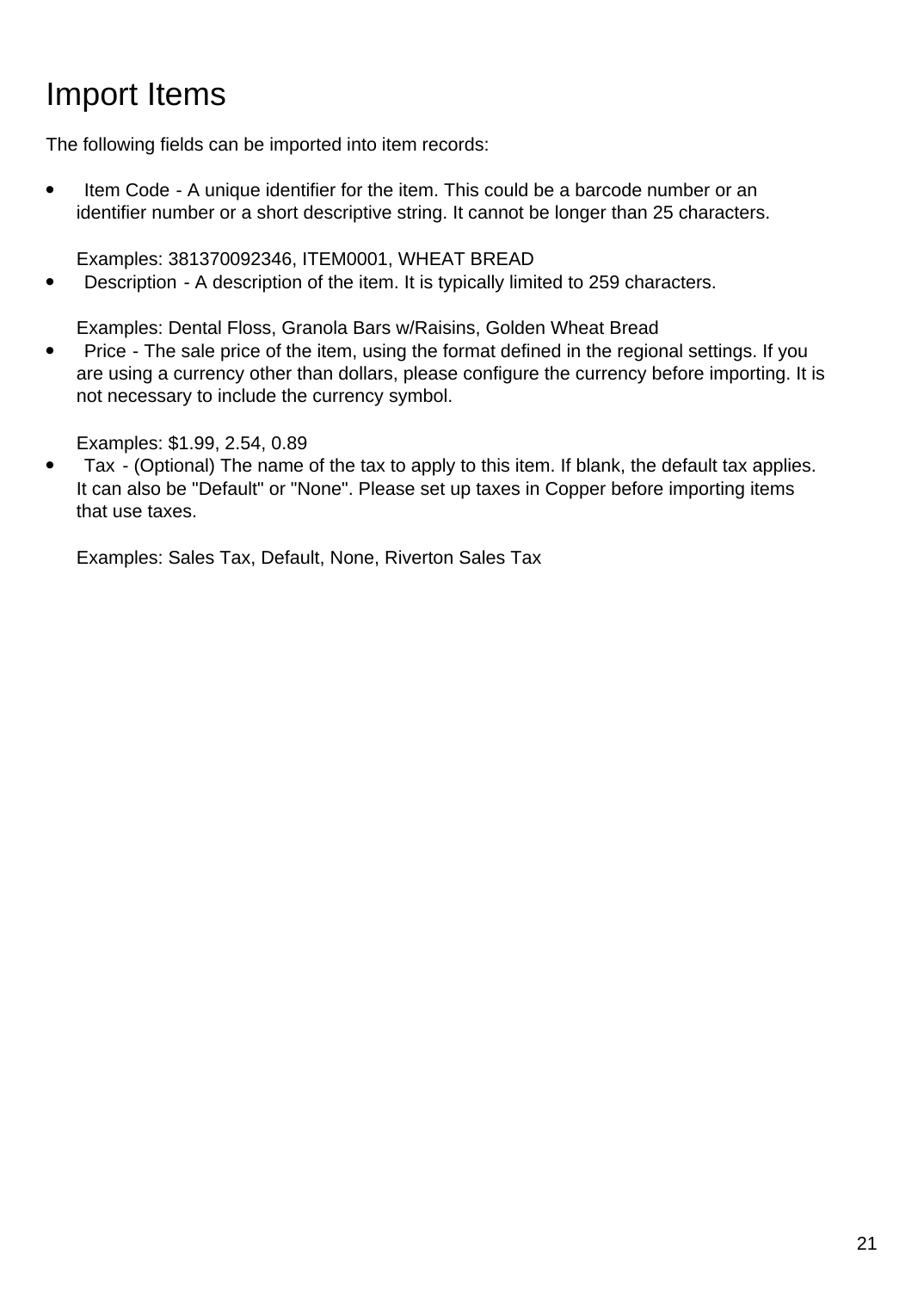# Import Items

The following fields can be imported into item records:

Item Code - A unique identifier for the item. This could be a barcode number or an identifier number or a short descriptive string. It cannot be longer than 25 characters.

Examples: 381370092346, ITEM0001, WHEAT BREAD

• Description - A description of the item. It is typically limited to 259 characters.

Examples: Dental Floss, Granola Bars w/Raisins, Golden Wheat Bread

• Price - The sale price of the item, using the format defined in the regional settings. If you are using a currency other than dollars, please configure the currency before importing. It is not necessary to include the currency symbol.

Examples: \$1.99, 2.54, 0.89

● Tax - (Optional) The name of the tax to apply to this item. If blank, the default tax applies. It can also be "Default" or "None". Please set up taxes in Copper before importing items that use taxes.

Examples: Sales Tax, Default, None, Riverton Sales Tax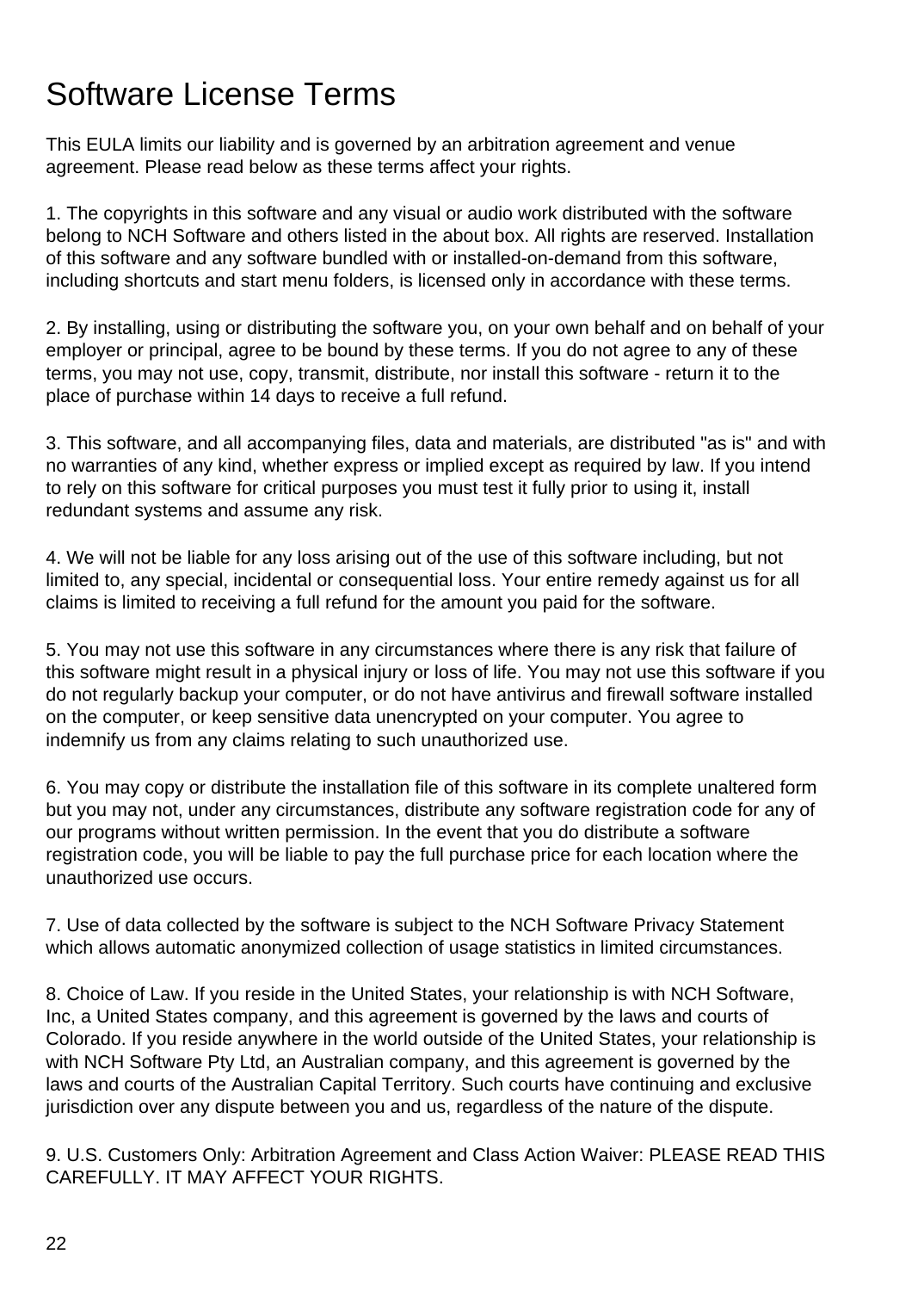### Software License Terms

This EULA limits our liability and is governed by an arbitration agreement and venue agreement. Please read below as these terms affect your rights.

1. The copyrights in this software and any visual or audio work distributed with the software belong to NCH Software and others listed in the about box. All rights are reserved. Installation of this software and any software bundled with or installed-on-demand from this software, including shortcuts and start menu folders, is licensed only in accordance with these terms.

2. By installing, using or distributing the software you, on your own behalf and on behalf of your employer or principal, agree to be bound by these terms. If you do not agree to any of these terms, you may not use, copy, transmit, distribute, nor install this software - return it to the place of purchase within 14 days to receive a full refund.

3. This software, and all accompanying files, data and materials, are distributed "as is" and with no warranties of any kind, whether express or implied except as required by law. If you intend to rely on this software for critical purposes you must test it fully prior to using it, install redundant systems and assume any risk.

4. We will not be liable for any loss arising out of the use of this software including, but not limited to, any special, incidental or consequential loss. Your entire remedy against us for all claims is limited to receiving a full refund for the amount you paid for the software.

5. You may not use this software in any circumstances where there is any risk that failure of this software might result in a physical injury or loss of life. You may not use this software if you do not regularly backup your computer, or do not have antivirus and firewall software installed on the computer, or keep sensitive data unencrypted on your computer. You agree to indemnify us from any claims relating to such unauthorized use.

6. You may copy or distribute the installation file of this software in its complete unaltered form but you may not, under any circumstances, distribute any software registration code for any of our programs without written permission. In the event that you do distribute a software registration code, you will be liable to pay the full purchase price for each location where the unauthorized use occurs.

7. Use of data collected by the software is subject to the NCH Software Privacy Statement which allows automatic anonymized collection of usage statistics in limited circumstances.

8. Choice of Law. If you reside in the United States, your relationship is with NCH Software, Inc, a United States company, and this agreement is governed by the laws and courts of Colorado. If you reside anywhere in the world outside of the United States, your relationship is with NCH Software Pty Ltd, an Australian company, and this agreement is governed by the laws and courts of the Australian Capital Territory. Such courts have continuing and exclusive jurisdiction over any dispute between you and us, regardless of the nature of the dispute.

9. U.S. Customers Only: Arbitration Agreement and Class Action Waiver: PLEASE READ THIS CAREFULLY. IT MAY AFFECT YOUR RIGHTS.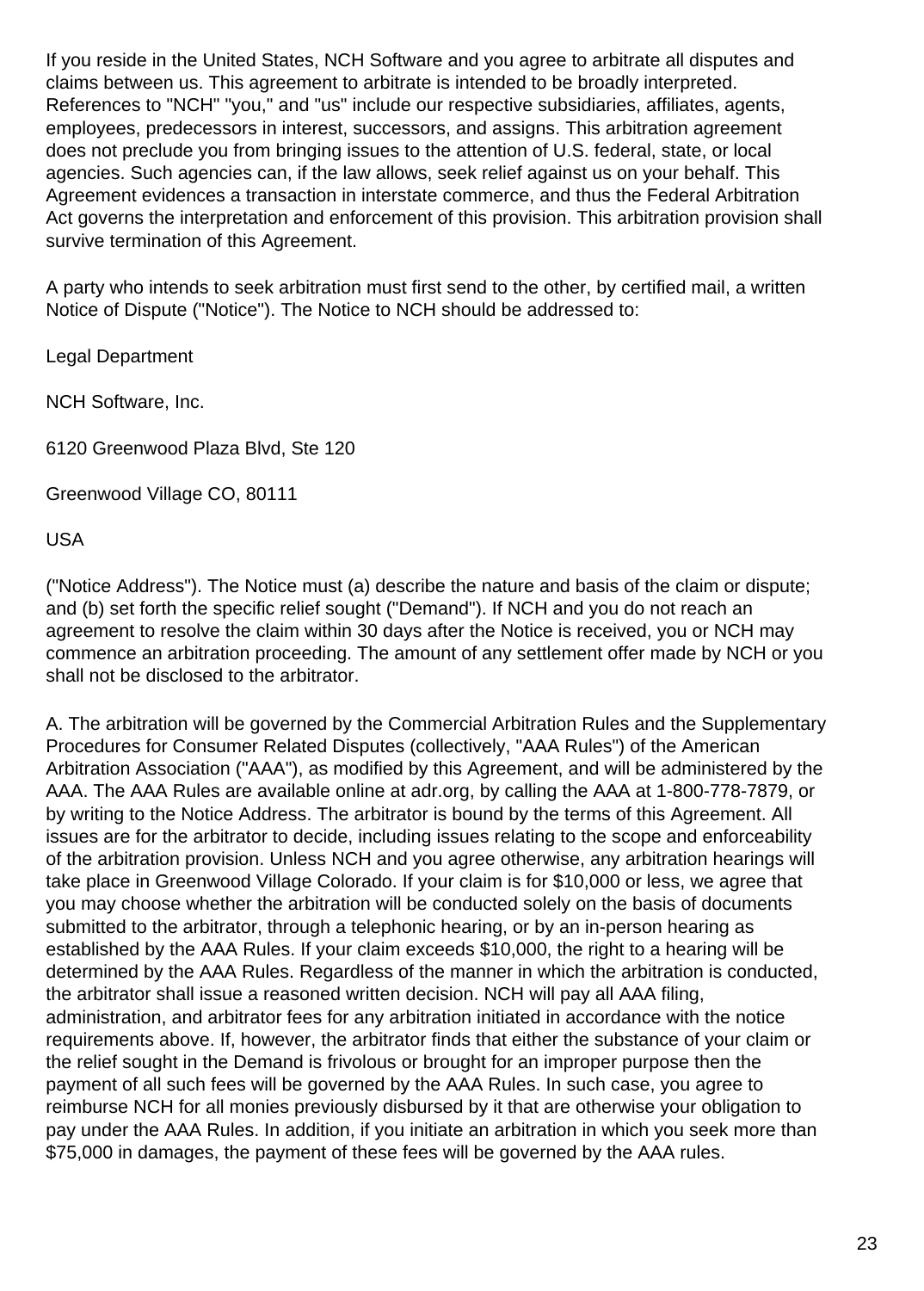If you reside in the United States, NCH Software and you agree to arbitrate all disputes and claims between us. This agreement to arbitrate is intended to be broadly interpreted. References to "NCH" "you," and "us" include our respective subsidiaries, affiliates, agents, employees, predecessors in interest, successors, and assigns. This arbitration agreement does not preclude you from bringing issues to the attention of U.S. federal, state, or local agencies. Such agencies can, if the law allows, seek relief against us on your behalf. This Agreement evidences a transaction in interstate commerce, and thus the Federal Arbitration Act governs the interpretation and enforcement of this provision. This arbitration provision shall survive termination of this Agreement.

A party who intends to seek arbitration must first send to the other, by certified mail, a written Notice of Dispute ("Notice"). The Notice to NCH should be addressed to:

Legal Department

NCH Software, Inc.

6120 Greenwood Plaza Blvd, Ste 120

Greenwood Village CO, 80111

USA

("Notice Address"). The Notice must (a) describe the nature and basis of the claim or dispute; and (b) set forth the specific relief sought ("Demand"). If NCH and you do not reach an agreement to resolve the claim within 30 days after the Notice is received, you or NCH may commence an arbitration proceeding. The amount of any settlement offer made by NCH or you shall not be disclosed to the arbitrator.

A. The arbitration will be governed by the Commercial Arbitration Rules and the Supplementary Procedures for Consumer Related Disputes (collectively, "AAA Rules") of the American Arbitration Association ("AAA"), as modified by this Agreement, and will be administered by the AAA. The AAA Rules are available online at adr.org, by calling the AAA at 1-800-778-7879, or by writing to the Notice Address. The arbitrator is bound by the terms of this Agreement. All issues are for the arbitrator to decide, including issues relating to the scope and enforceability of the arbitration provision. Unless NCH and you agree otherwise, any arbitration hearings will take place in Greenwood Village Colorado. If your claim is for \$10,000 or less, we agree that you may choose whether the arbitration will be conducted solely on the basis of documents submitted to the arbitrator, through a telephonic hearing, or by an in-person hearing as established by the AAA Rules. If your claim exceeds \$10,000, the right to a hearing will be determined by the AAA Rules. Regardless of the manner in which the arbitration is conducted, the arbitrator shall issue a reasoned written decision. NCH will pay all AAA filing, administration, and arbitrator fees for any arbitration initiated in accordance with the notice requirements above. If, however, the arbitrator finds that either the substance of your claim or the relief sought in the Demand is frivolous or brought for an improper purpose then the payment of all such fees will be governed by the AAA Rules. In such case, you agree to reimburse NCH for all monies previously disbursed by it that are otherwise your obligation to pay under the AAA Rules. In addition, if you initiate an arbitration in which you seek more than \$75,000 in damages, the payment of these fees will be governed by the AAA rules.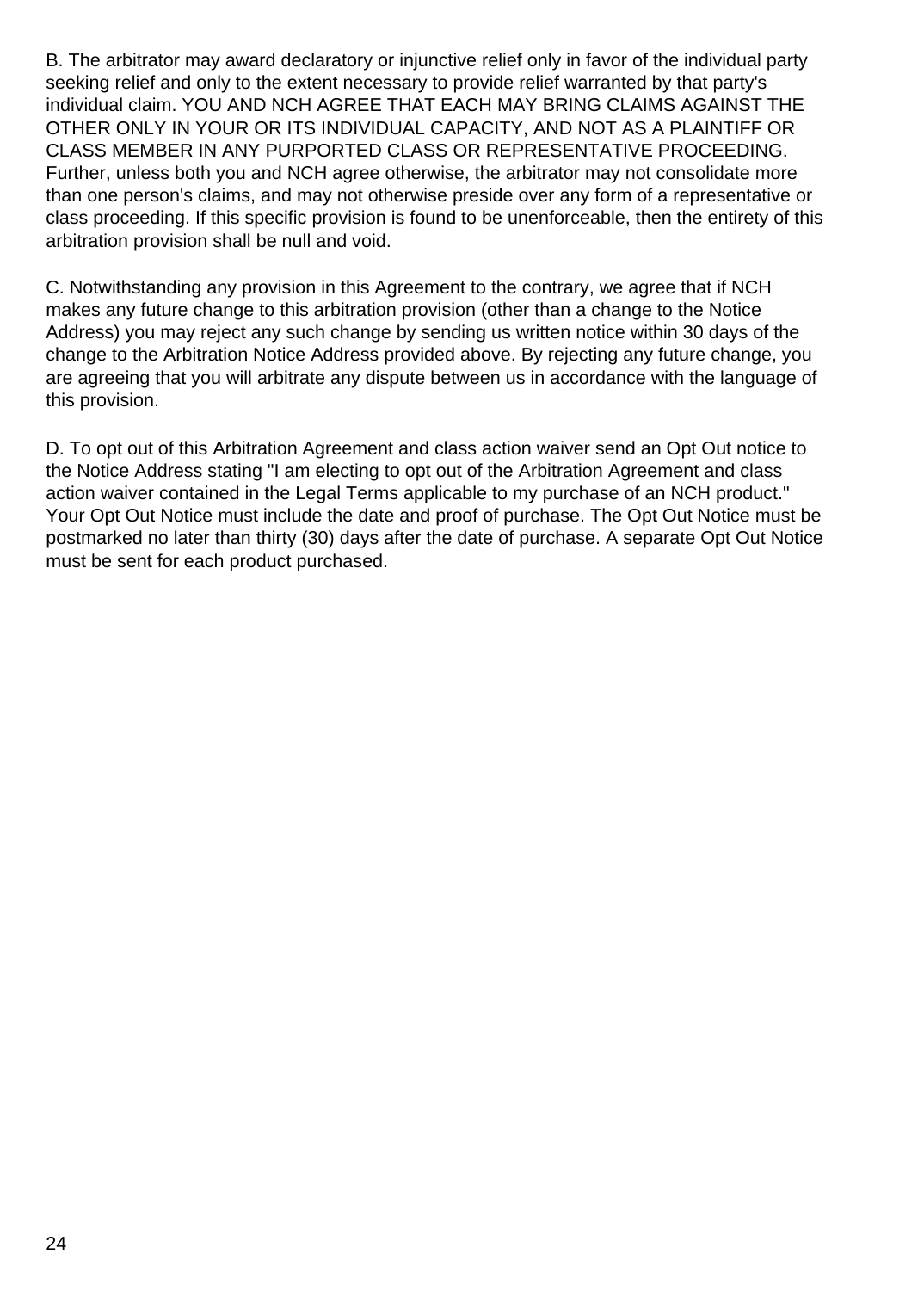B. The arbitrator may award declaratory or injunctive relief only in favor of the individual party seeking relief and only to the extent necessary to provide relief warranted by that party's individual claim. YOU AND NCH AGREE THAT EACH MAY BRING CLAIMS AGAINST THE OTHER ONLY IN YOUR OR ITS INDIVIDUAL CAPACITY, AND NOT AS A PLAINTIFF OR CLASS MEMBER IN ANY PURPORTED CLASS OR REPRESENTATIVE PROCEEDING. Further, unless both you and NCH agree otherwise, the arbitrator may not consolidate more than one person's claims, and may not otherwise preside over any form of a representative or class proceeding. If this specific provision is found to be unenforceable, then the entirety of this arbitration provision shall be null and void.

C. Notwithstanding any provision in this Agreement to the contrary, we agree that if NCH makes any future change to this arbitration provision (other than a change to the Notice Address) you may reject any such change by sending us written notice within 30 days of the change to the Arbitration Notice Address provided above. By rejecting any future change, you are agreeing that you will arbitrate any dispute between us in accordance with the language of this provision.

D. To opt out of this Arbitration Agreement and class action waiver send an Opt Out notice to the Notice Address stating "I am electing to opt out of the Arbitration Agreement and class action waiver contained in the Legal Terms applicable to my purchase of an NCH product." Your Opt Out Notice must include the date and proof of purchase. The Opt Out Notice must be postmarked no later than thirty (30) days after the date of purchase. A separate Opt Out Notice must be sent for each product purchased.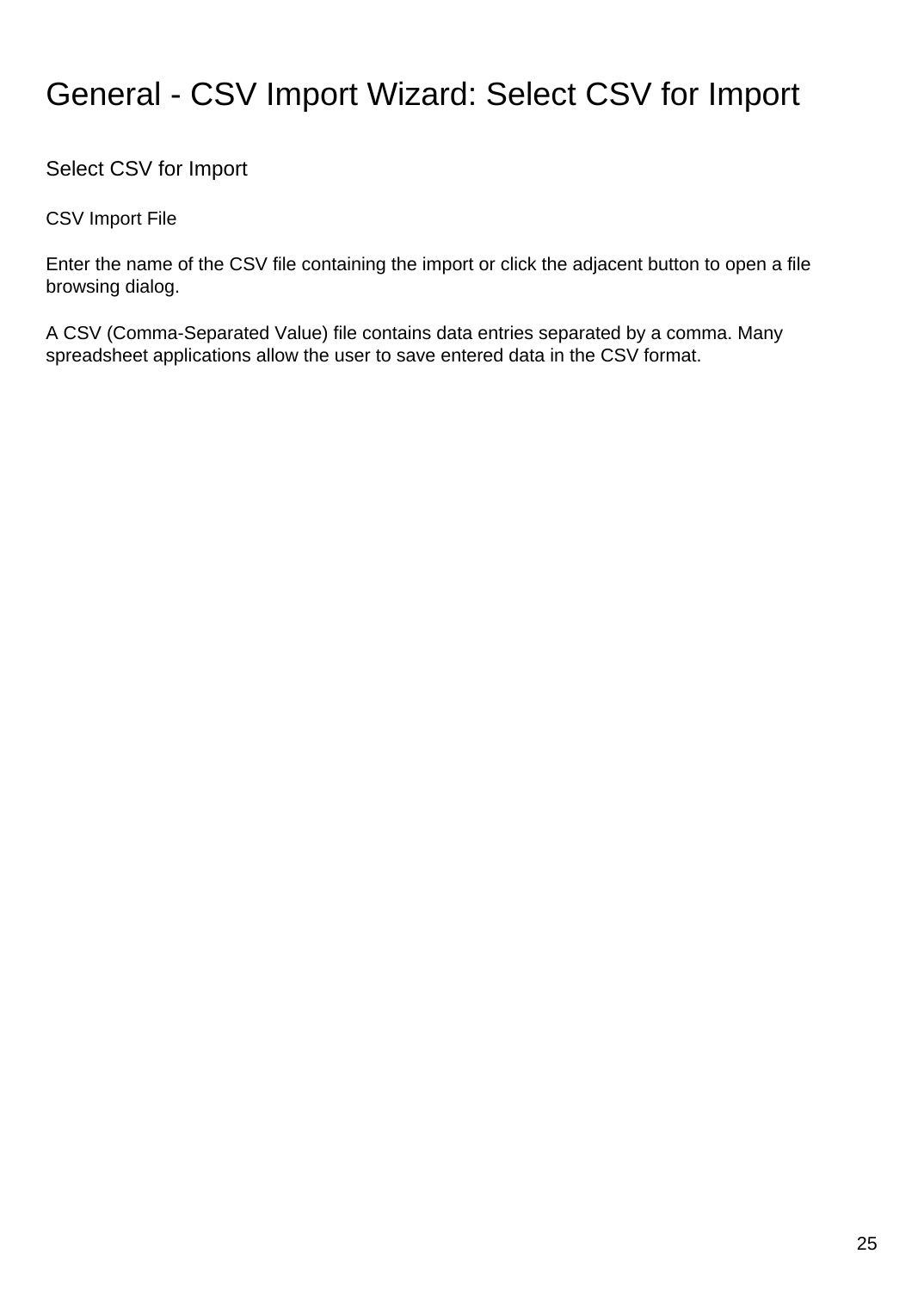### General - CSV Import Wizard: Select CSV for Import

Select CSV for Import

CSV Import File

Enter the name of the CSV file containing the import or click the adjacent button to open a file browsing dialog.

A CSV (Comma-Separated Value) file contains data entries separated by a comma. Many spreadsheet applications allow the user to save entered data in the CSV format.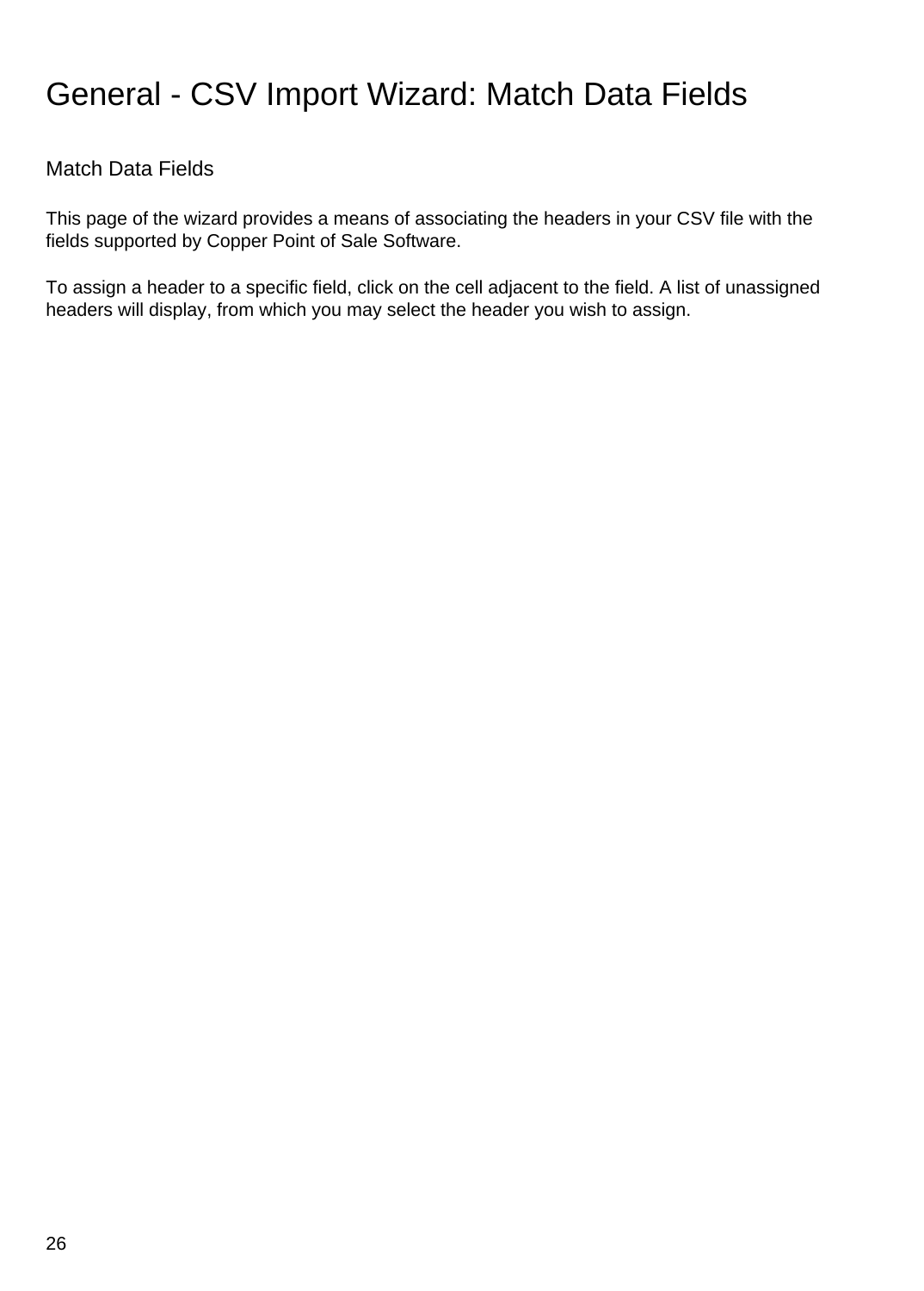### General - CSV Import Wizard: Match Data Fields

### Match Data Fields

This page of the wizard provides a means of associating the headers in your CSV file with the fields supported by Copper Point of Sale Software.

To assign a header to a specific field, click on the cell adjacent to the field. A list of unassigned headers will display, from which you may select the header you wish to assign.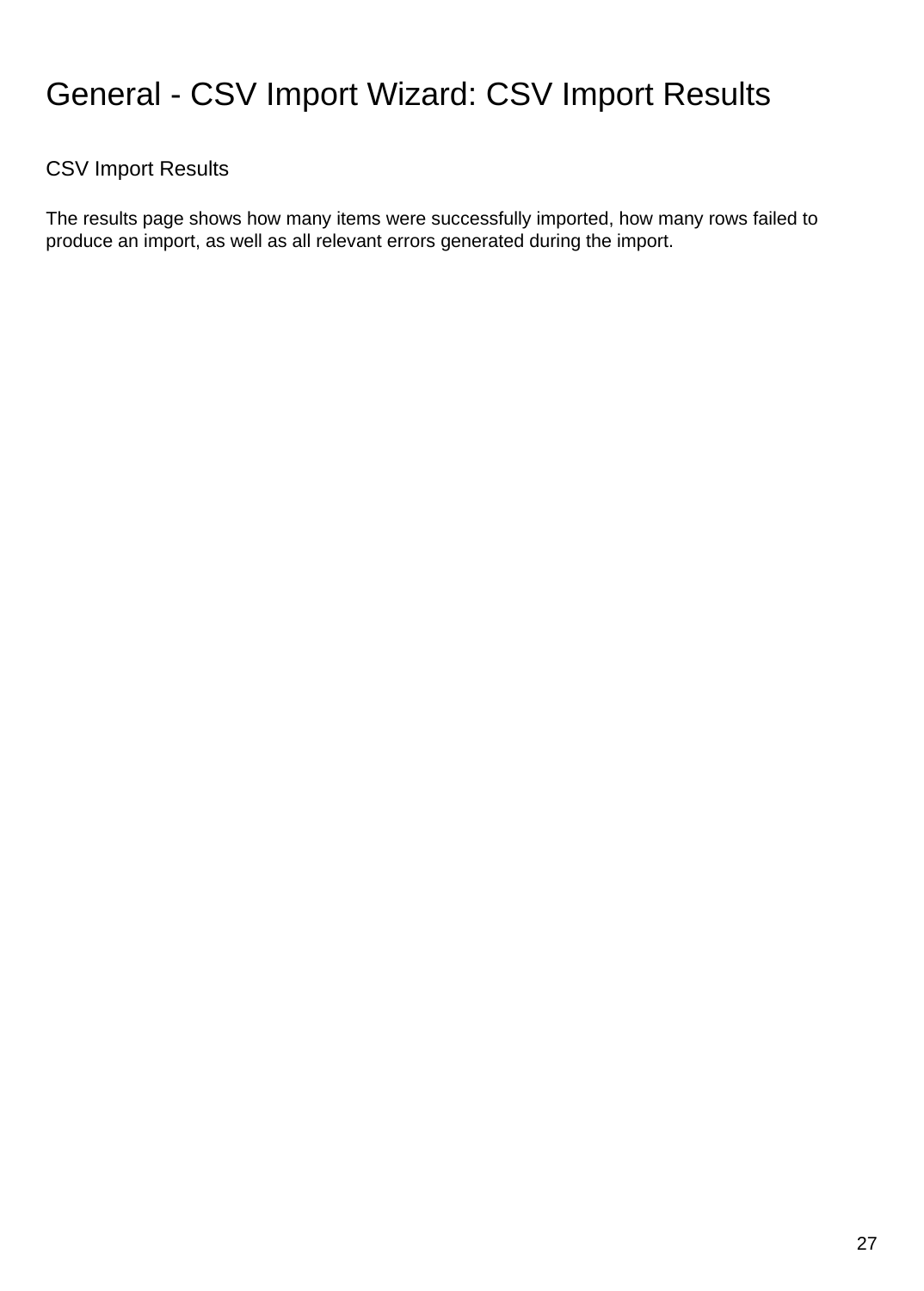### General - CSV Import Wizard: CSV Import Results

### CSV Import Results

The results page shows how many items were successfully imported, how many rows failed to produce an import, as well as all relevant errors generated during the import.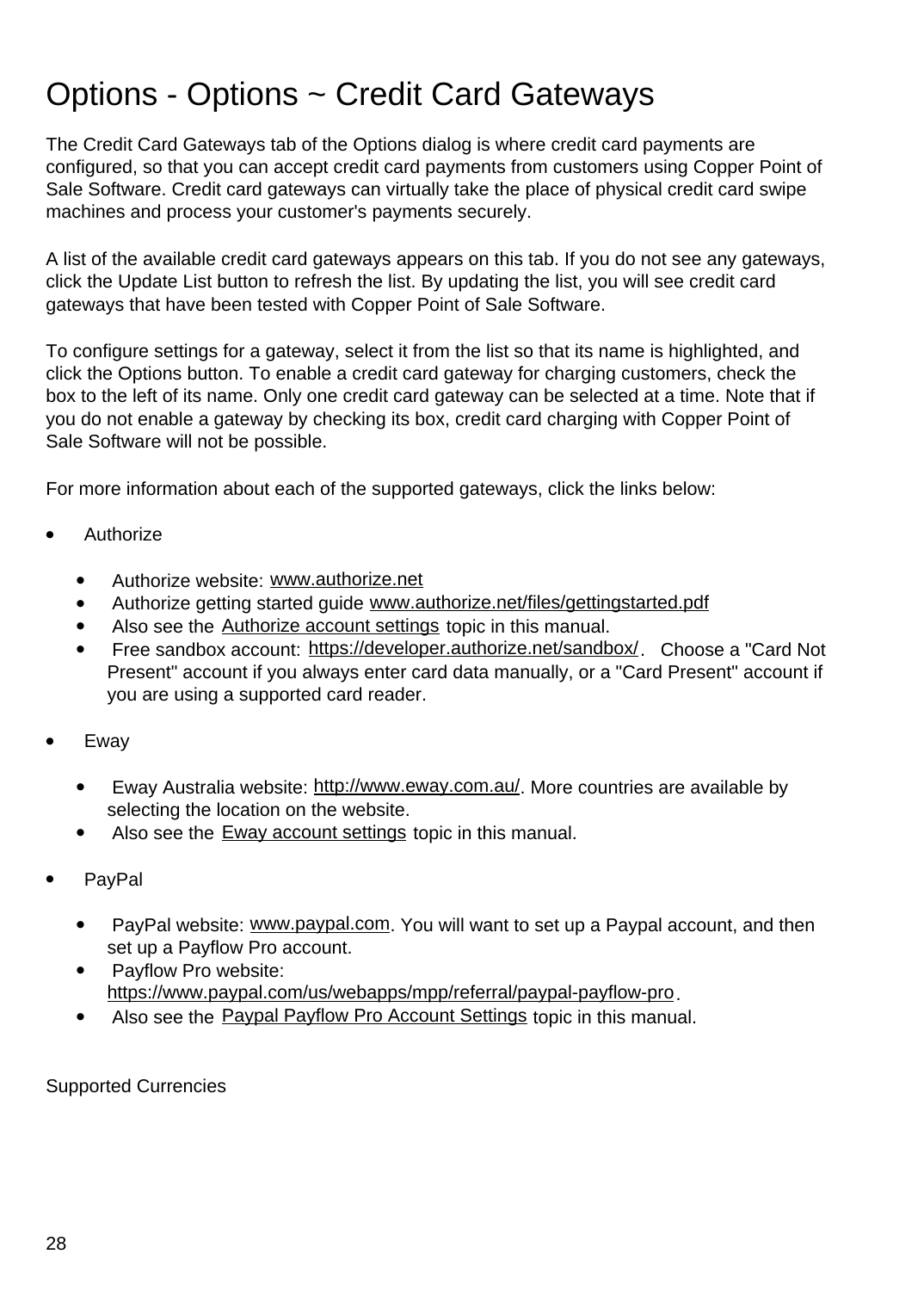### Options - Options ~ Credit Card Gateways

The Credit Card Gateways tab of the Options dialog is where credit card payments are configured, so that you can accept credit card payments from customers using Copper Point of Sale Software. Credit card gateways can virtually take the place of physical credit card swipe machines and process your customer's payments securely.

A list of the available credit card gateways appears on this tab. If you do not see any gateways, click the Update List button to refresh the list. By updating the list, you will see credit card gateways that have been tested with Copper Point of Sale Software.

To configure settings for a gateway, select it from the list so that its name is highlighted, and click the Options button. To enable a credit card gateway for charging customers, check the box to the left of its name. Only one credit card gateway can be selected at a time. Note that if you do not enable a gateway by checking its box, credit card charging with Copper Point of Sale Software will not be possible.

For more information about each of the supported gateways, click the links below:

- **Authorize** 
	- Authorize website: [www.authorize.net](http://www.authorize.net/)
	- Authorize getting started guide [www.authorize.net/files/gettingstarted.pdf](http://www.authorize.net/files/gettingstarted.pdf)
	- Also see the [Authorize account settings](authorize.html) topic in this manual.
	- Free sandbox account: <https://developer.authorize.net/sandbox/>. Choose a "Card Not Present" account if you always enter card data manually, or a "Card Present" account if you are using a supported card reader.
- Eway
	- Eway Australia website: <http://www.eway.com.au/>. More countries are available by selecting the location on the website.
	- Also see the [Eway account settings](eway.html) topic in this manual.
- PayPal
	- PayPal website: [www.paypal.com](http://www.paypal.com/). You will want to set up a Paypal account, and then set up a Payflow Pro account.
	- Payflow Pro website: <https://www.paypal.com/us/webapps/mpp/referral/paypal-payflow-pro>.
	- Also see the [Paypal Payflow Pro Account Settings](payflowpro.html) topic in this manual.

Supported Currencies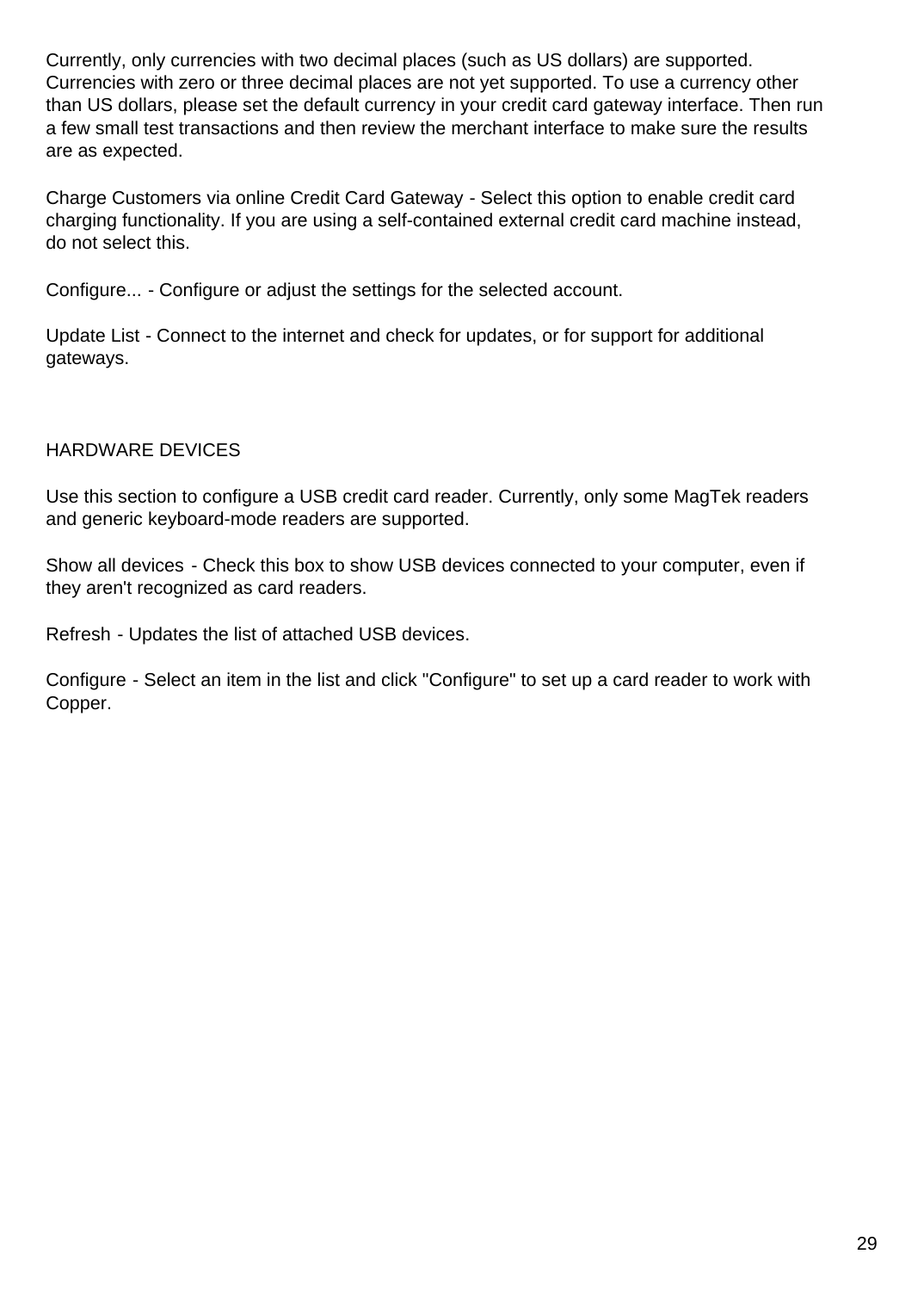Currently, only currencies with two decimal places (such as US dollars) are supported. Currencies with zero or three decimal places are not yet supported. To use a currency other than US dollars, please set the default currency in your credit card gateway interface. Then run a few small test transactions and then review the merchant interface to make sure the results are as expected.

Charge Customers via online Credit Card Gateway - Select this option to enable credit card charging functionality. If you are using a self-contained external credit card machine instead, do not select this.

Configure... - Configure or adjust the settings for the selected account.

Update List - Connect to the internet and check for updates, or for support for additional gateways.

#### HARDWARE DEVICES

Use this section to configure a USB credit card reader. Currently, only some MagTek readers and generic keyboard-mode readers are supported.

Show all devices - Check this box to show USB devices connected to your computer, even if they aren't recognized as card readers.

Refresh - Updates the list of attached USB devices.

Configure - Select an item in the list and click "Configure" to set up a card reader to work with Copper.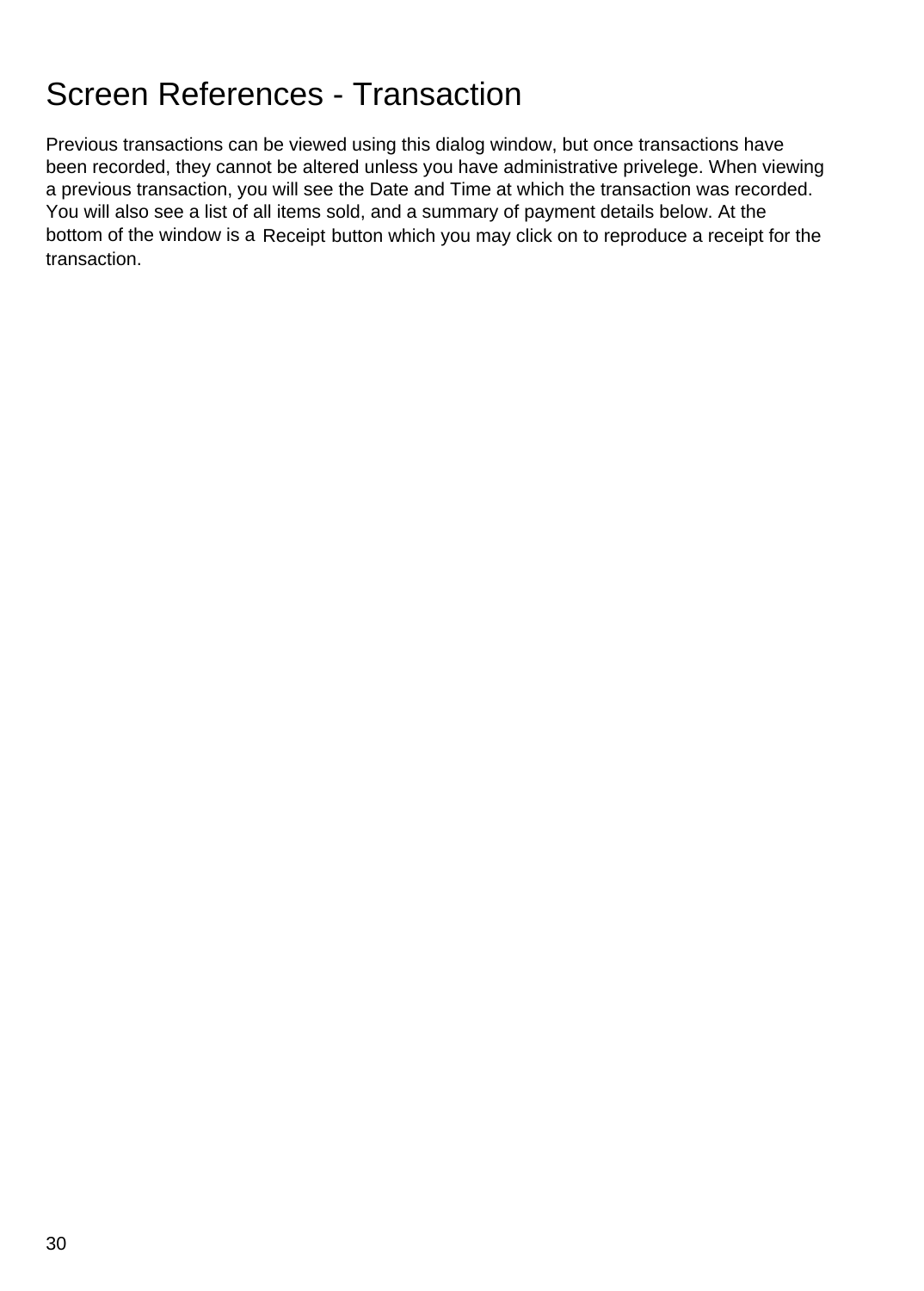### Screen References - Transaction

Previous transactions can be viewed using this dialog window, but once transactions have been recorded, they cannot be altered unless you have administrative privelege. When viewing a previous transaction, you will see the Date and Time at which the transaction was recorded. You will also see a list of all items sold, and a summary of payment details below. At the bottom of the window is a Receipt button which you may click on to reproduce a receipt for the transaction.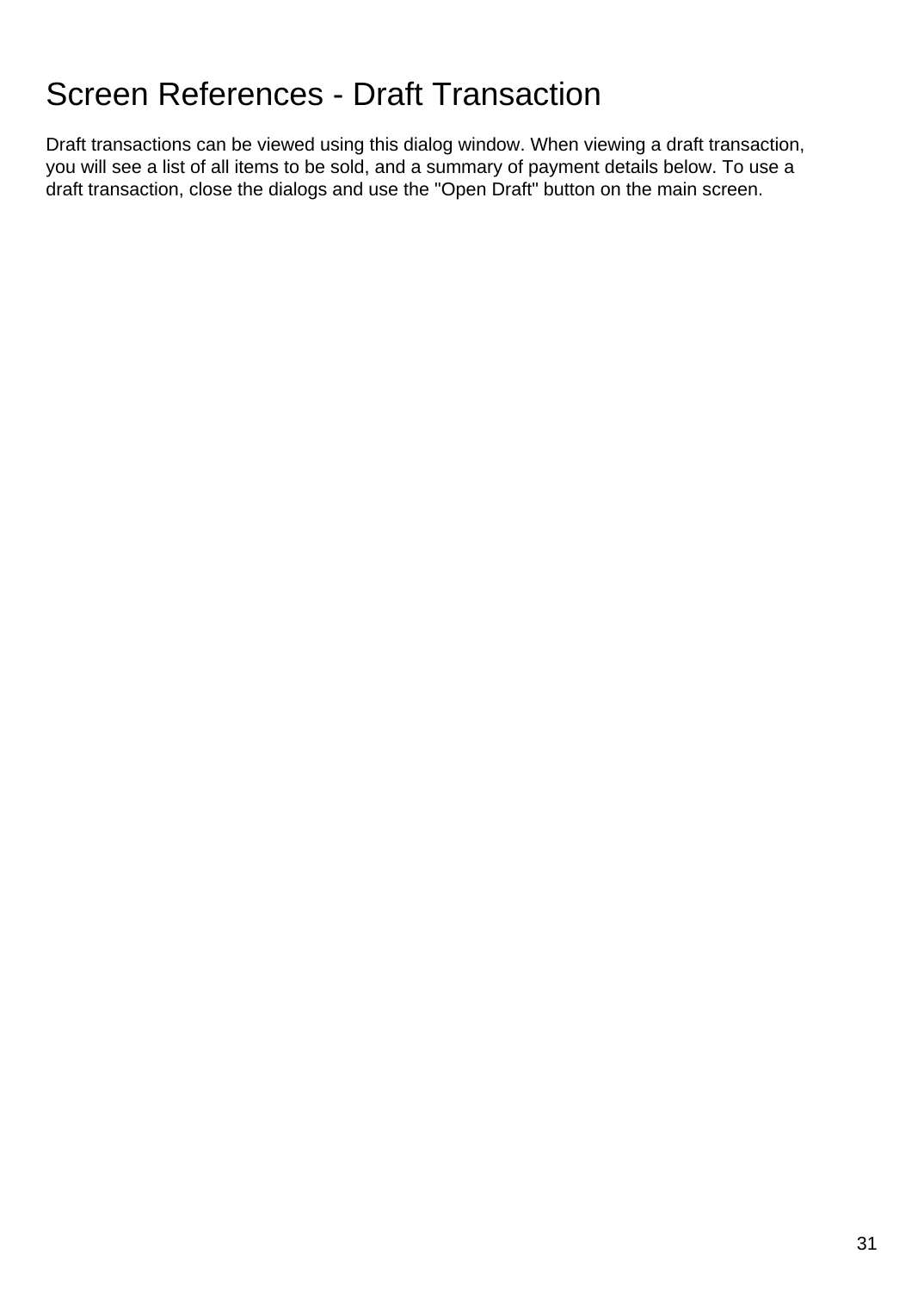# Screen References - Draft Transaction

Draft transactions can be viewed using this dialog window. When viewing a draft transaction, you will see a list of all items to be sold, and a summary of payment details below. To use a draft transaction, close the dialogs and use the "Open Draft" button on the main screen.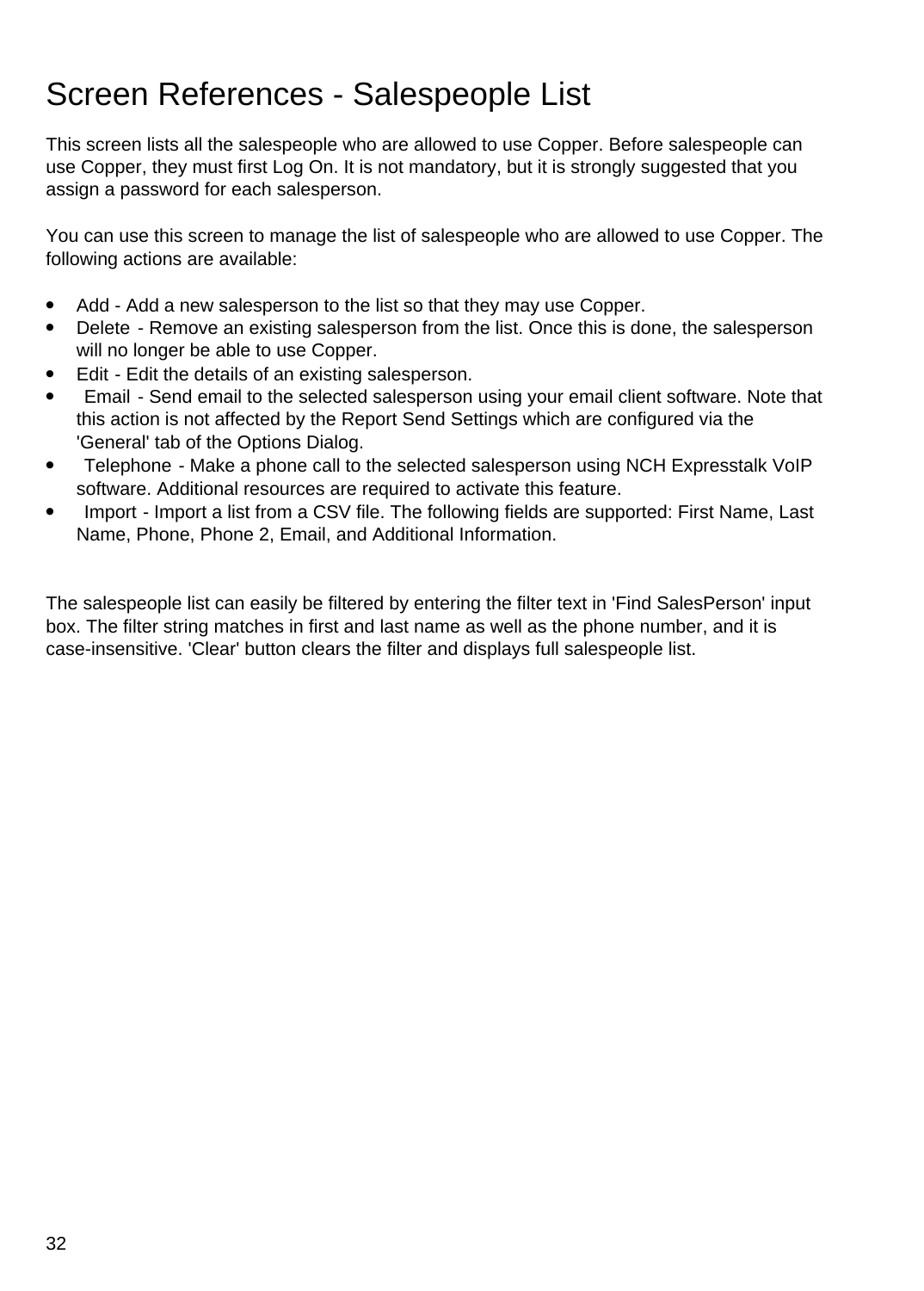### Screen References - Salespeople List

This screen lists all the salespeople who are allowed to use Copper. Before salespeople can use Copper, they must first Log On. It is not mandatory, but it is strongly suggested that you assign a password for each salesperson.

You can use this screen to manage the list of salespeople who are allowed to use Copper. The following actions are available:

- Add Add a new salesperson to the list so that they may use Copper.
- Delete Remove an existing salesperson from the list. Once this is done, the salesperson will no longer be able to use Copper.
- Edit Edit the details of an existing salesperson.
- Email Send email to the selected salesperson using your email client software. Note that this action is not affected by the Report Send Settings which are configured via the 'General' tab of the Options Dialog.
- Telephone Make a phone call to the selected salesperson using NCH Expresstalk VoIP software. Additional resources are required to activate this feature.
- Import Import a list from a CSV file. The following fields are supported: First Name, Last Name, Phone, Phone 2, Email, and Additional Information.

The salespeople list can easily be filtered by entering the filter text in 'Find SalesPerson' input box. The filter string matches in first and last name as well as the phone number, and it is case-insensitive. 'Clear' button clears the filter and displays full salespeople list.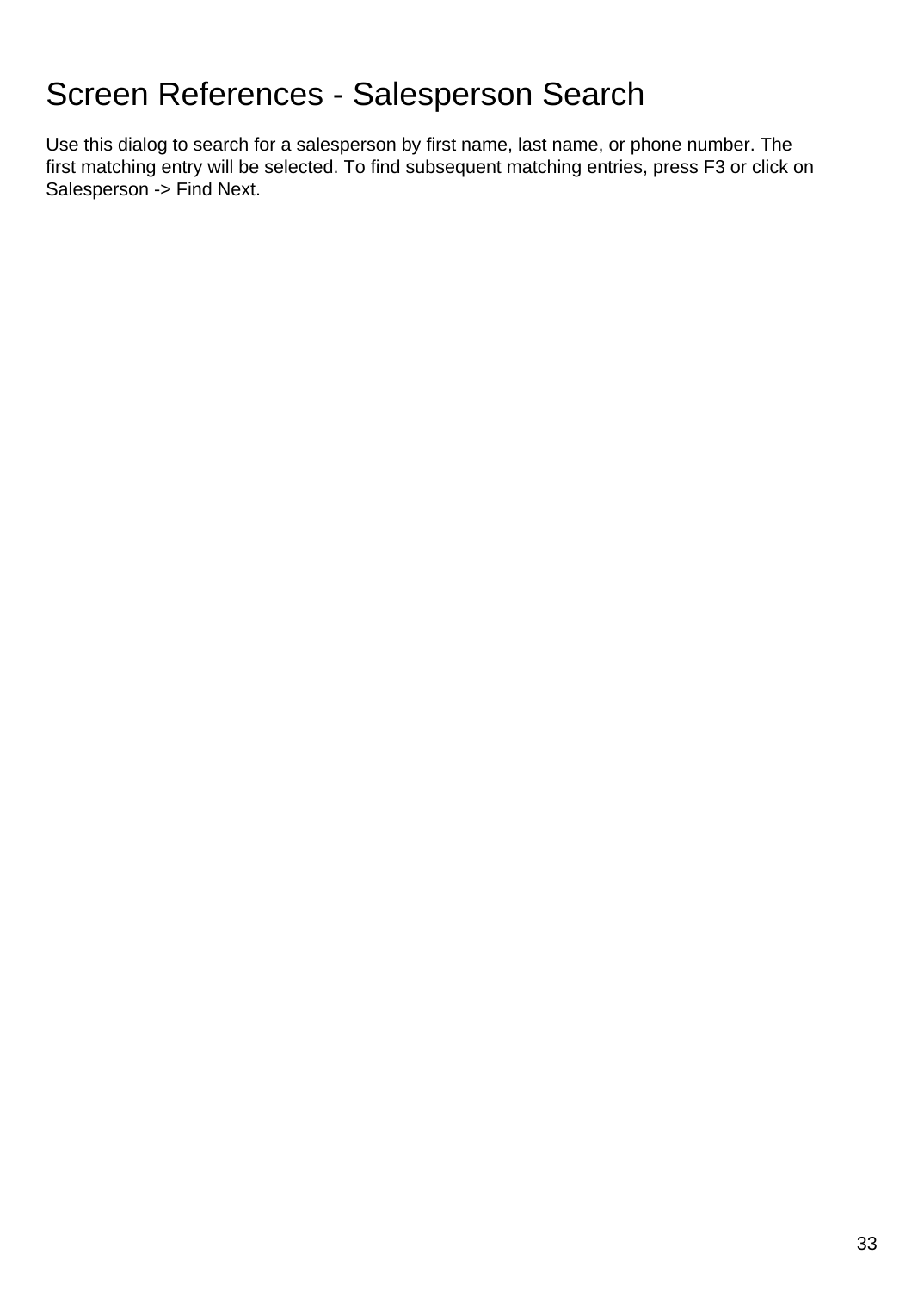# Screen References - Salesperson Search

Use this dialog to search for a salesperson by first name, last name, or phone number. The first matching entry will be selected. To find subsequent matching entries, press F3 or click on Salesperson -> Find Next.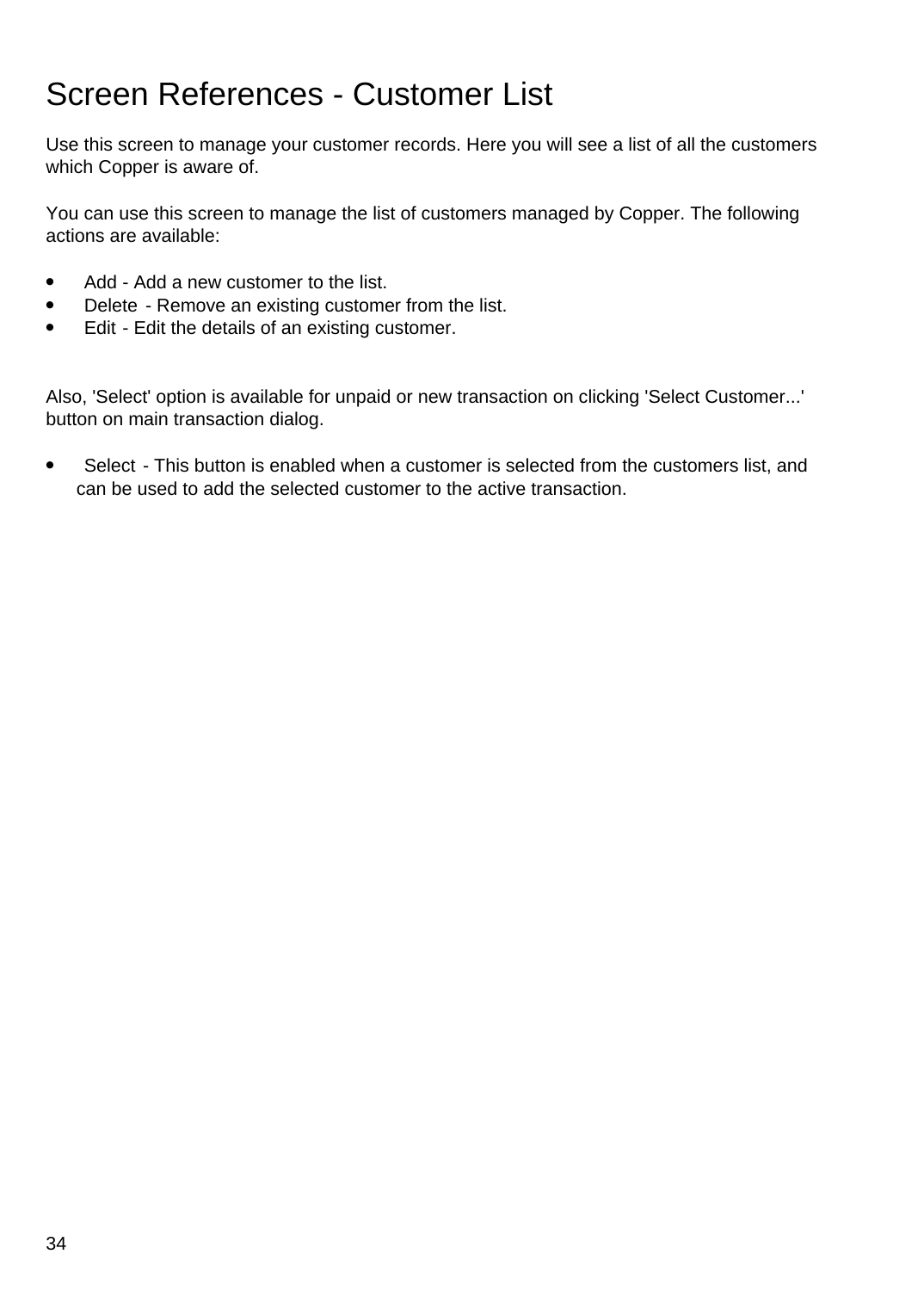### Screen References - Customer List

Use this screen to manage your customer records. Here you will see a list of all the customers which Copper is aware of.

You can use this screen to manage the list of customers managed by Copper. The following actions are available:

- Add Add a new customer to the list.
- Delete Remove an existing customer from the list.
- Edit Edit the details of an existing customer.

Also, 'Select' option is available for unpaid or new transaction on clicking 'Select Customer...' button on main transaction dialog.

• Select - This button is enabled when a customer is selected from the customers list, and can be used to add the selected customer to the active transaction.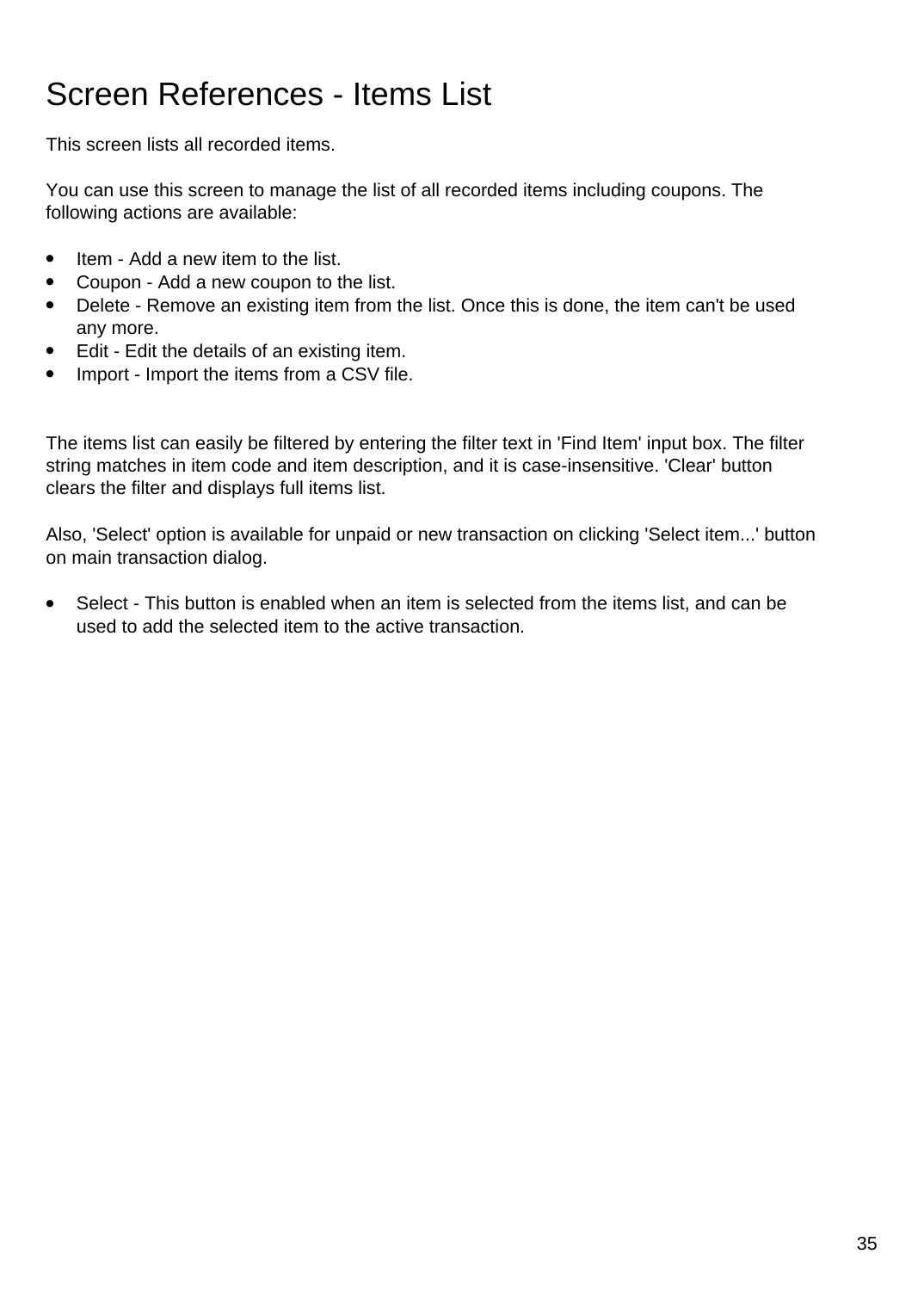# Screen References - Items List

This screen lists all recorded items.

You can use this screen to manage the list of all recorded items including coupons. The following actions are available:

- Item Add a new item to the list.
- Coupon Add a new coupon to the list.
- Delete Remove an existing item from the list. Once this is done, the item can't be used any more.
- Edit Edit the details of an existing item.
- Import Import the items from a CSV file.

The items list can easily be filtered by entering the filter text in 'Find Item' input box. The filter string matches in item code and item description, and it is case-insensitive. 'Clear' button clears the filter and displays full items list.

Also, 'Select' option is available for unpaid or new transaction on clicking 'Select item...' button on main transaction dialog.

• Select - This button is enabled when an item is selected from the items list, and can be used to add the selected item to the active transaction.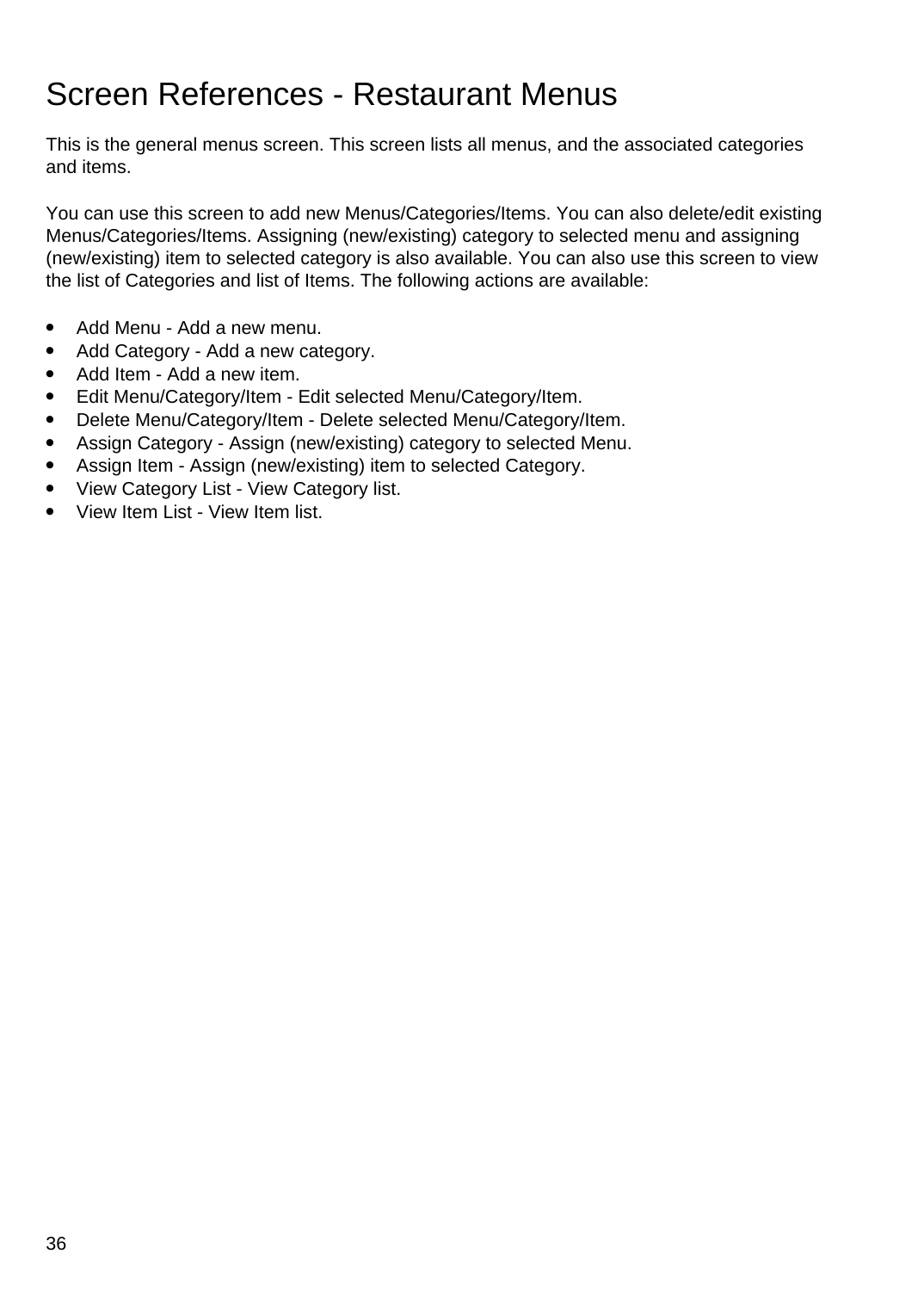## Screen References - Restaurant Menus

This is the general menus screen. This screen lists all menus, and the associated categories and items.

You can use this screen to add new Menus/Categories/Items. You can also delete/edit existing Menus/Categories/Items. Assigning (new/existing) category to selected menu and assigning (new/existing) item to selected category is also available. You can also use this screen to view the list of Categories and list of Items. The following actions are available:

- Add Menu Add a new menu.
- Add Category Add a new category.
- Add Item Add a new item.
- Edit Menu/Category/Item Edit selected Menu/Category/Item.
- Delete Menu/Category/Item Delete selected Menu/Category/Item.
- Assign Category Assign (new/existing) category to selected Menu.
- Assign Item Assign (new/existing) item to selected Category.
- View Category List View Category list.
- View Item List View Item list.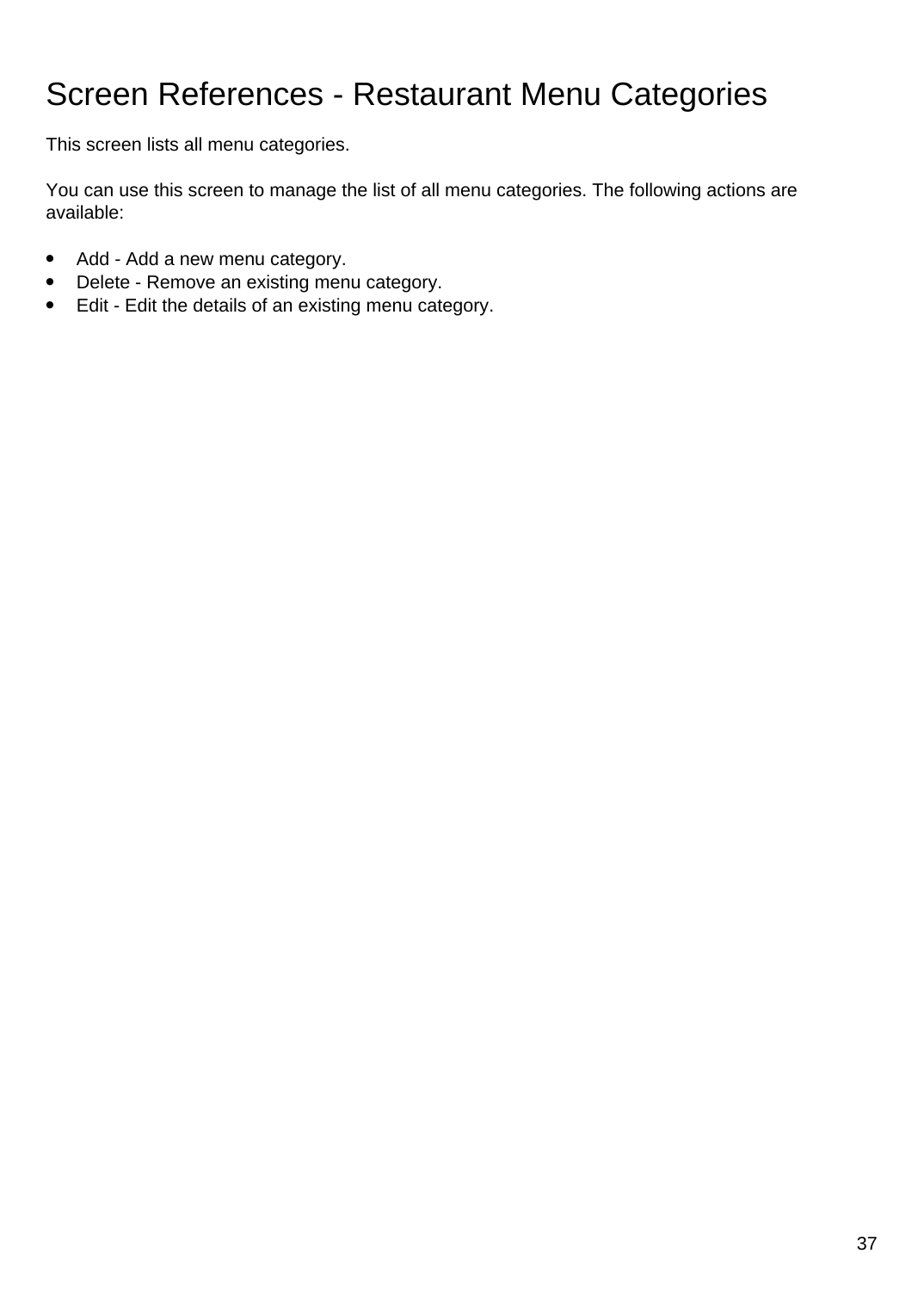# Screen References - Restaurant Menu Categories

This screen lists all menu categories.

You can use this screen to manage the list of all menu categories. The following actions are available:

- Add Add a new menu category.
- Delete Remove an existing menu category.
- Edit Edit the details of an existing menu category.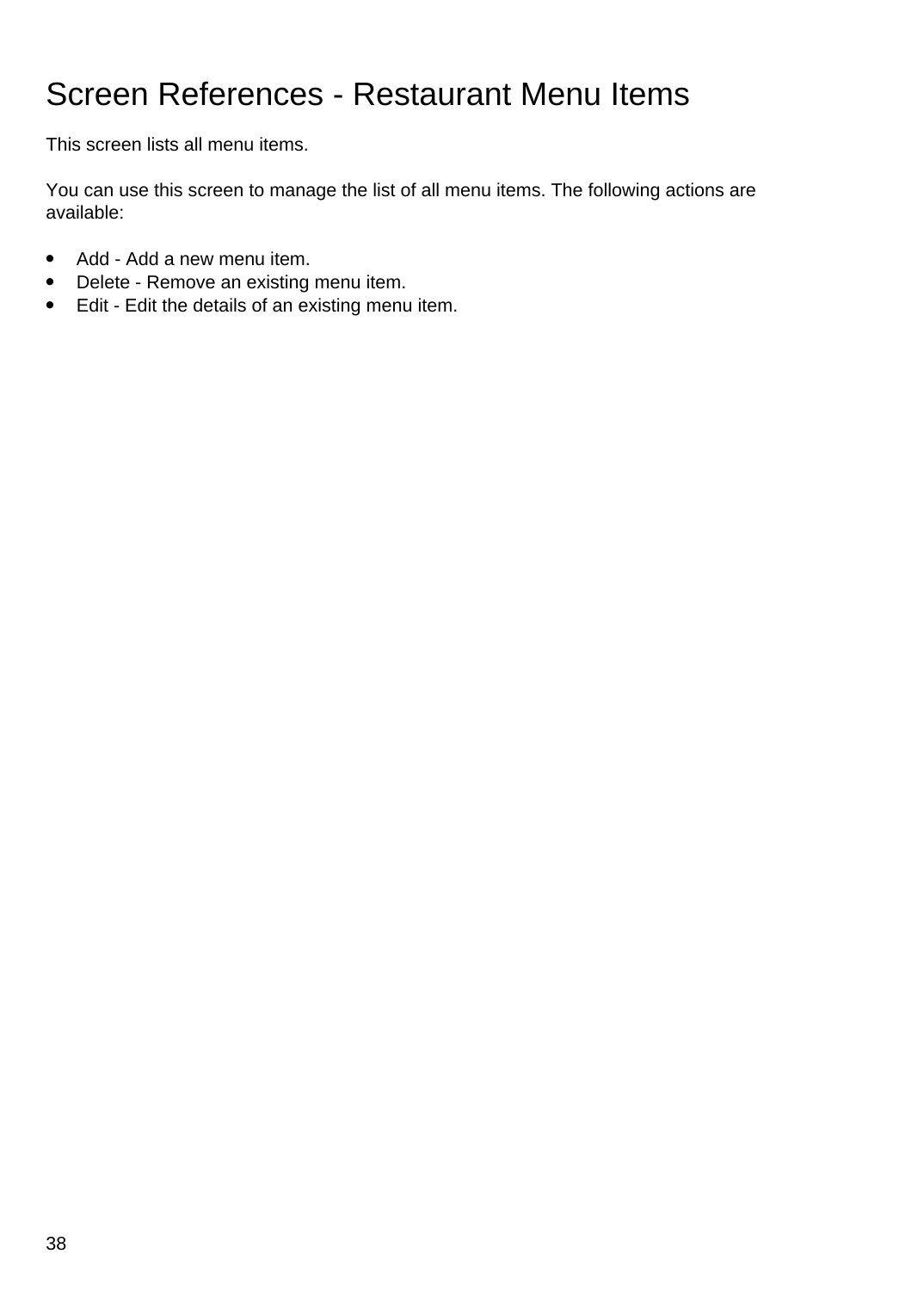# Screen References - Restaurant Menu Items

This screen lists all menu items.

You can use this screen to manage the list of all menu items. The following actions are available:

- Add Add a new menu item.
- Delete Remove an existing menu item.
- Edit Edit the details of an existing menu item.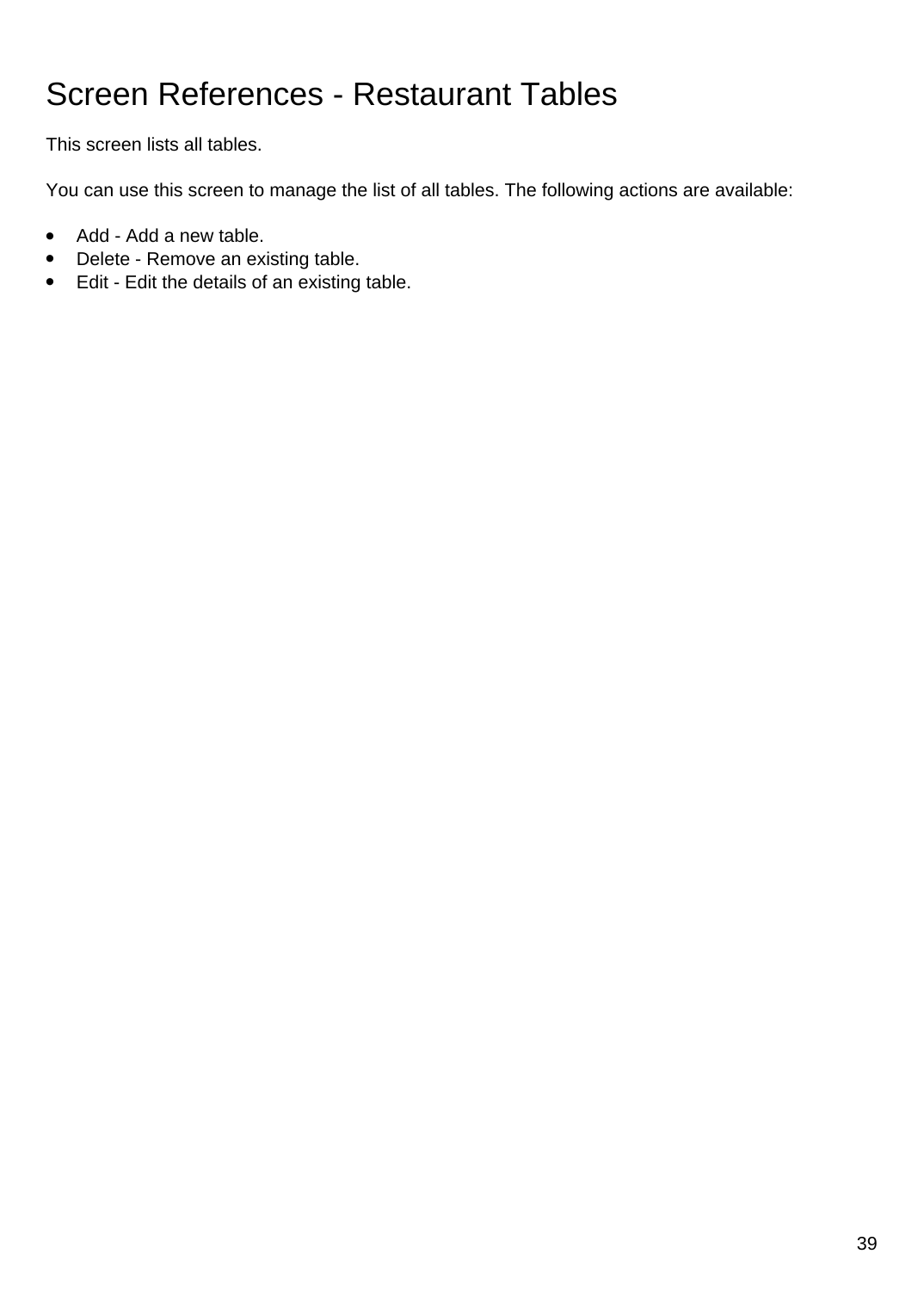# Screen References - Restaurant Tables

This screen lists all tables.

You can use this screen to manage the list of all tables. The following actions are available:

- Add Add a new table.
- Delete Remove an existing table.
- Edit Edit the details of an existing table.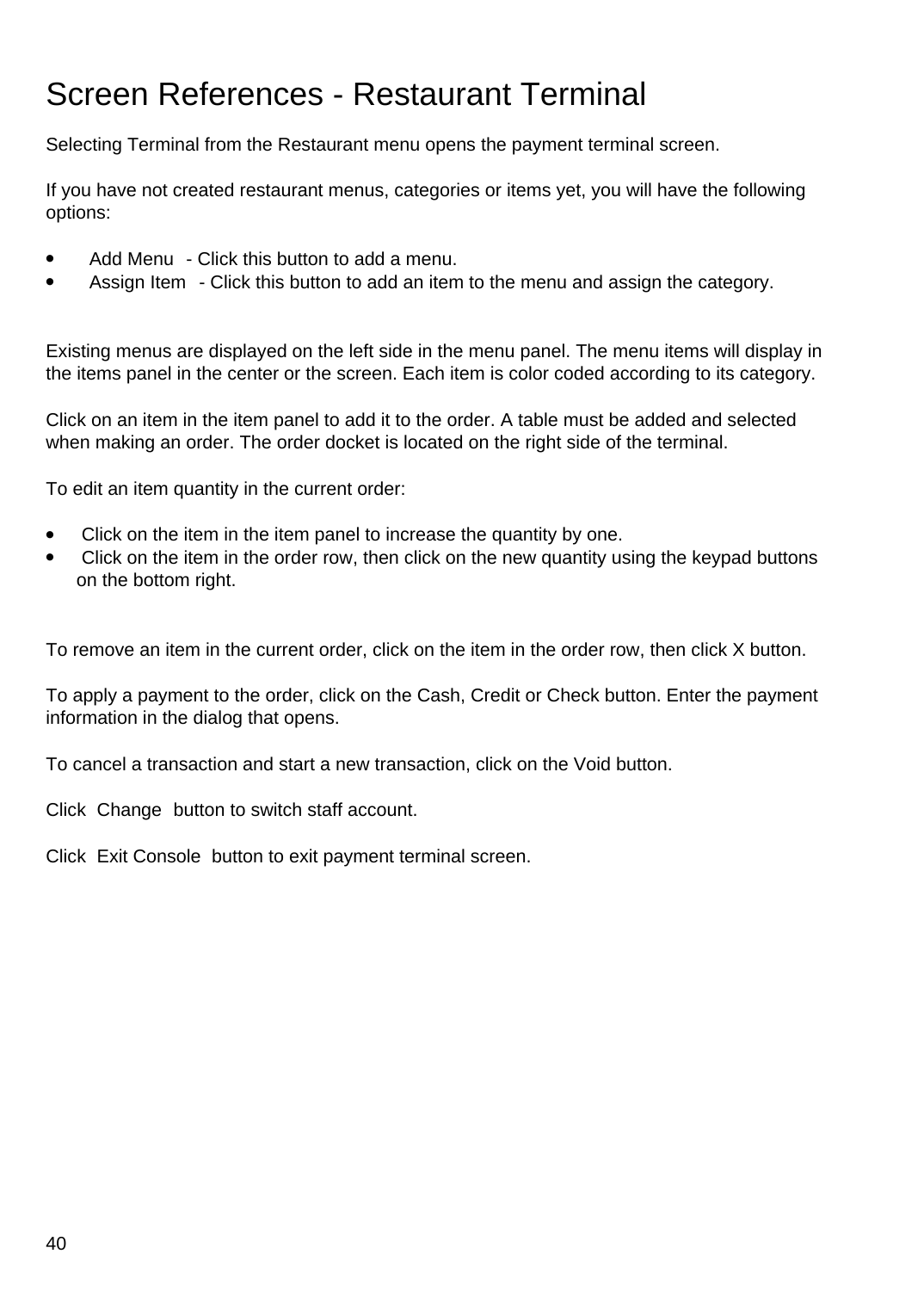# Screen References - Restaurant Terminal

Selecting Terminal from the Restaurant menu opens the payment terminal screen.

If you have not created restaurant menus, categories or items yet, you will have the following options:

- Add Menu Click this button to add a menu.
- Assign Item Click this button to add an item to the menu and assign the category.

Existing menus are displayed on the left side in the menu panel. The menu items will display in the items panel in the center or the screen. Each item is color coded according to its category.

Click on an item in the item panel to add it to the order. A table must be added and selected when making an order. The order docket is located on the right side of the terminal.

To edit an item quantity in the current order:

- Click on the item in the item panel to increase the quantity by one.
- Click on the item in the order row, then click on the new quantity using the keypad buttons on the bottom right.

To remove an item in the current order, click on the item in the order row, then click X button.

To apply a payment to the order, click on the Cash, Credit or Check button. Enter the payment information in the dialog that opens.

To cancel a transaction and start a new transaction, click on the Void button.

Click Change button to switch staff account.

Click Exit Console button to exit payment terminal screen.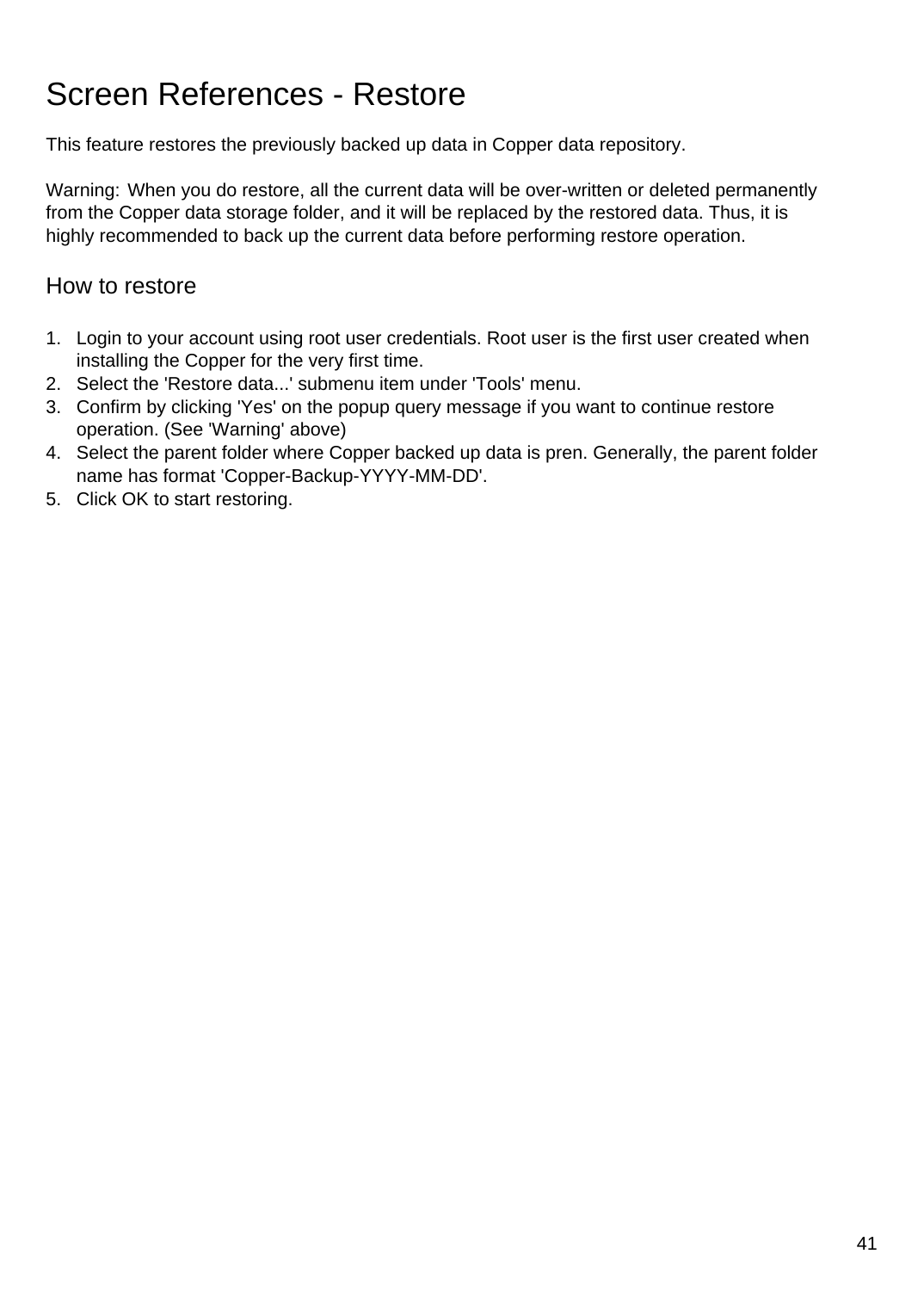# Screen References - Restore

This feature restores the previously backed up data in Copper data repository.

Warning: When you do restore, all the current data will be over-written or deleted permanently from the Copper data storage folder, and it will be replaced by the restored data. Thus, it is highly recommended to back up the current data before performing restore operation.

### How to restore

- 1. Login to your account using root user credentials. Root user is the first user created when installing the Copper for the very first time.
- 2. Select the 'Restore data...' submenu item under 'Tools' menu.
- 3. Confirm by clicking 'Yes' on the popup query message if you want to continue restore operation. (See 'Warning' above)
- 4. Select the parent folder where Copper backed up data is pren. Generally, the parent folder name has format 'Copper-Backup-YYYY-MM-DD'.
- 5. Click OK to start restoring.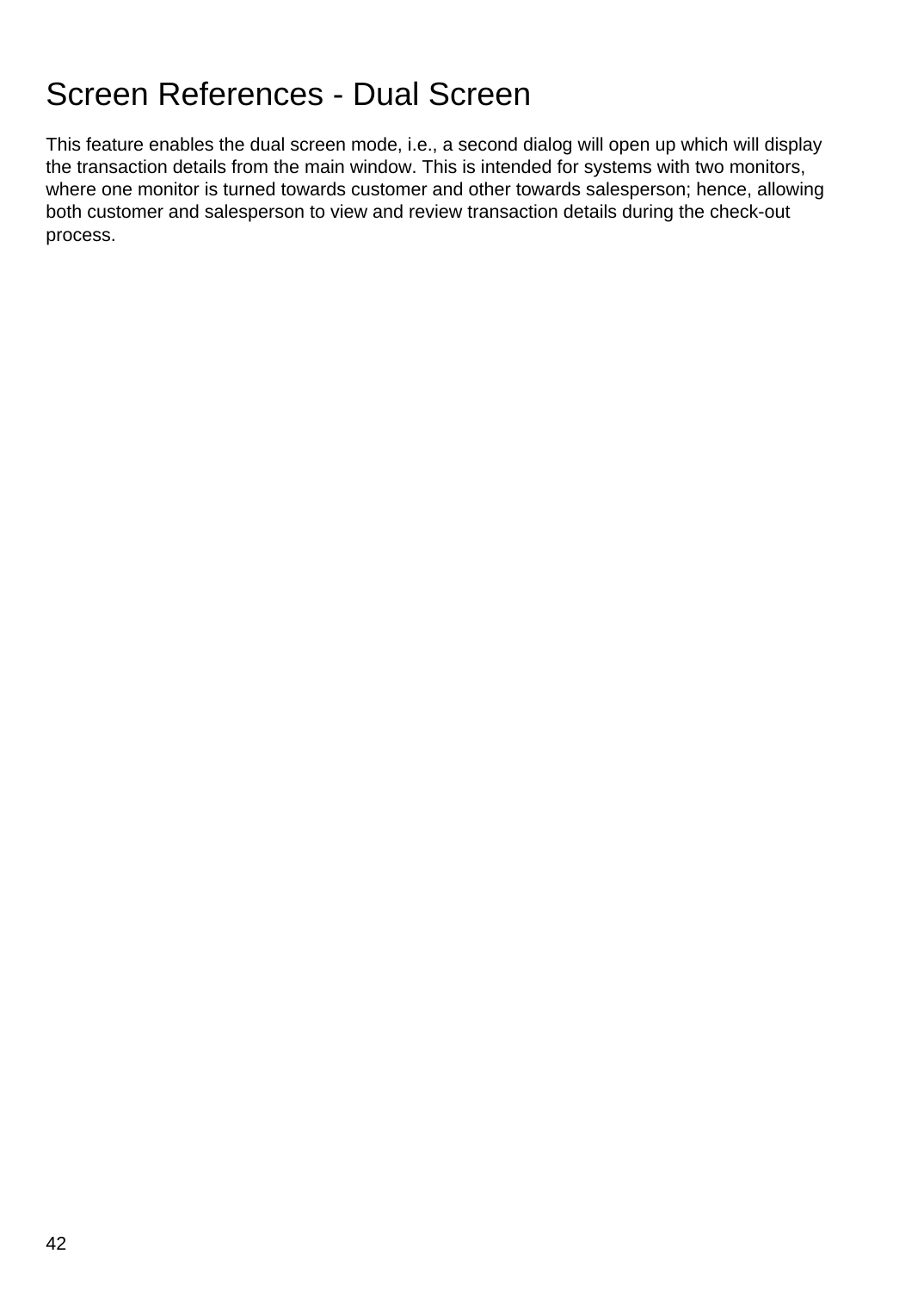# Screen References - Dual Screen

This feature enables the dual screen mode, i.e., a second dialog will open up which will display the transaction details from the main window. This is intended for systems with two monitors, where one monitor is turned towards customer and other towards salesperson; hence, allowing both customer and salesperson to view and review transaction details during the check-out process.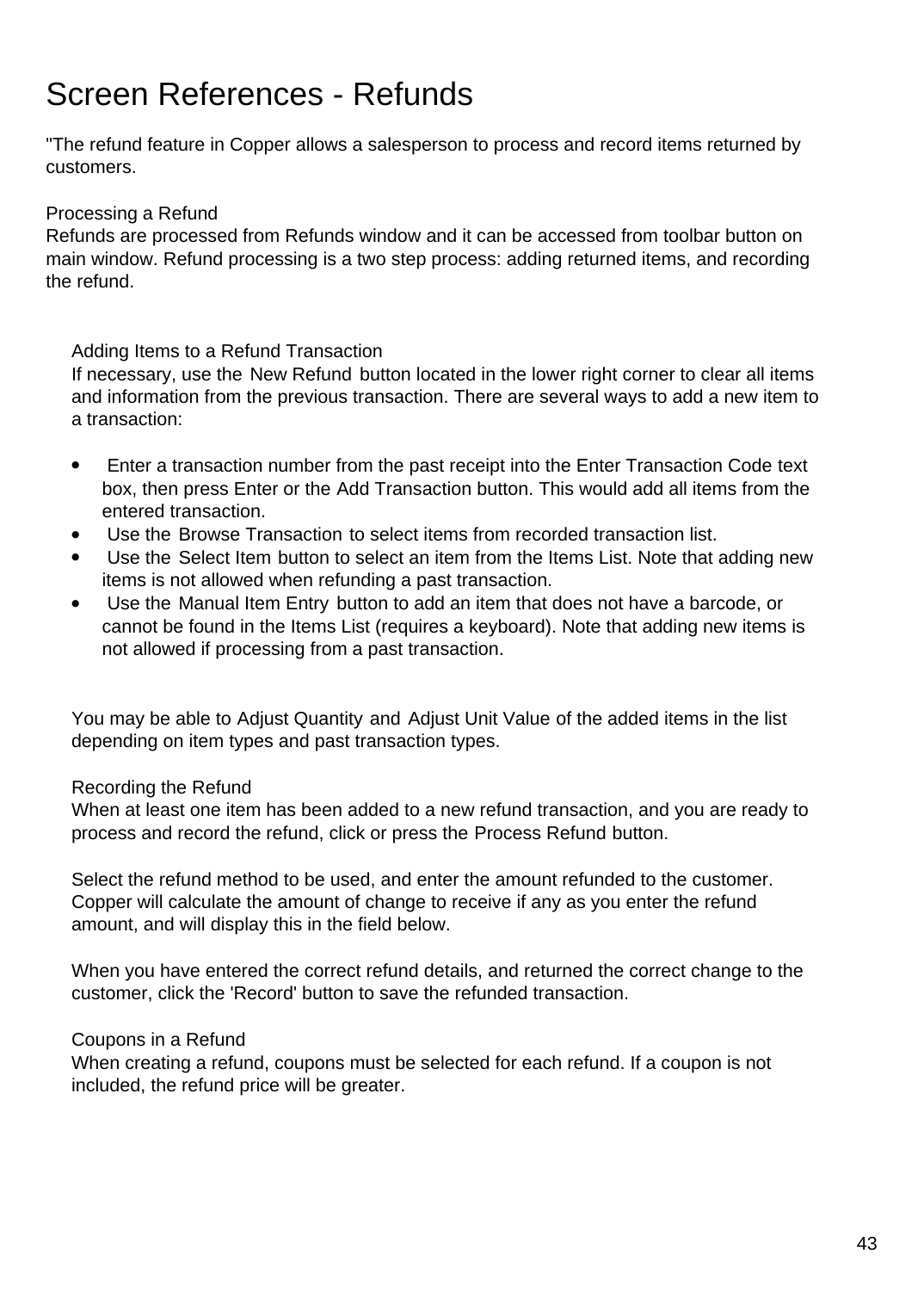# Screen References - Refunds

"The refund feature in Copper allows a salesperson to process and record items returned by customers.

#### Processing a Refund

Refunds are processed from Refunds window and it can be accessed from toolbar button on main window. Refund processing is a two step process: adding returned items, and recording the refund.

Adding Items to a Refund Transaction

If necessary, use the New Refund button located in the lower right corner to clear all items and information from the previous transaction. There are several ways to add a new item to a transaction:

- Enter a transaction number from the past receipt into the Enter Transaction Code text box, then press Enter or the Add Transaction button. This would add all items from the entered transaction.
- Use the Browse Transaction to select items from recorded transaction list.
- Use the Select Item button to select an item from the Items List. Note that adding new items is not allowed when refunding a past transaction.
- Use the Manual Item Entry button to add an item that does not have a barcode, or cannot be found in the Items List (requires a keyboard). Note that adding new items is not allowed if processing from a past transaction.

You may be able to Adjust Quantity and Adjust Unit Value of the added items in the list depending on item types and past transaction types.

#### Recording the Refund

When at least one item has been added to a new refund transaction, and you are ready to process and record the refund, click or press the Process Refund button.

Select the refund method to be used, and enter the amount refunded to the customer. Copper will calculate the amount of change to receive if any as you enter the refund amount, and will display this in the field below.

When you have entered the correct refund details, and returned the correct change to the customer, click the 'Record' button to save the refunded transaction.

#### Coupons in a Refund

When creating a refund, coupons must be selected for each refund. If a coupon is not included, the refund price will be greater.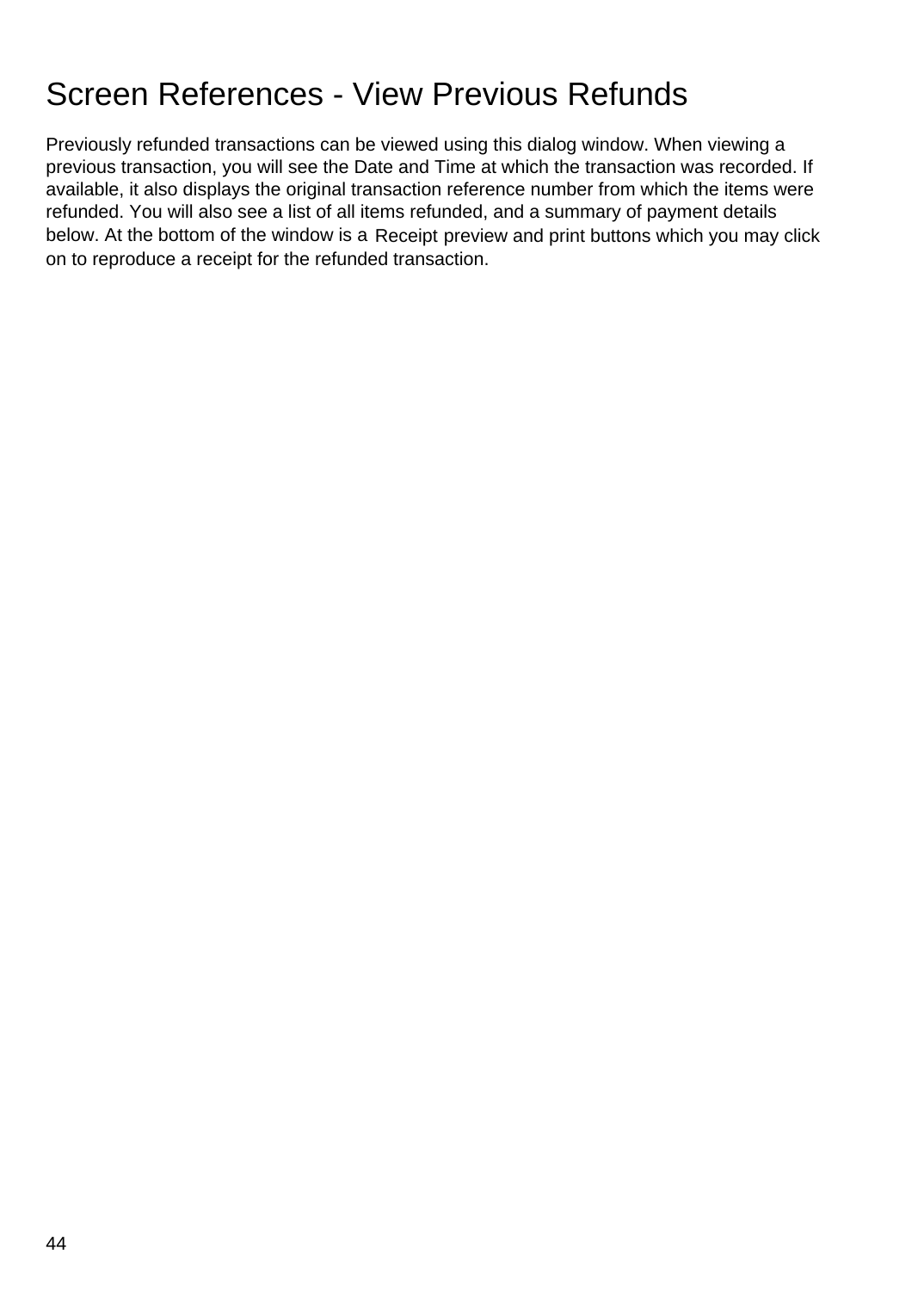## Screen References - View Previous Refunds

Previously refunded transactions can be viewed using this dialog window. When viewing a previous transaction, you will see the Date and Time at which the transaction was recorded. If available, it also displays the original transaction reference number from which the items were refunded. You will also see a list of all items refunded, and a summary of payment details below. At the bottom of the window is a Receipt preview and print buttons which you may click on to reproduce a receipt for the refunded transaction.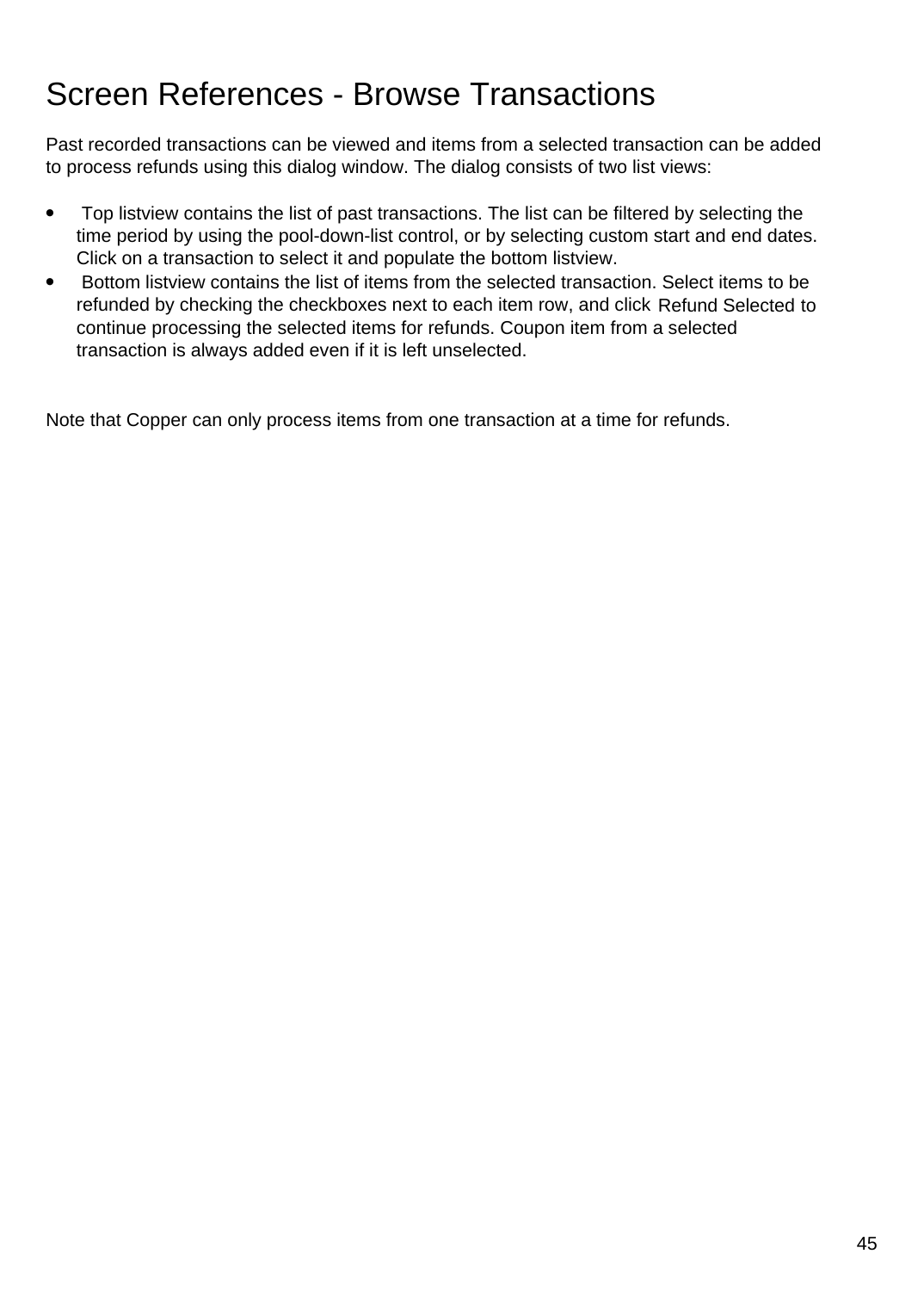## Screen References - Browse Transactions

Past recorded transactions can be viewed and items from a selected transaction can be added to process refunds using this dialog window. The dialog consists of two list views:

- Top listview contains the list of past transactions. The list can be filtered by selecting the time period by using the pool-down-list control, or by selecting custom start and end dates. Click on a transaction to select it and populate the bottom listview.
- Bottom listview contains the list of items from the selected transaction. Select items to be refunded by checking the checkboxes next to each item row, and click Refund Selected to continue processing the selected items for refunds. Coupon item from a selected transaction is always added even if it is left unselected.

Note that Copper can only process items from one transaction at a time for refunds.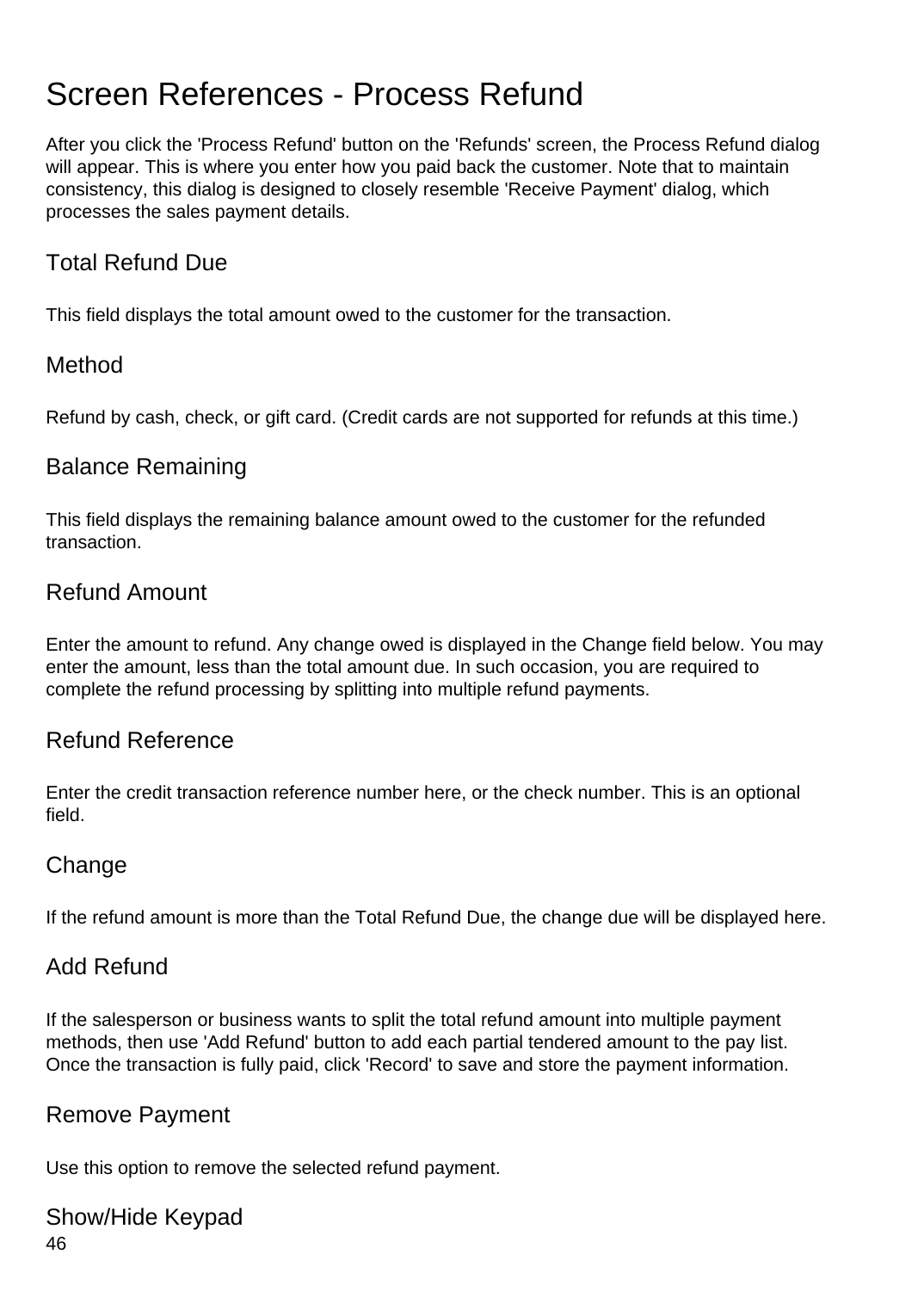# Screen References - Process Refund

After you click the 'Process Refund' button on the 'Refunds' screen, the Process Refund dialog will appear. This is where you enter how you paid back the customer. Note that to maintain consistency, this dialog is designed to closely resemble 'Receive Payment' dialog, which processes the sales payment details.

### Total Refund Due

This field displays the total amount owed to the customer for the transaction.

### Method

Refund by cash, check, or gift card. (Credit cards are not supported for refunds at this time.)

### Balance Remaining

This field displays the remaining balance amount owed to the customer for the refunded transaction.

### Refund Amount

Enter the amount to refund. Any change owed is displayed in the Change field below. You may enter the amount, less than the total amount due. In such occasion, you are required to complete the refund processing by splitting into multiple refund payments.

### Refund Reference

Enter the credit transaction reference number here, or the check number. This is an optional field.

### Change

If the refund amount is more than the Total Refund Due, the change due will be displayed here.

### Add Refund

If the salesperson or business wants to split the total refund amount into multiple payment methods, then use 'Add Refund' button to add each partial tendered amount to the pay list. Once the transaction is fully paid, click 'Record' to save and store the payment information.

### Remove Payment

Use this option to remove the selected refund payment.

### Show/Hide Keypad

46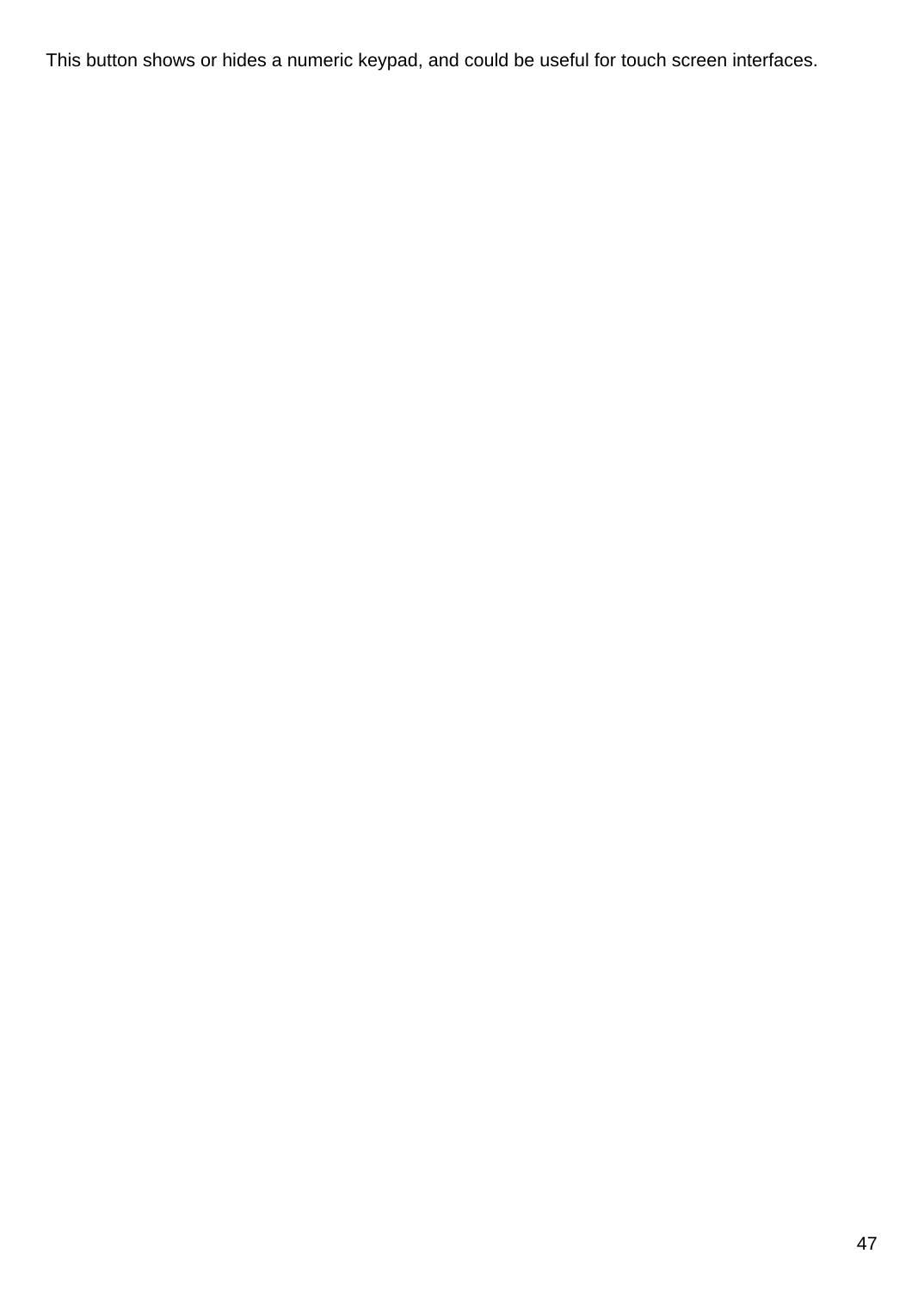This button shows or hides a numeric keypad, and could be useful for touch screen interfaces.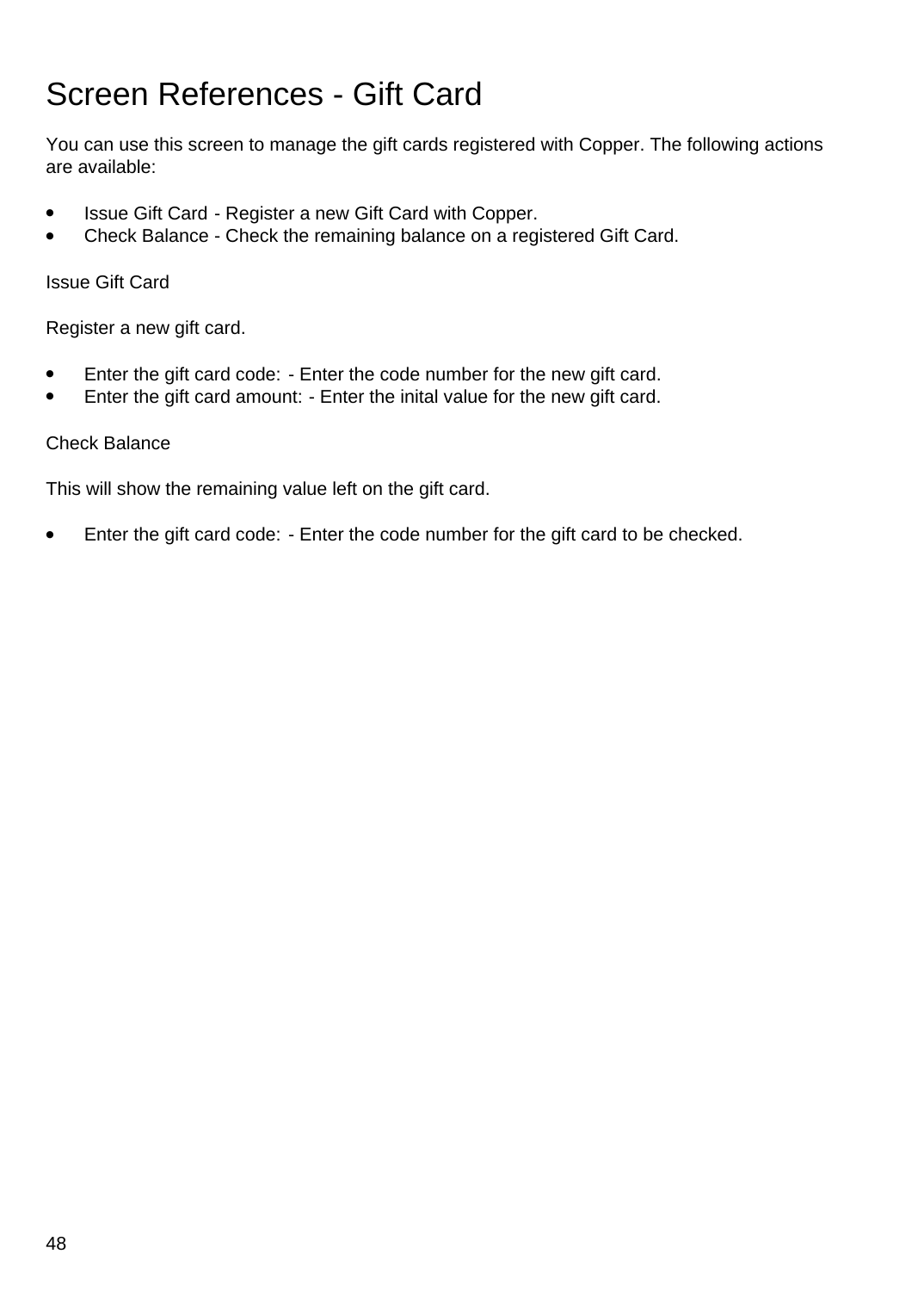# Screen References - Gift Card

You can use this screen to manage the gift cards registered with Copper. The following actions are available:

- Issue Gift Card Register a new Gift Card with Copper.
- Check Balance Check the remaining balance on a registered Gift Card.

Issue Gift Card

Register a new gift card.

- Enter the gift card code: Enter the code number for the new gift card.
- Enter the gift card amount: Enter the inital value for the new gift card.

#### Check Balance

This will show the remaining value left on the gift card.

● Enter the gift card code: - Enter the code number for the gift card to be checked.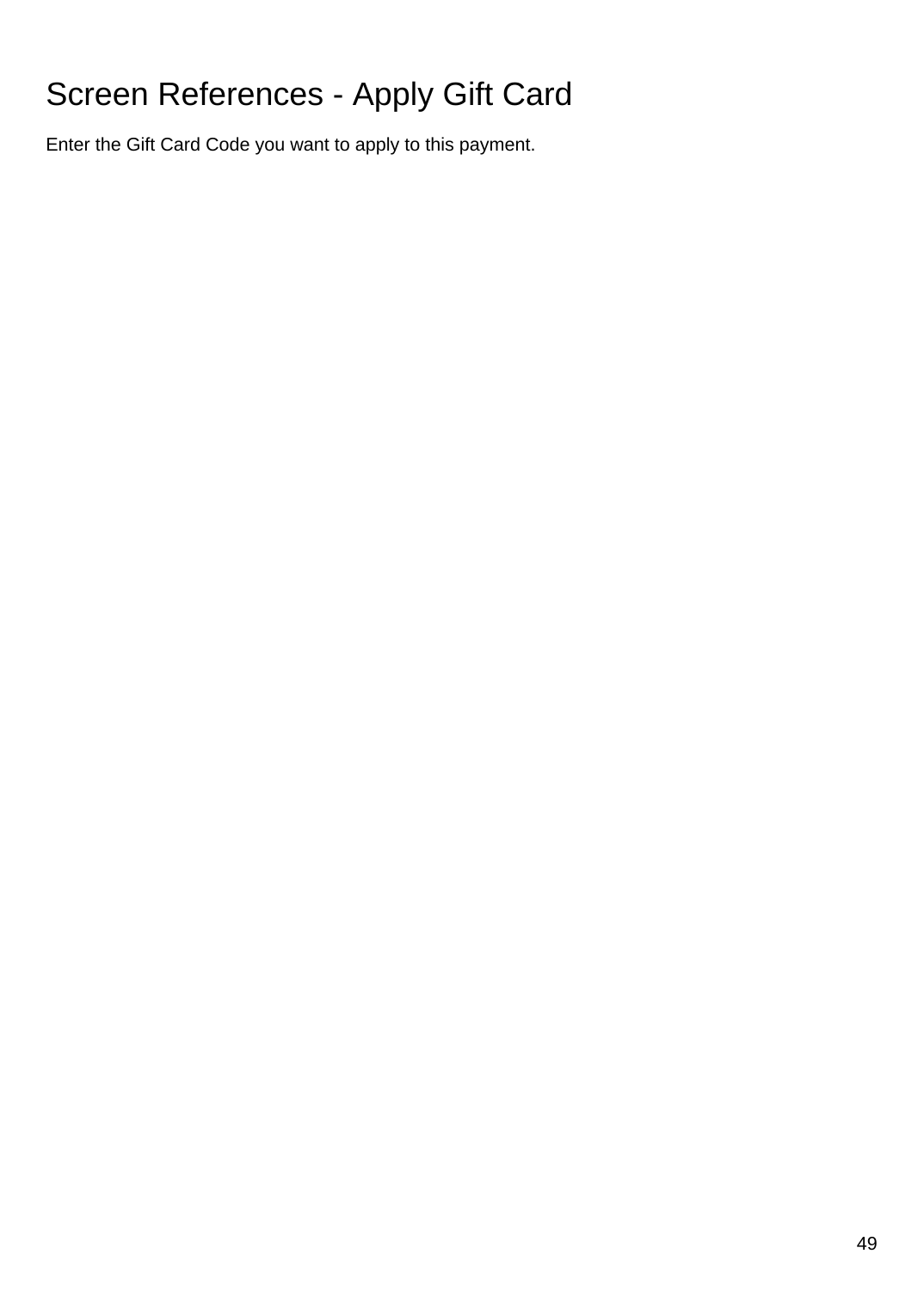# Screen References - Apply Gift Card

Enter the Gift Card Code you want to apply to this payment.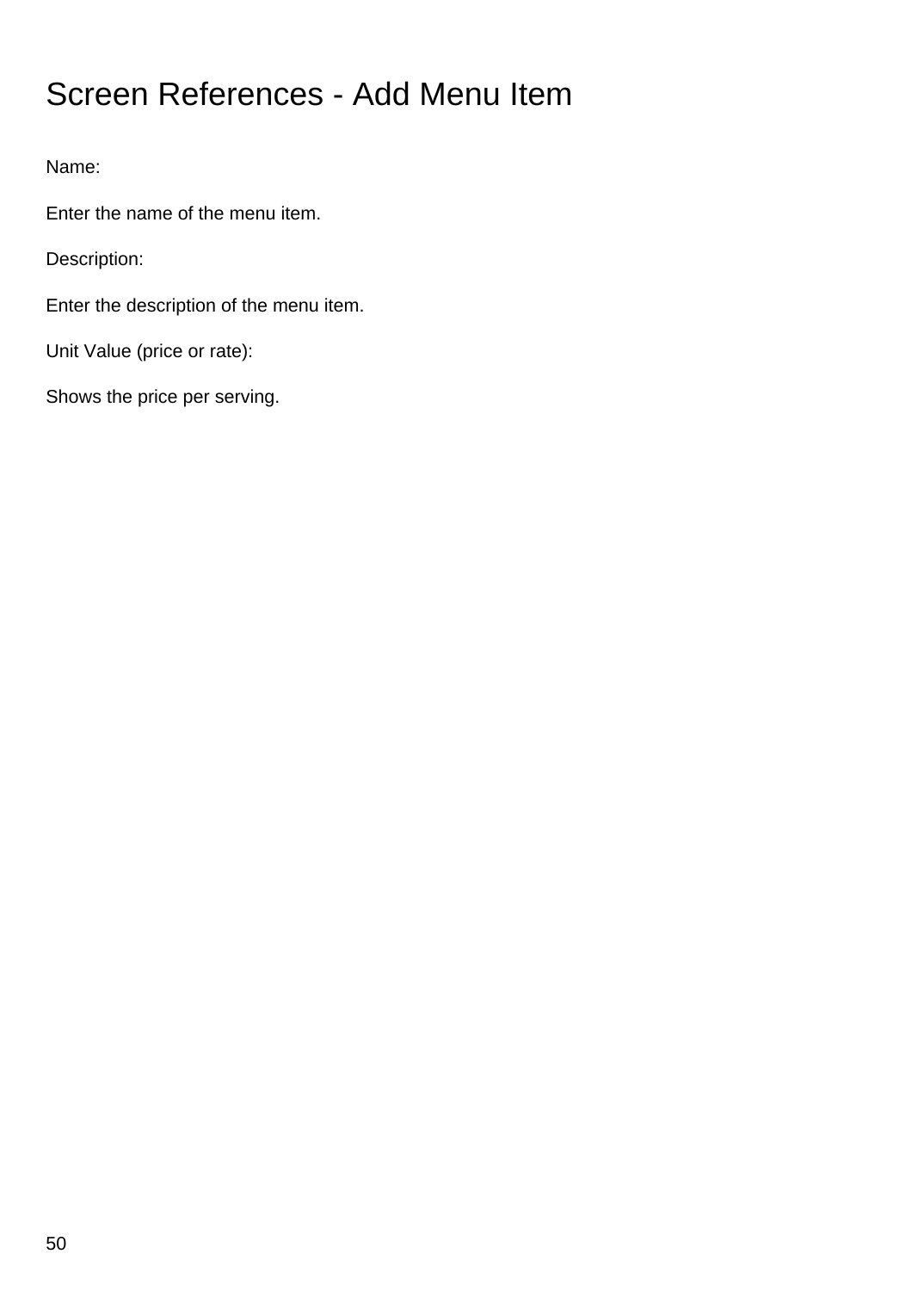# Screen References - Add Menu Item

Name:

Enter the name of the menu item.

Description:

Enter the description of the menu item.

Unit Value (price or rate):

Shows the price per serving.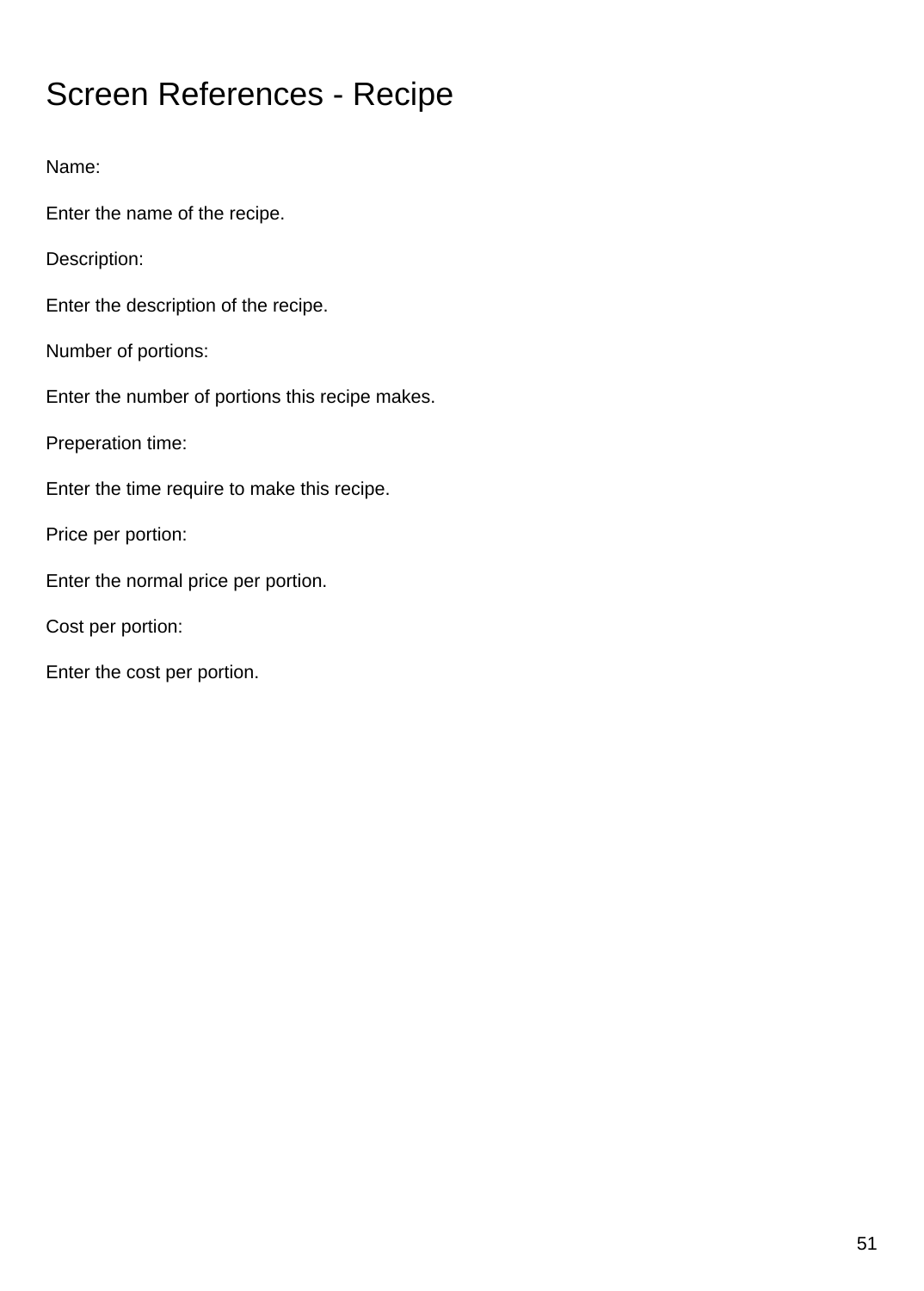# Screen References - Recipe

Name: Enter the name of the recipe. Description: Enter the description of the recipe. Number of portions: Enter the number of portions this recipe makes. Preperation time: Enter the time require to make this recipe. Price per portion: Enter the normal price per portion. Cost per portion: Enter the cost per portion.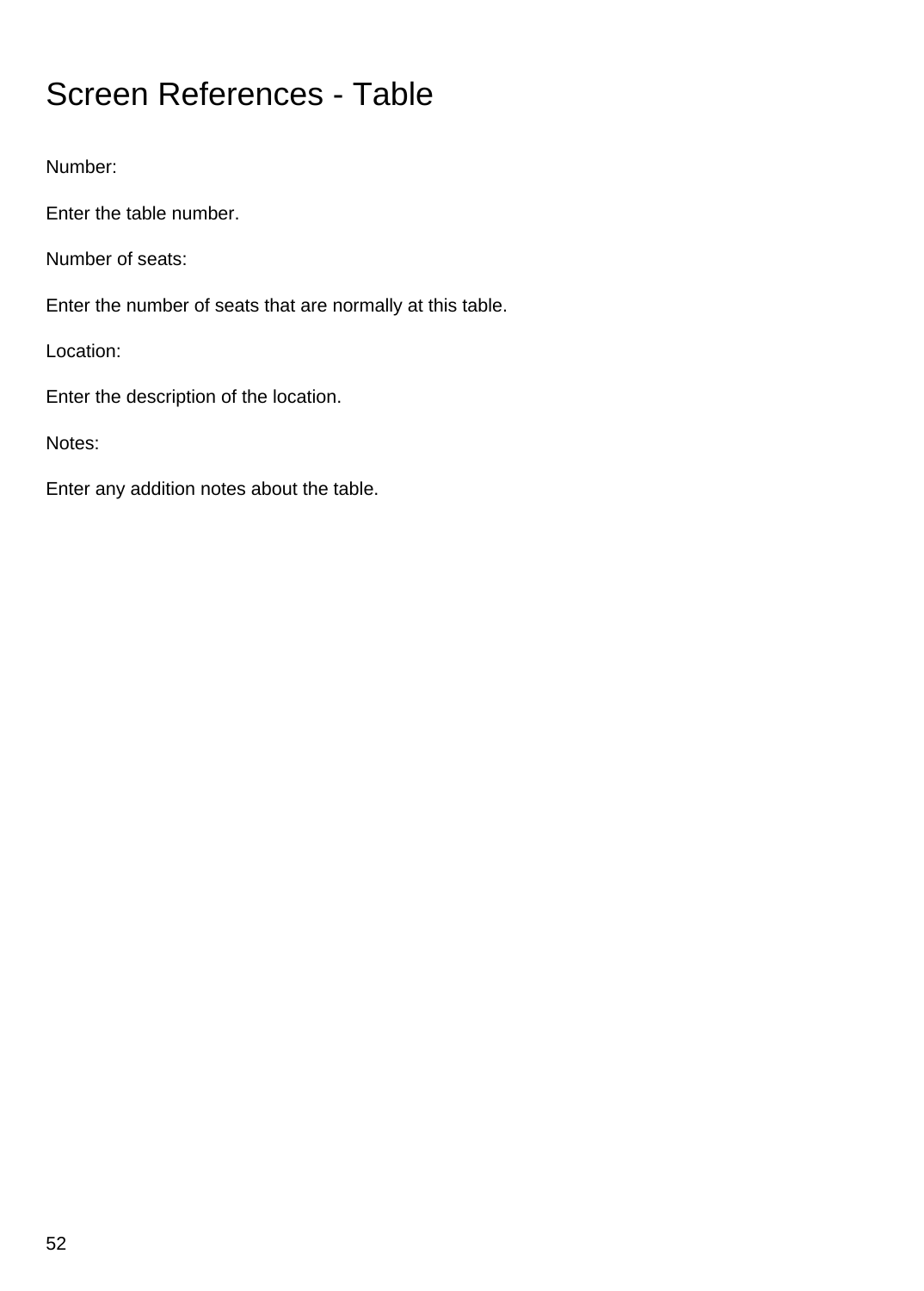# Screen References - Table

Number:

Enter the table number.

Number of seats:

Enter the number of seats that are normally at this table.

Location:

Enter the description of the location.

Notes:

Enter any addition notes about the table.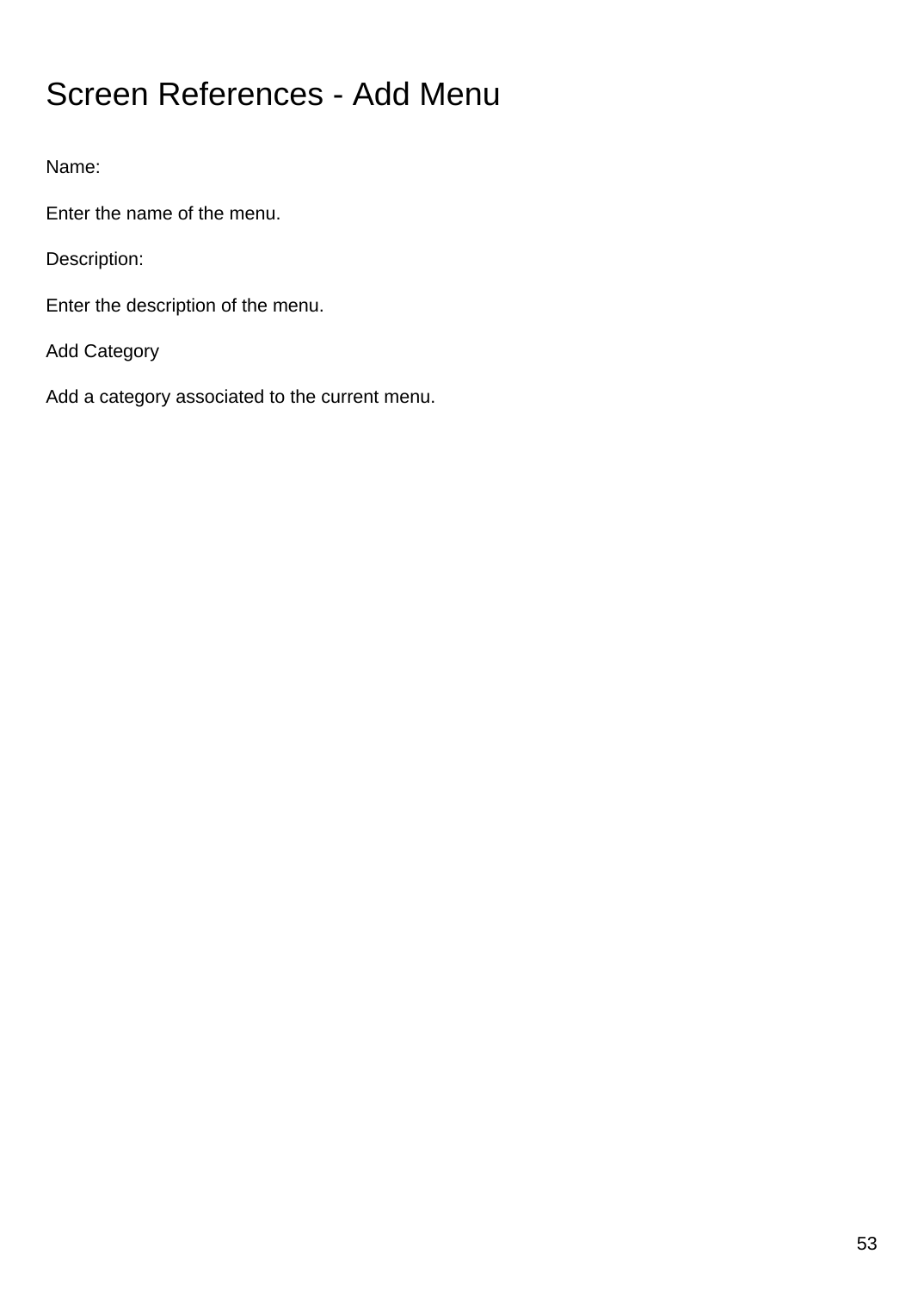# Screen References - Add Menu

Name:

Enter the name of the menu.

Description:

Enter the description of the menu.

Add Category

Add a category associated to the current menu.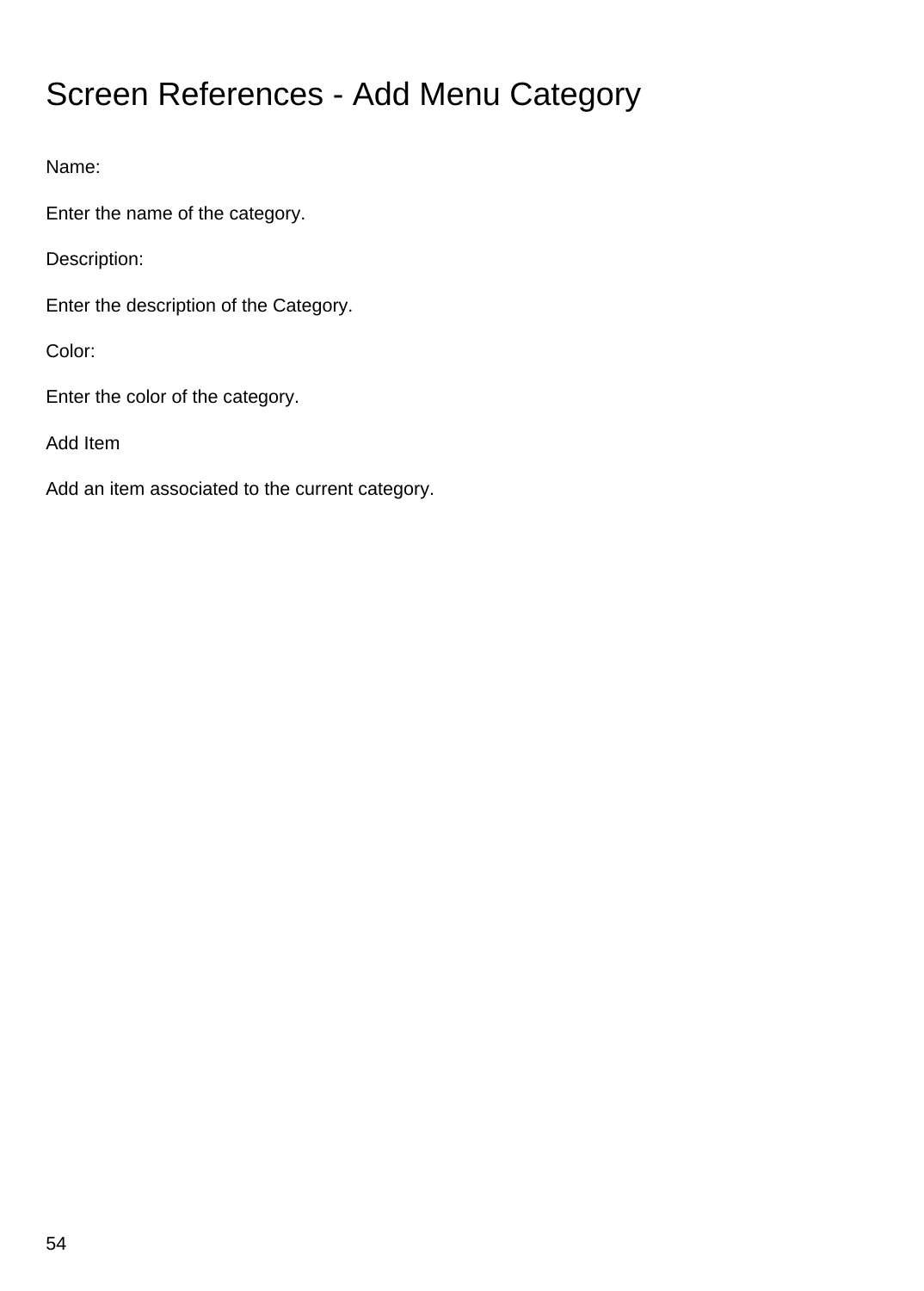# Screen References - Add Menu Category

Name:

Enter the name of the category.

Description:

Enter the description of the Category.

Color:

Enter the color of the category.

Add Item

Add an item associated to the current category.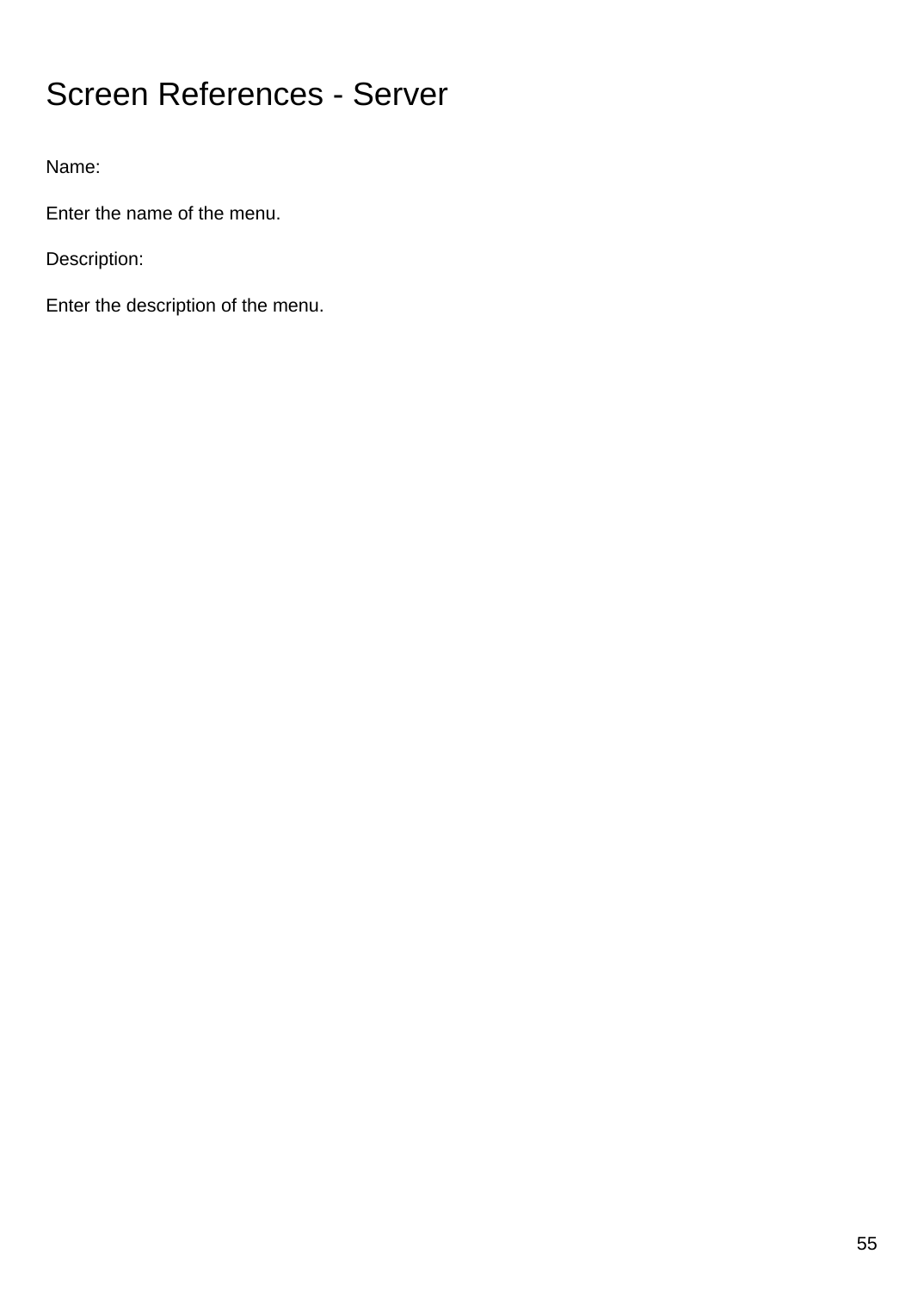# Screen References - Server

Name:

Enter the name of the menu.

Description:

Enter the description of the menu.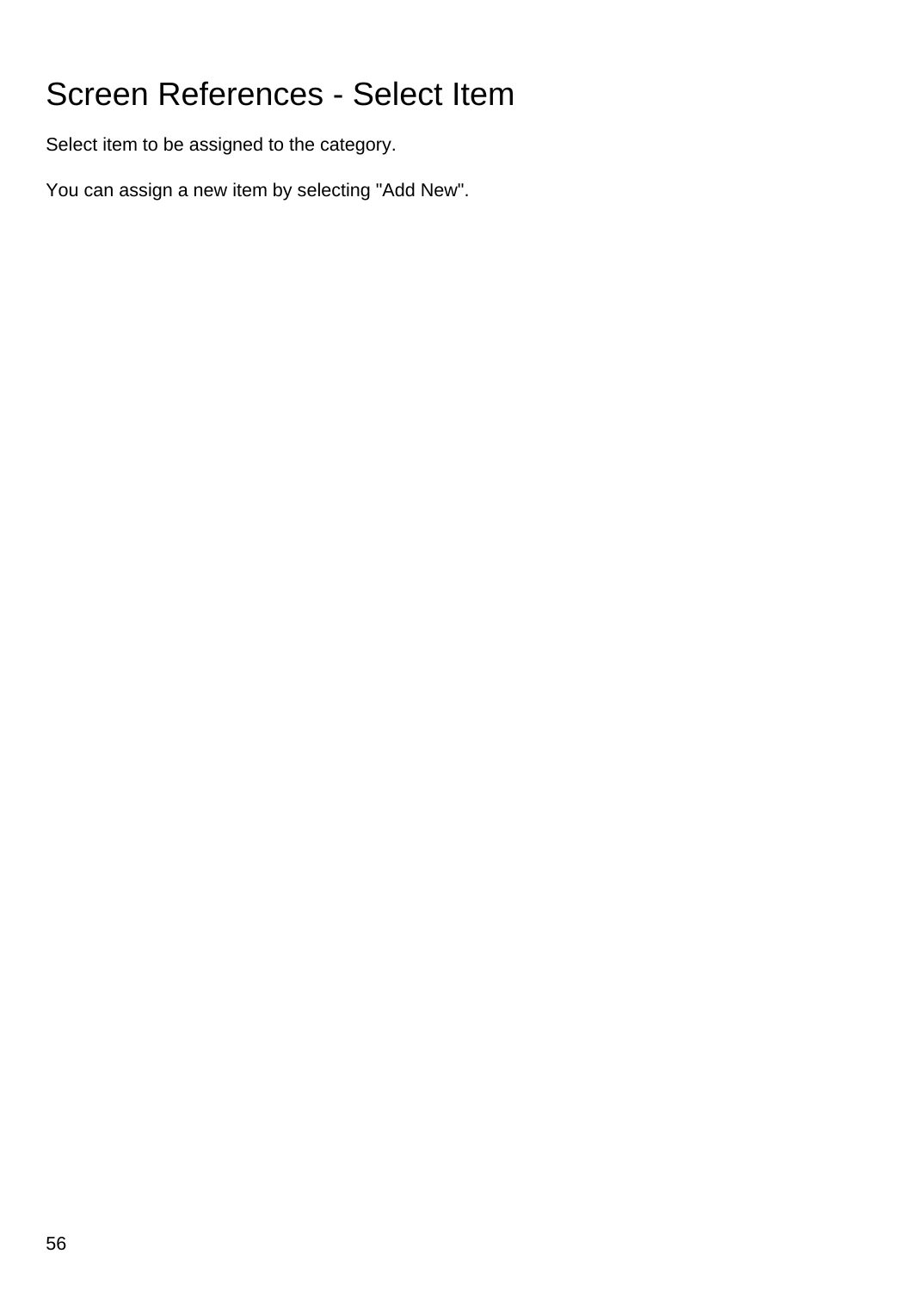# Screen References - Select Item

Select item to be assigned to the category.

You can assign a new item by selecting "Add New".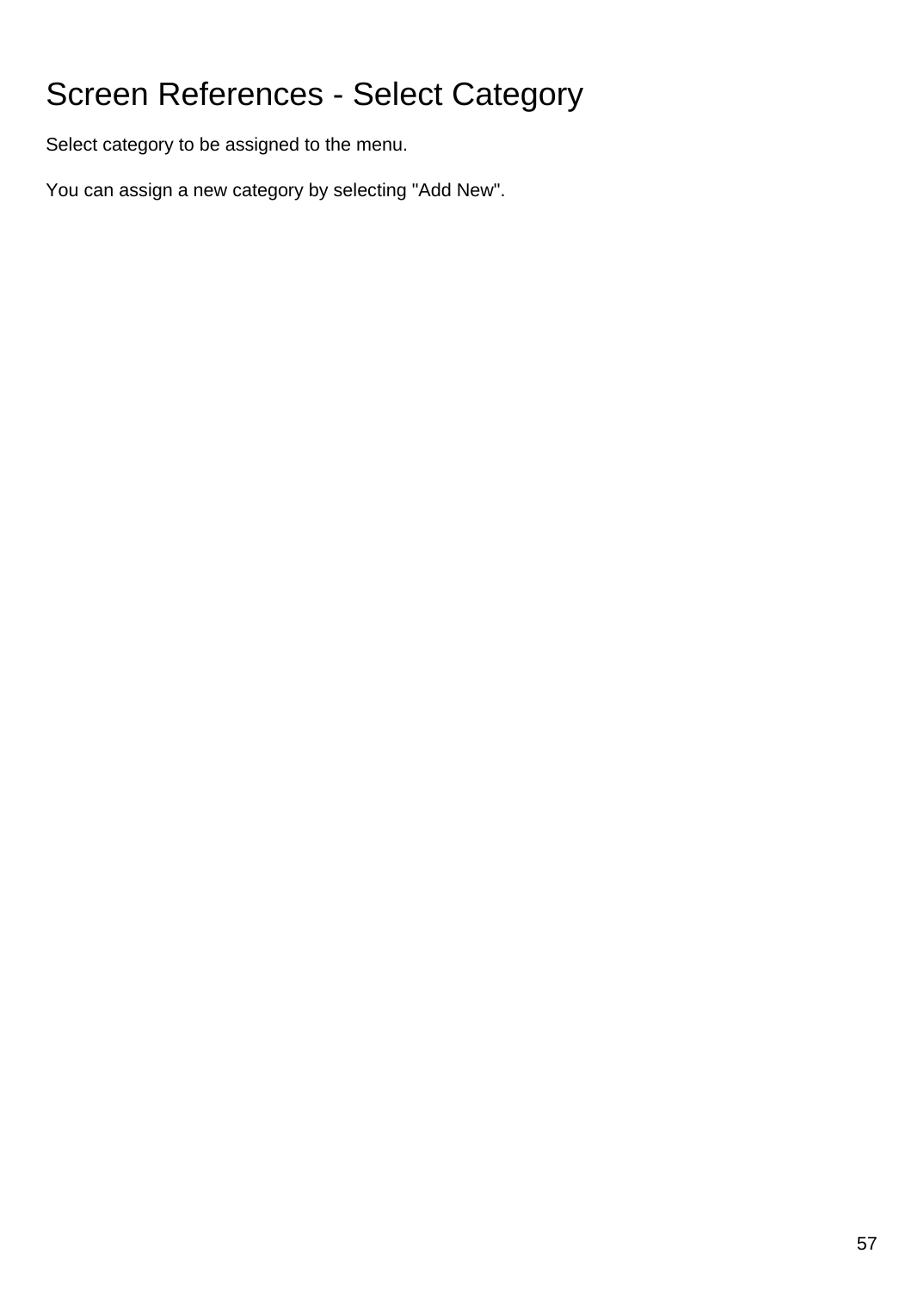# Screen References - Select Category

Select category to be assigned to the menu.

You can assign a new category by selecting "Add New".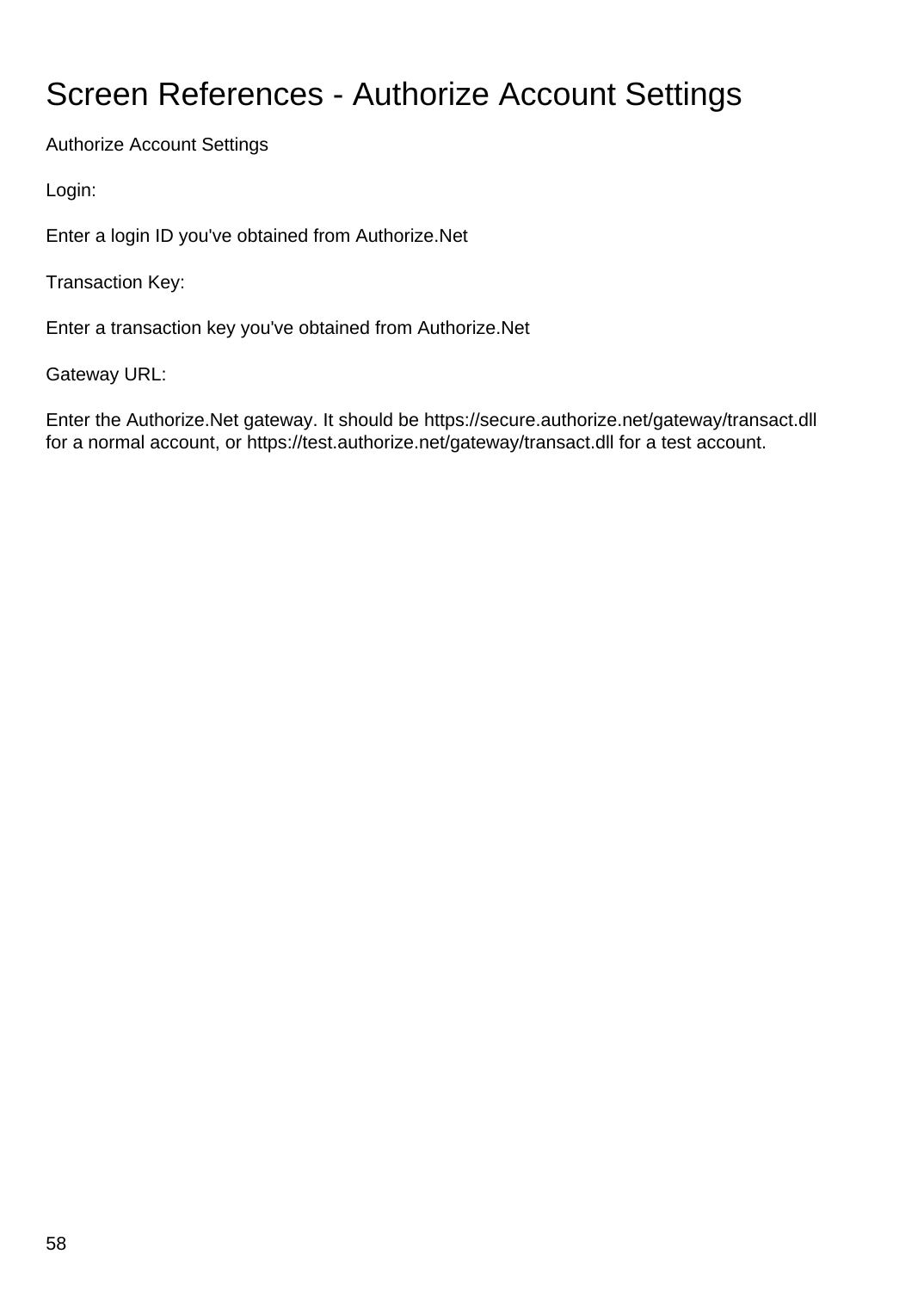# Screen References - Authorize Account Settings

Authorize Account Settings

Login:

Enter a login ID you've obtained from Authorize.Net

Transaction Key:

Enter a transaction key you've obtained from Authorize.Net

Gateway URL:

Enter the Authorize.Net gateway. It should be https://secure.authorize.net/gateway/transact.dll for a normal account, or https://test.authorize.net/gateway/transact.dll for a test account.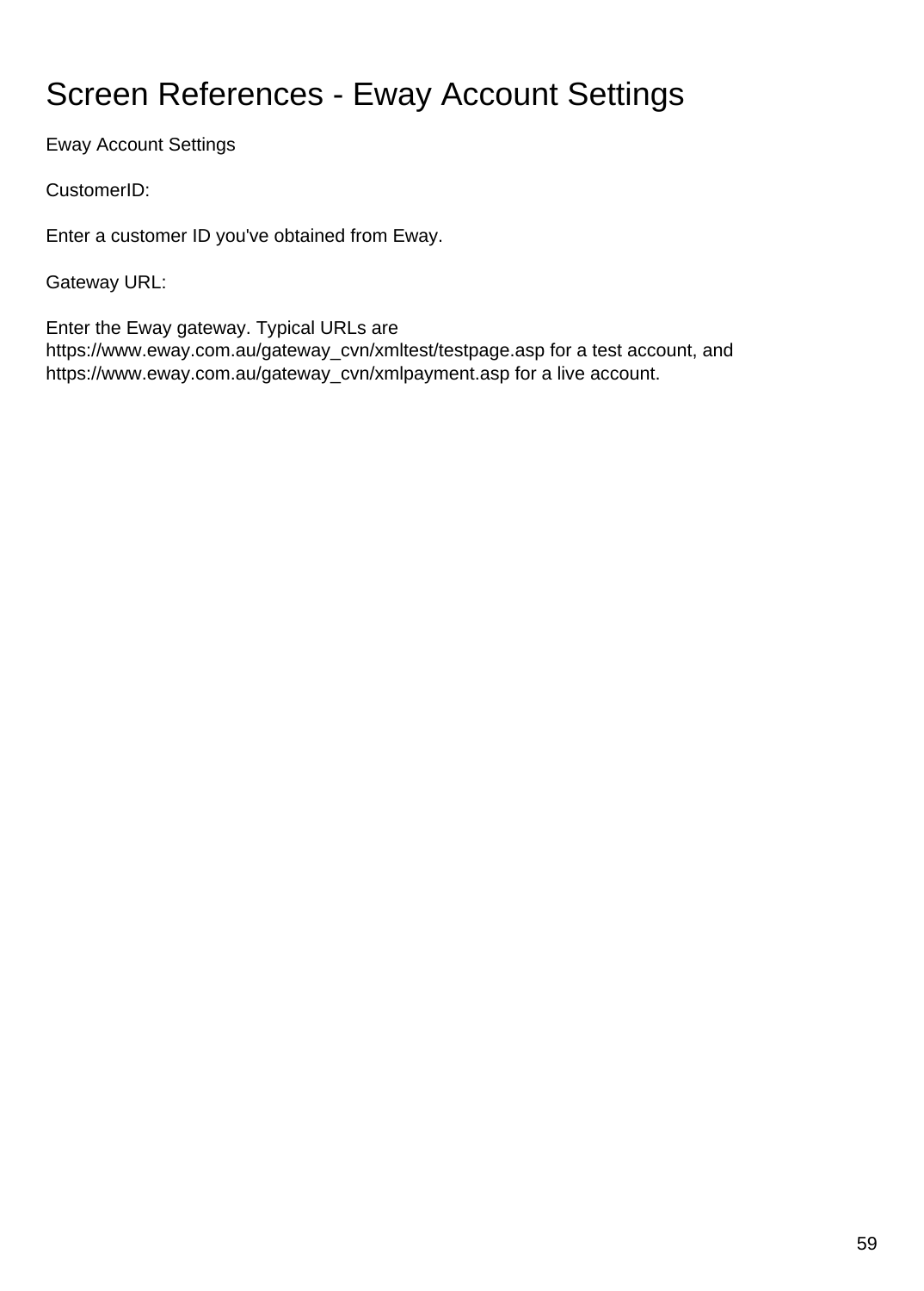# Screen References - Eway Account Settings

Eway Account Settings

CustomerID:

Enter a customer ID you've obtained from Eway.

Gateway URL:

Enter the Eway gateway. Typical URLs are https://www.eway.com.au/gateway\_cvn/xmltest/testpage.asp for a test account, and https://www.eway.com.au/gateway\_cvn/xmlpayment.asp for a live account.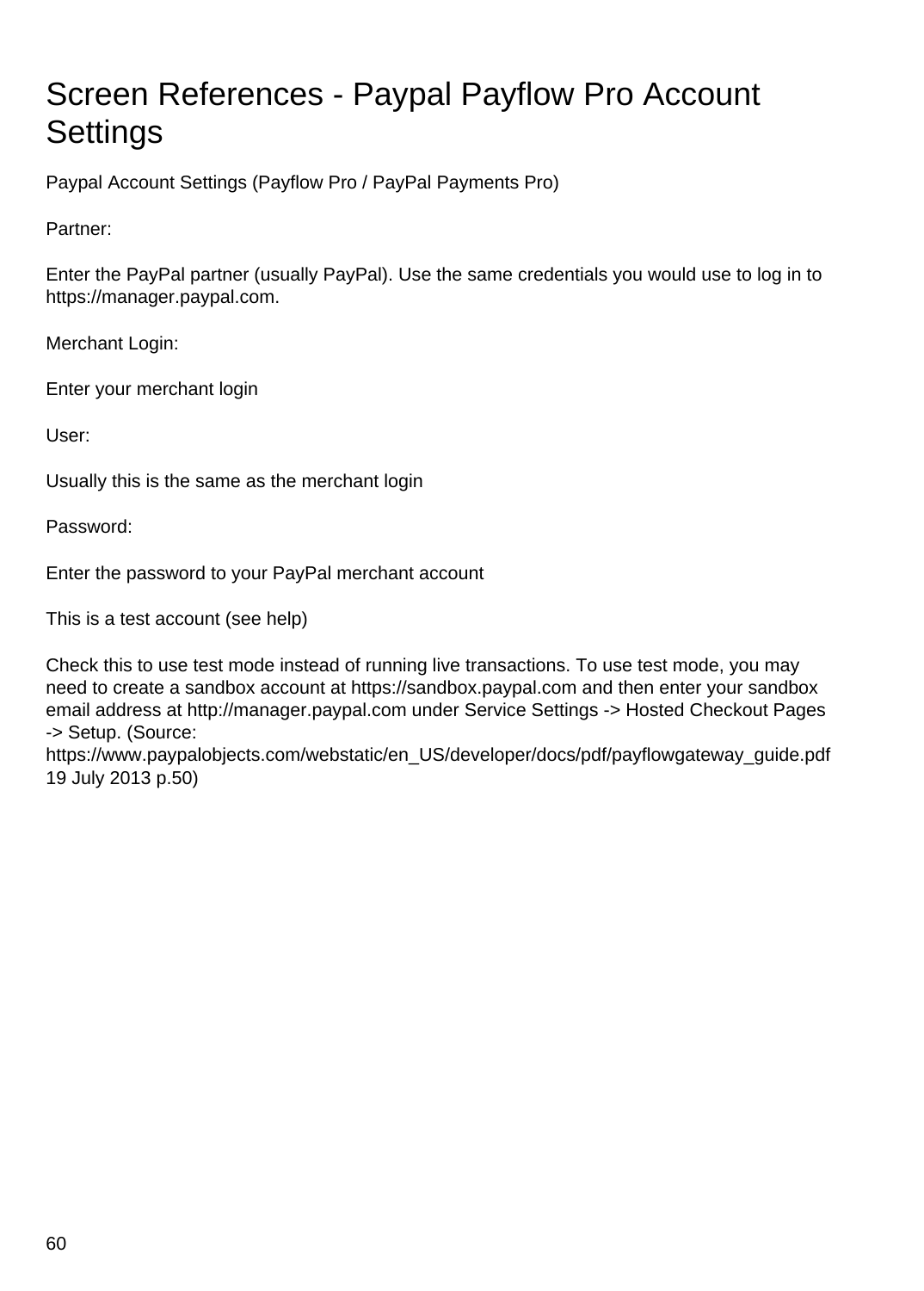# Screen References - Paypal Payflow Pro Account **Settings**

Paypal Account Settings (Payflow Pro / PayPal Payments Pro)

Partner:

Enter the PayPal partner (usually PayPal). Use the same credentials you would use to log in to https://manager.paypal.com.

Merchant Login:

Enter your merchant login

User:

Usually this is the same as the merchant login

Password:

Enter the password to your PayPal merchant account

This is a test account (see help)

Check this to use test mode instead of running live transactions. To use test mode, you may need to create a sandbox account at https://sandbox.paypal.com and then enter your sandbox email address at http://manager.paypal.com under Service Settings -> Hosted Checkout Pages -> Setup. (Source:

https://www.paypalobjects.com/webstatic/en\_US/developer/docs/pdf/payflowgateway\_guide.pdf 19 July 2013 p.50)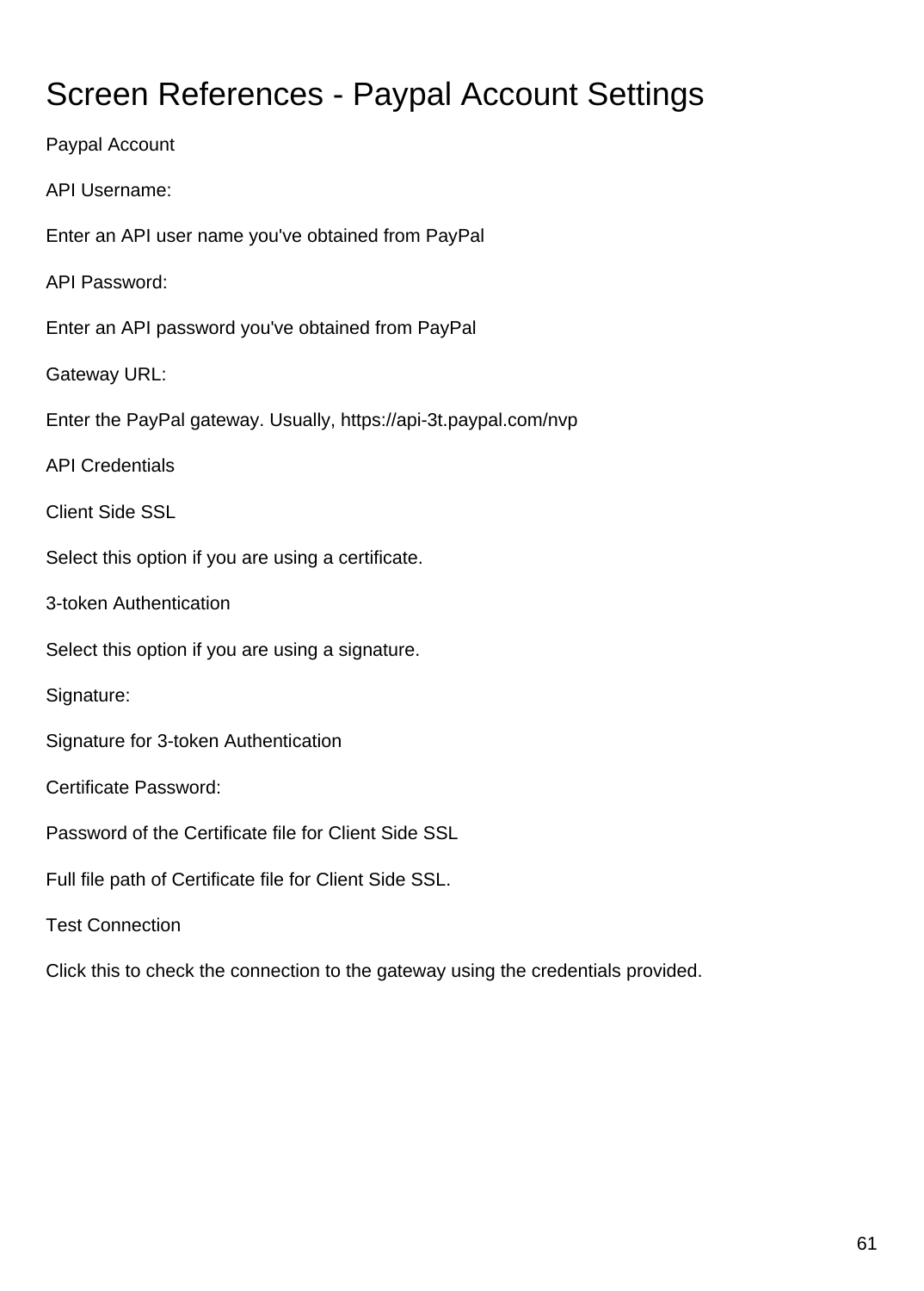# Screen References - Paypal Account Settings

Paypal Account API Username: Enter an API user name you've obtained from PayPal API Password: Enter an API password you've obtained from PayPal Gateway URL: Enter the PayPal gateway. Usually, https://api-3t.paypal.com/nvp API Credentials Client Side SSL Select this option if you are using a certificate. 3-token Authentication Select this option if you are using a signature. Signature: Signature for 3-token Authentication Certificate Password: Password of the Certificate file for Client Side SSL Full file path of Certificate file for Client Side SSL. Test Connection

Click this to check the connection to the gateway using the credentials provided.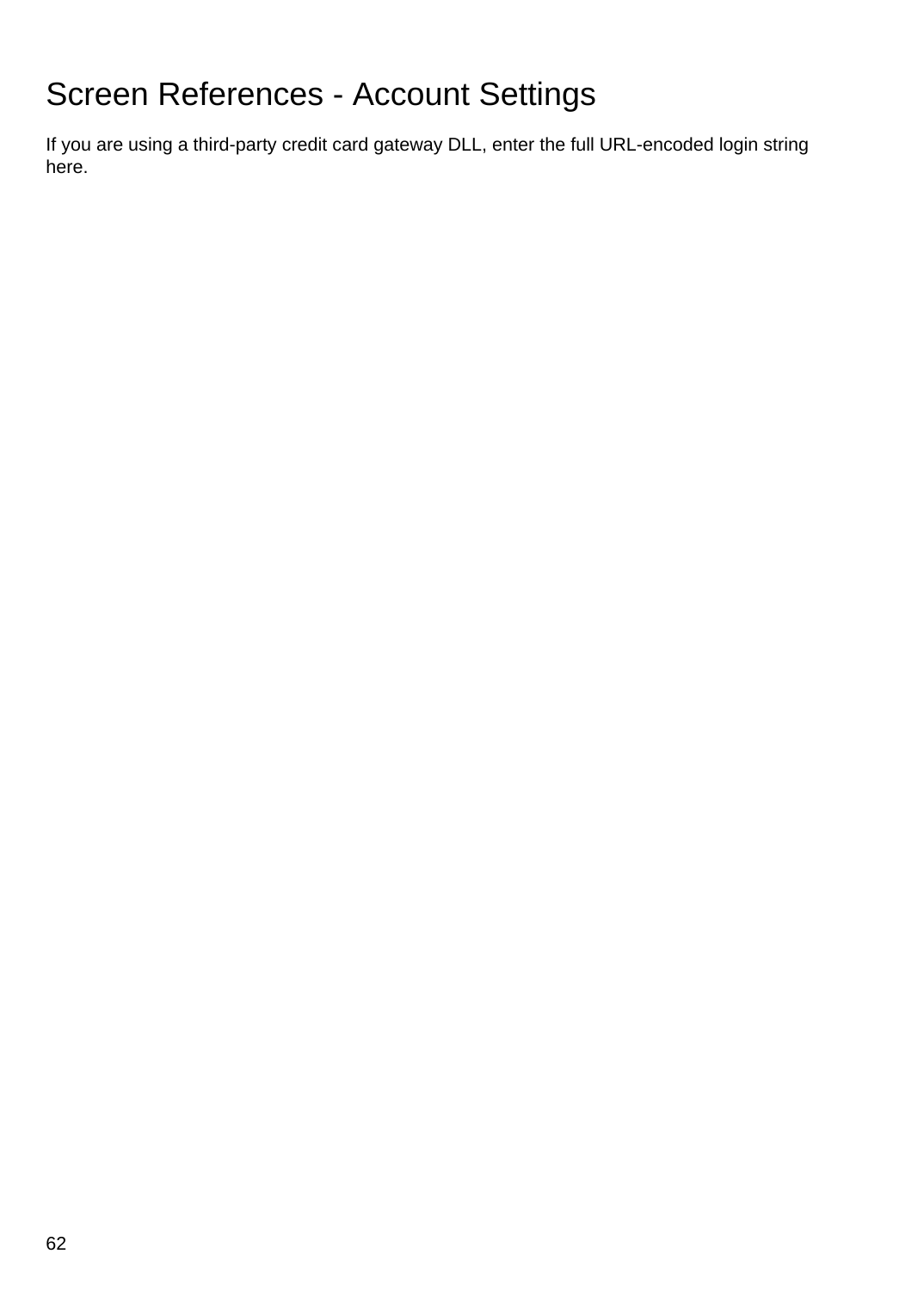# Screen References - Account Settings

If you are using a third-party credit card gateway DLL, enter the full URL-encoded login string here.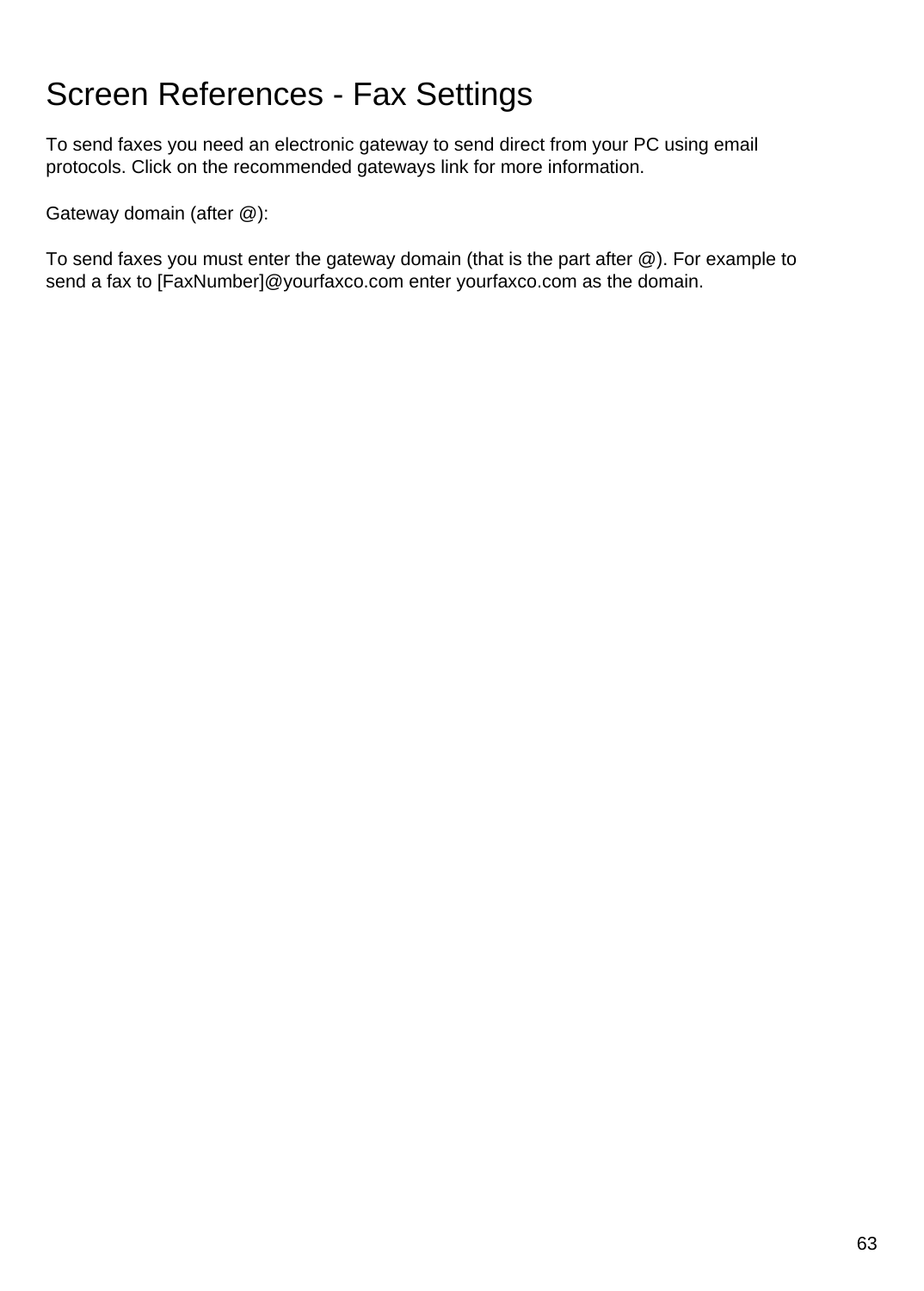# Screen References - Fax Settings

To send faxes you need an electronic gateway to send direct from your PC using email protocols. Click on the recommended gateways link for more information.

Gateway domain (after @):

To send faxes you must enter the gateway domain (that is the part after @). For example to send a fax to [FaxNumber]@yourfaxco.com enter yourfaxco.com as the domain.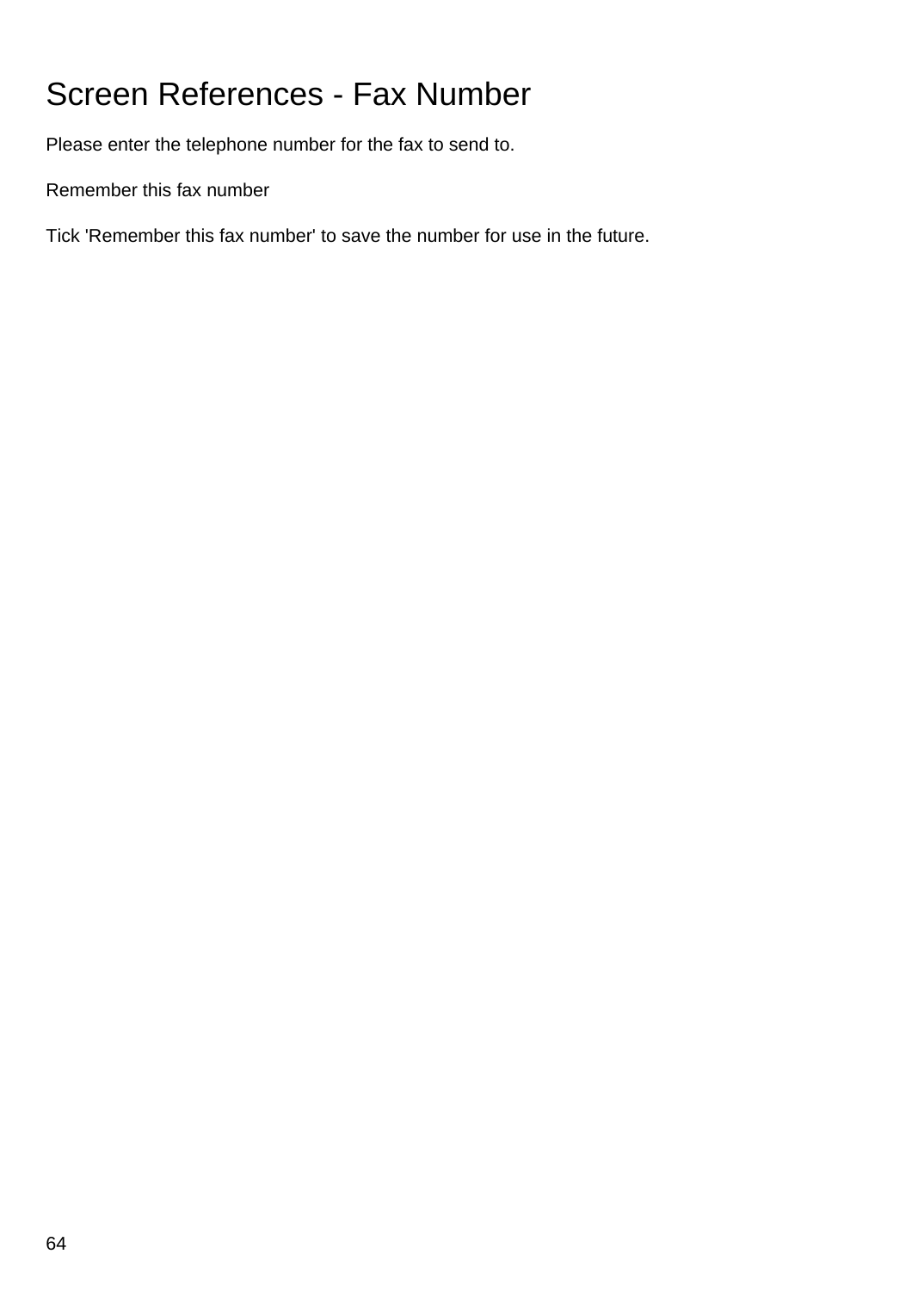# Screen References - Fax Number

Please enter the telephone number for the fax to send to.

Remember this fax number

Tick 'Remember this fax number' to save the number for use in the future.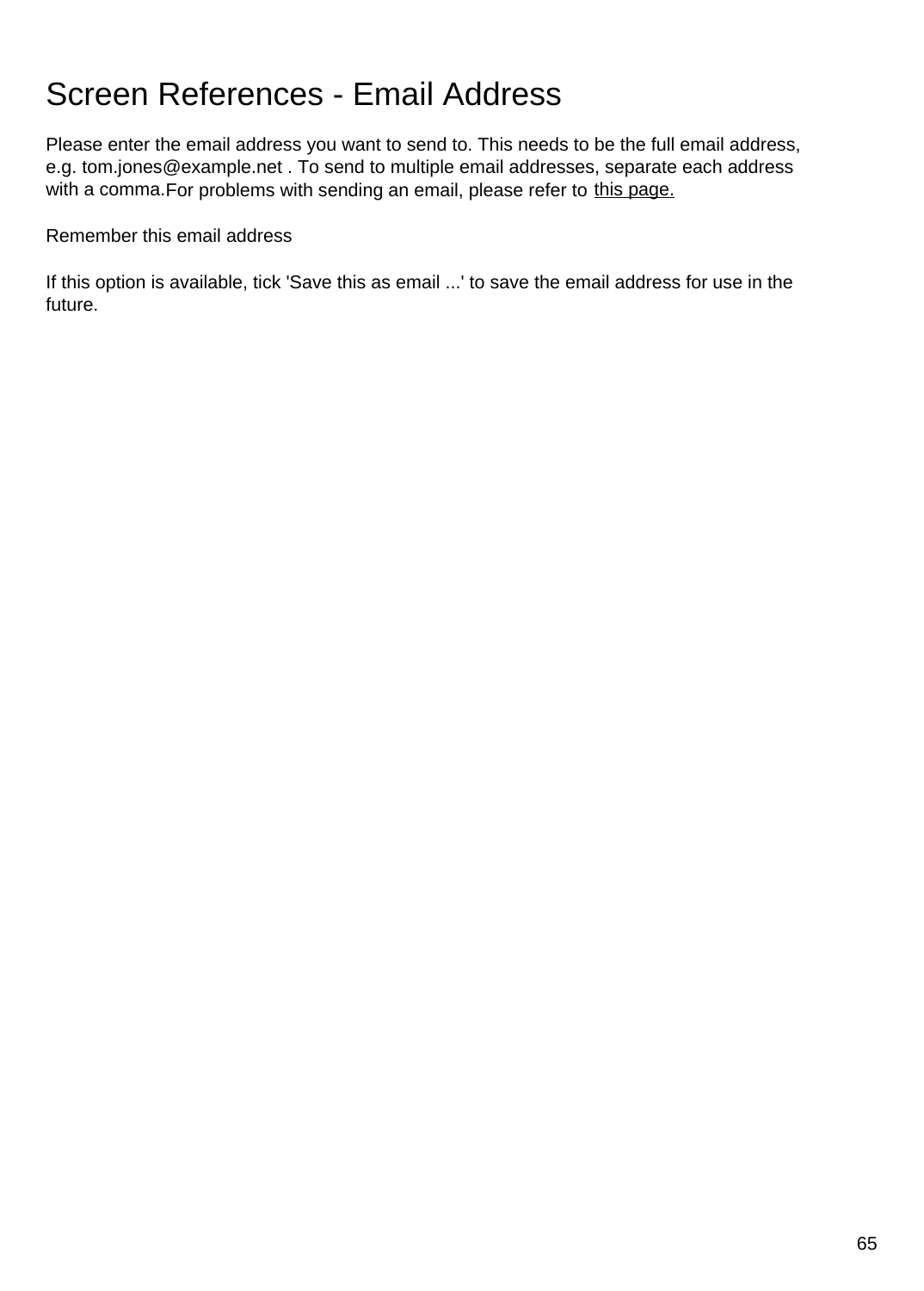## Screen References - Email Address

Please enter the email address you want to send to. This needs to be the full email address, e.g. tom.jones@example.net . To send to multiple email addresses, separate each address with a comma. For problems with sending an email, please refer to [this page.](https://www.nch.com.au/kb/10018.html)

Remember this email address

If this option is available, tick 'Save this as email ...' to save the email address for use in the future.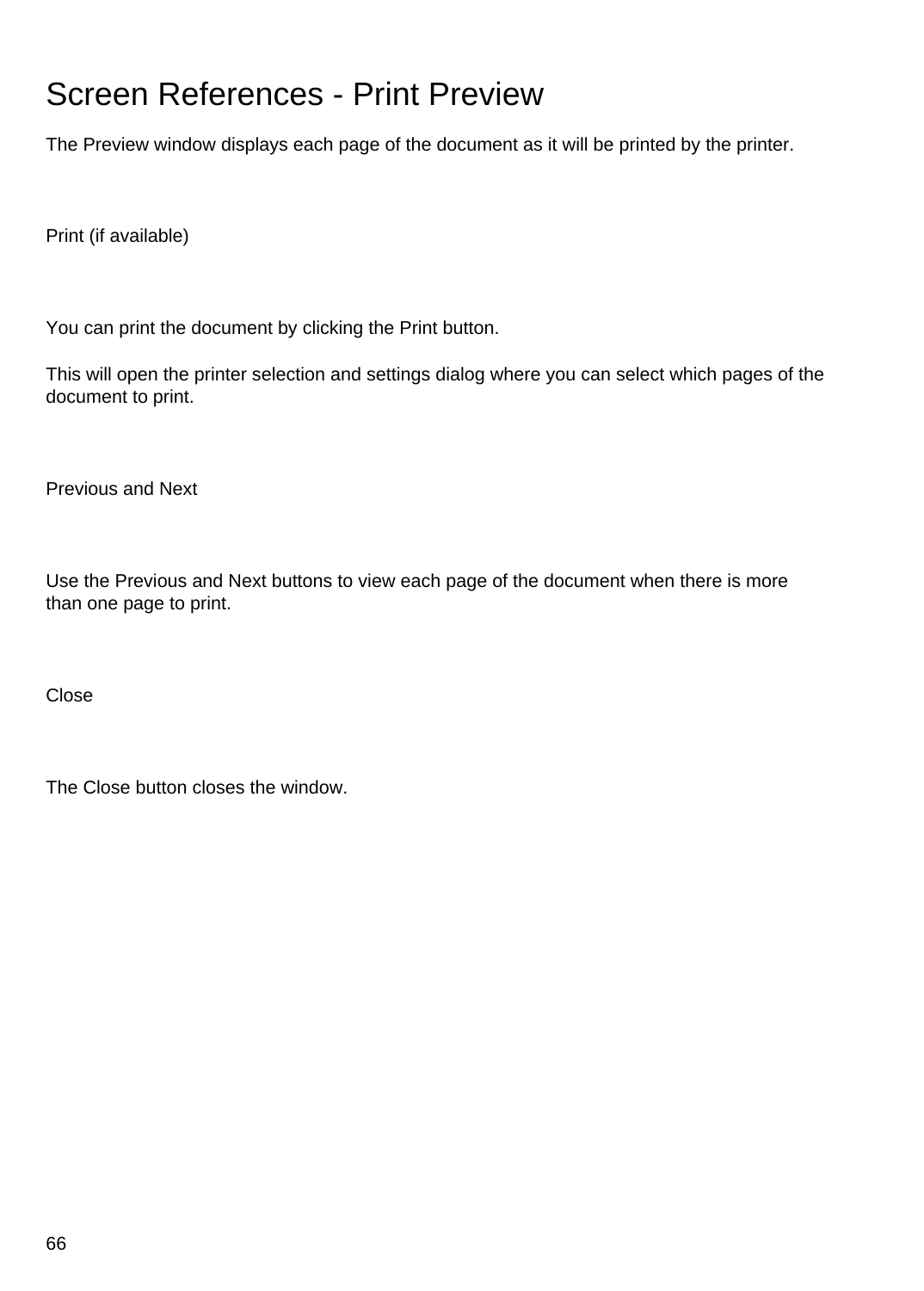# Screen References - Print Preview

The Preview window displays each page of the document as it will be printed by the printer.

Print (if available)

You can print the document by clicking the Print button.

This will open the printer selection and settings dialog where you can select which pages of the document to print.

Previous and Next

Use the Previous and Next buttons to view each page of the document when there is more than one page to print.

Close

The Close button closes the window.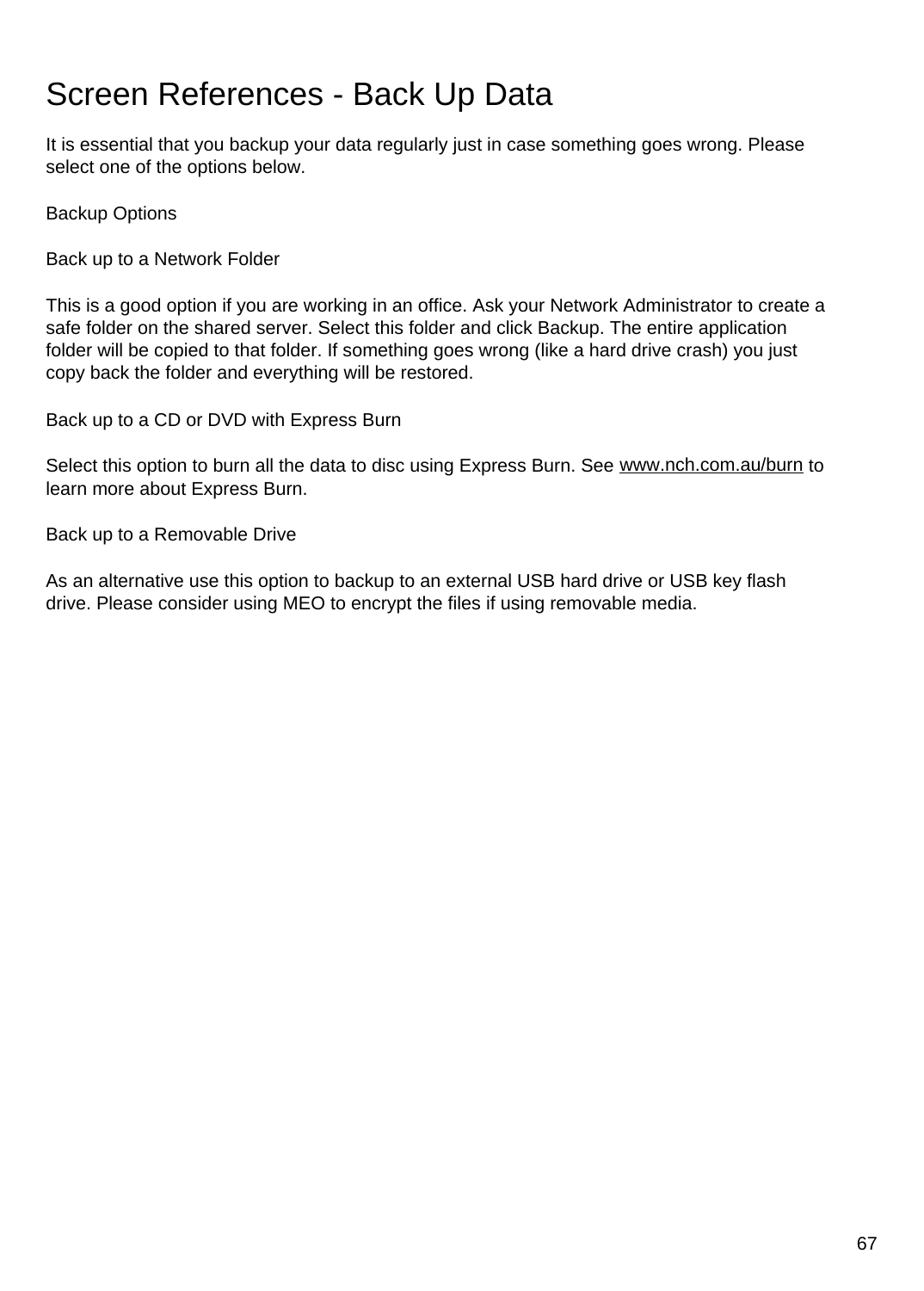# Screen References - Back Up Data

It is essential that you backup your data regularly just in case something goes wrong. Please select one of the options below.

Backup Options

Back up to a Network Folder

This is a good option if you are working in an office. Ask your Network Administrator to create a safe folder on the shared server. Select this folder and click Backup. The entire application folder will be copied to that folder. If something goes wrong (like a hard drive crash) you just copy back the folder and everything will be restored.

Back up to a CD or DVD with Express Burn

Select this option to burn all the data to disc using Express Burn. See [www.nch.com.au/burn](https://www.nch.com.au/burn) to learn more about Express Burn.

Back up to a Removable Drive

As an alternative use this option to backup to an external USB hard drive or USB key flash drive. Please consider using MEO to encrypt the files if using removable media.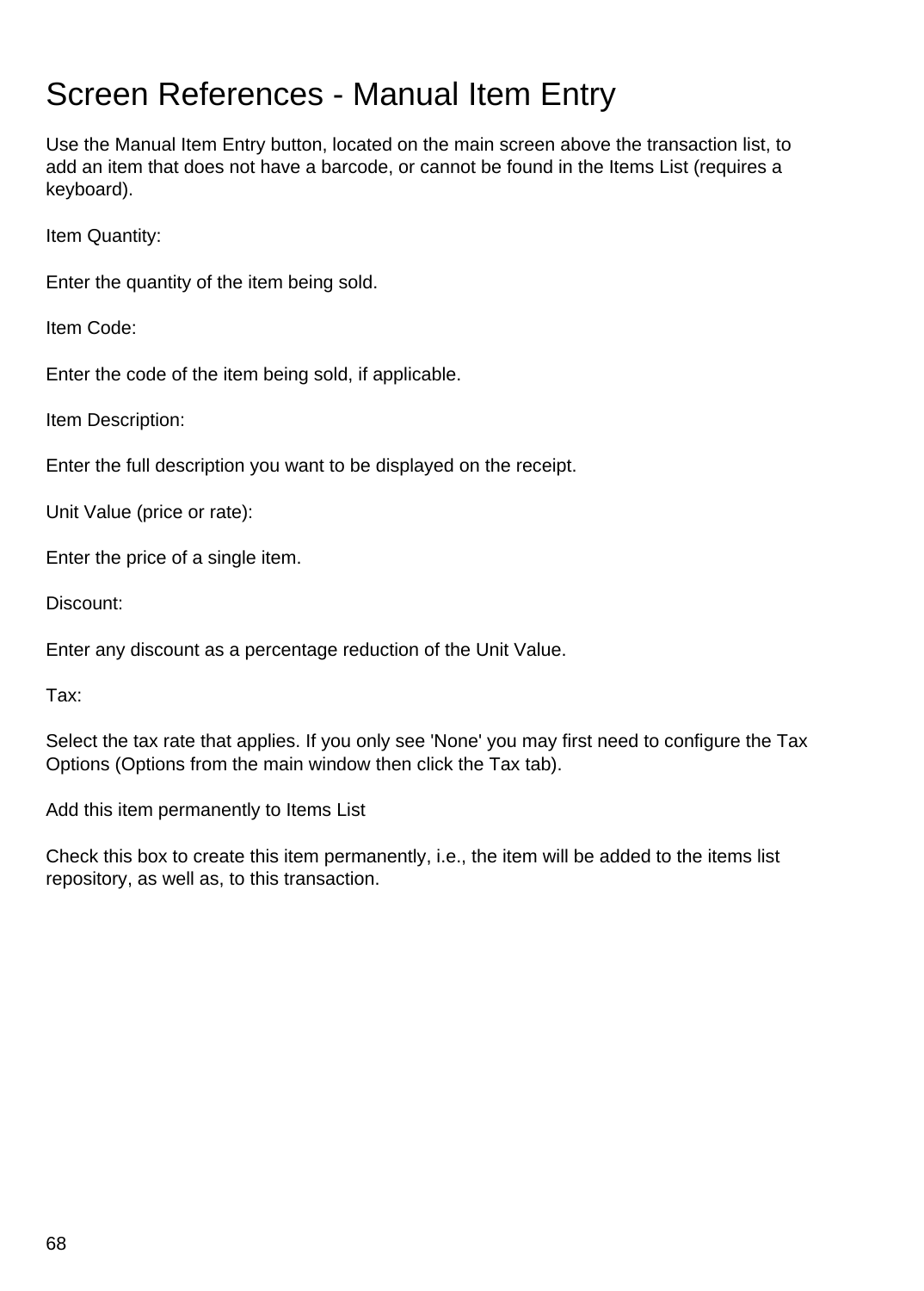## Screen References - Manual Item Entry

Use the Manual Item Entry button, located on the main screen above the transaction list, to add an item that does not have a barcode, or cannot be found in the Items List (requires a keyboard).

Item Quantity:

Enter the quantity of the item being sold.

Item Code:

Enter the code of the item being sold, if applicable.

Item Description:

Enter the full description you want to be displayed on the receipt.

Unit Value (price or rate):

Enter the price of a single item.

Discount:

Enter any discount as a percentage reduction of the Unit Value.

Tax:

Select the tax rate that applies. If you only see 'None' you may first need to configure the Tax Options (Options from the main window then click the Tax tab).

Add this item permanently to Items List

Check this box to create this item permanently, i.e., the item will be added to the items list repository, as well as, to this transaction.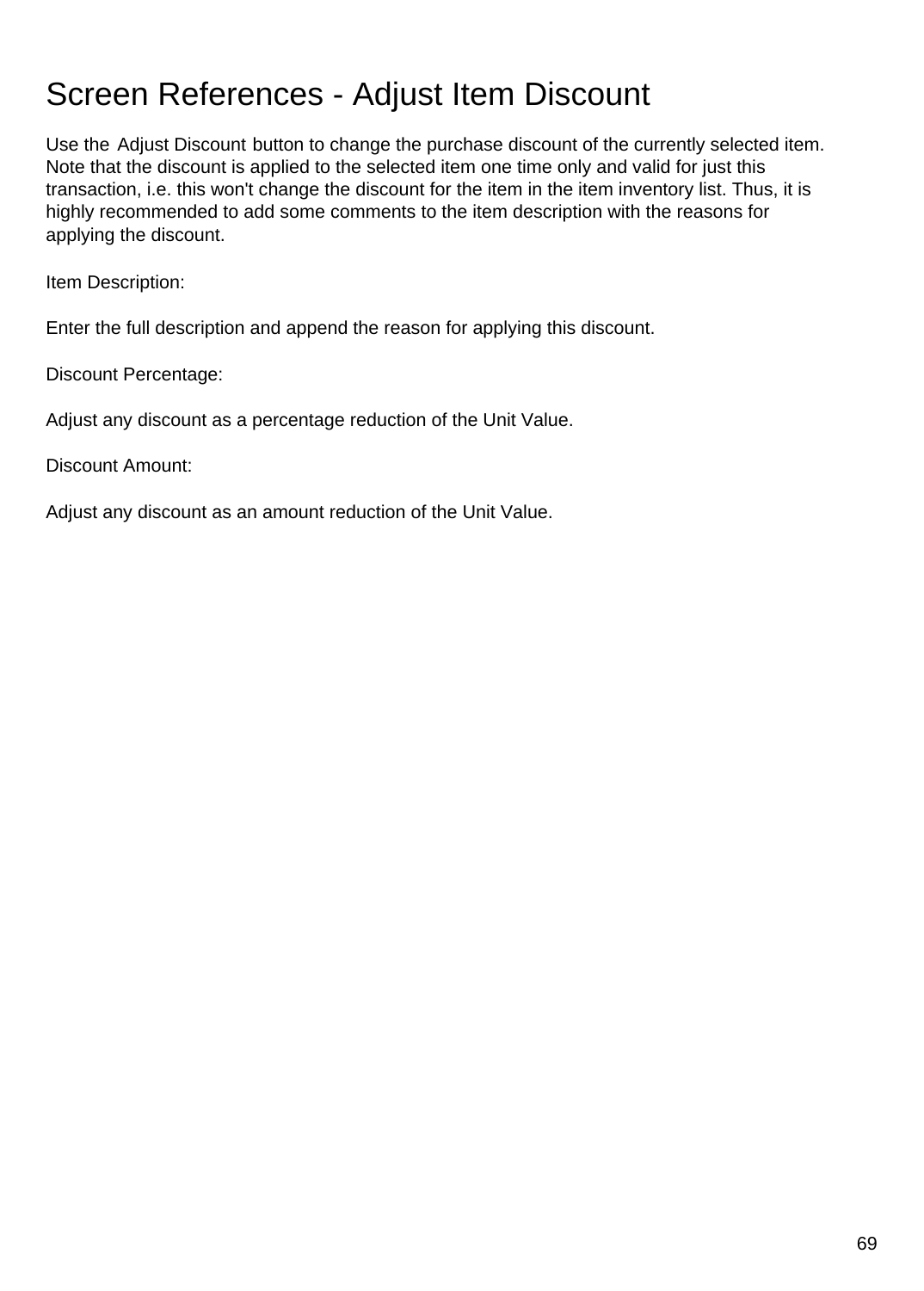# Screen References - Adjust Item Discount

Use the Adjust Discount button to change the purchase discount of the currently selected item. Note that the discount is applied to the selected item one time only and valid for just this transaction, i.e. this won't change the discount for the item in the item inventory list. Thus, it is highly recommended to add some comments to the item description with the reasons for applying the discount.

Item Description:

Enter the full description and append the reason for applying this discount.

Discount Percentage:

Adjust any discount as a percentage reduction of the Unit Value.

Discount Amount:

Adjust any discount as an amount reduction of the Unit Value.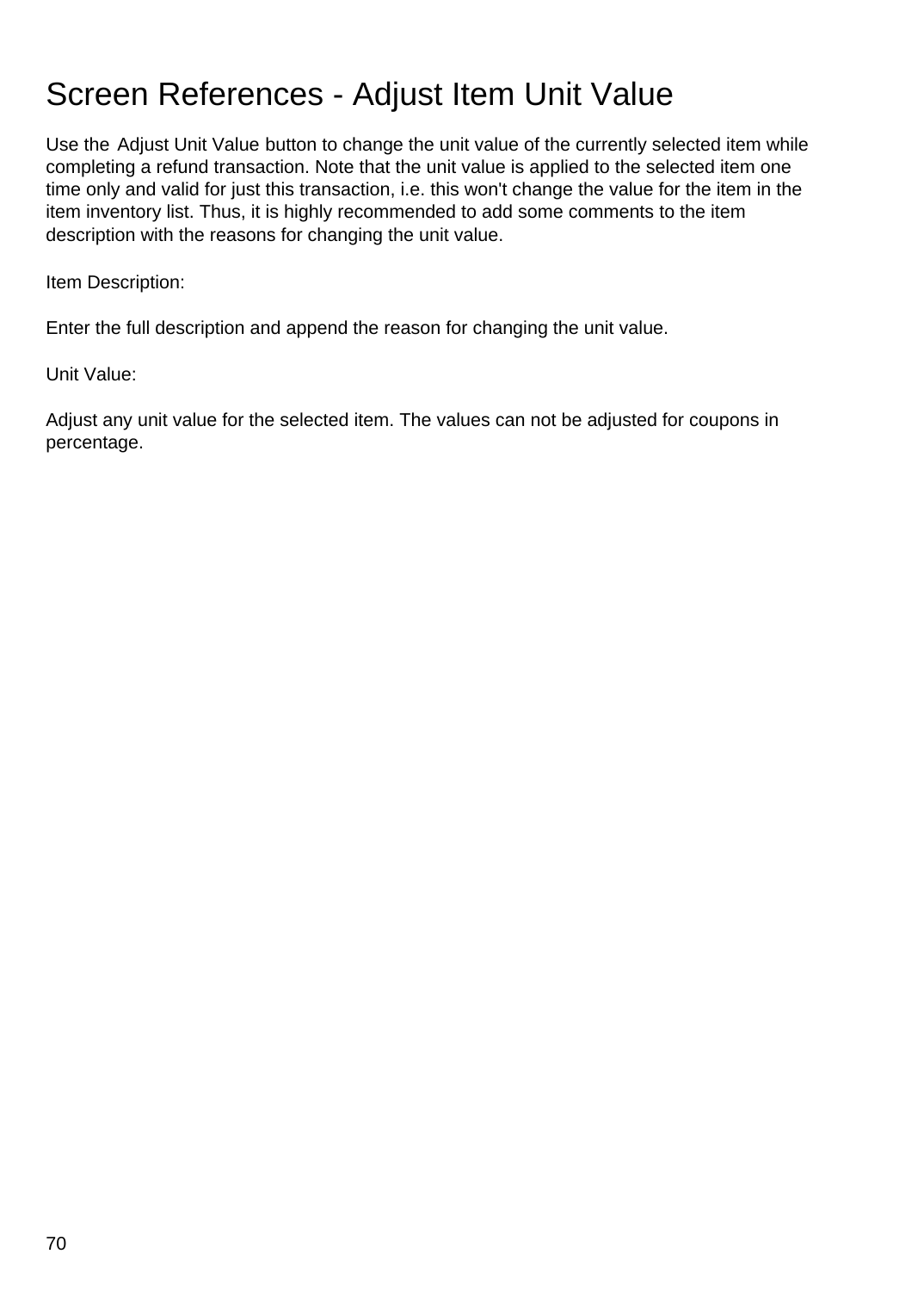# Screen References - Adjust Item Unit Value

Use the Adjust Unit Value button to change the unit value of the currently selected item while completing a refund transaction. Note that the unit value is applied to the selected item one time only and valid for just this transaction, i.e. this won't change the value for the item in the item inventory list. Thus, it is highly recommended to add some comments to the item description with the reasons for changing the unit value.

Item Description:

Enter the full description and append the reason for changing the unit value.

Unit Value:

Adjust any unit value for the selected item. The values can not be adjusted for coupons in percentage.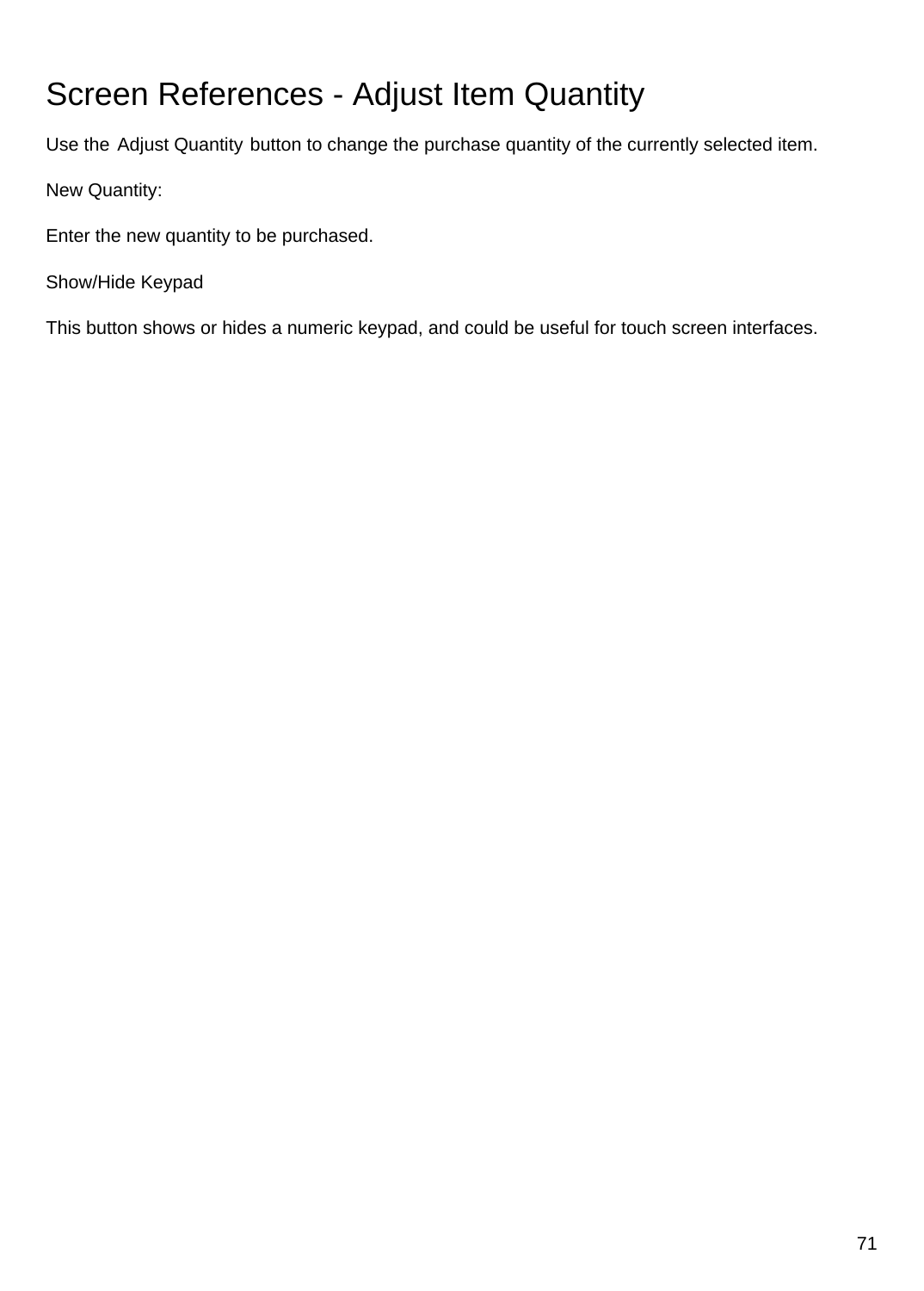# Screen References - Adjust Item Quantity

Use the Adjust Quantity button to change the purchase quantity of the currently selected item.

New Quantity:

Enter the new quantity to be purchased.

Show/Hide Keypad

This button shows or hides a numeric keypad, and could be useful for touch screen interfaces.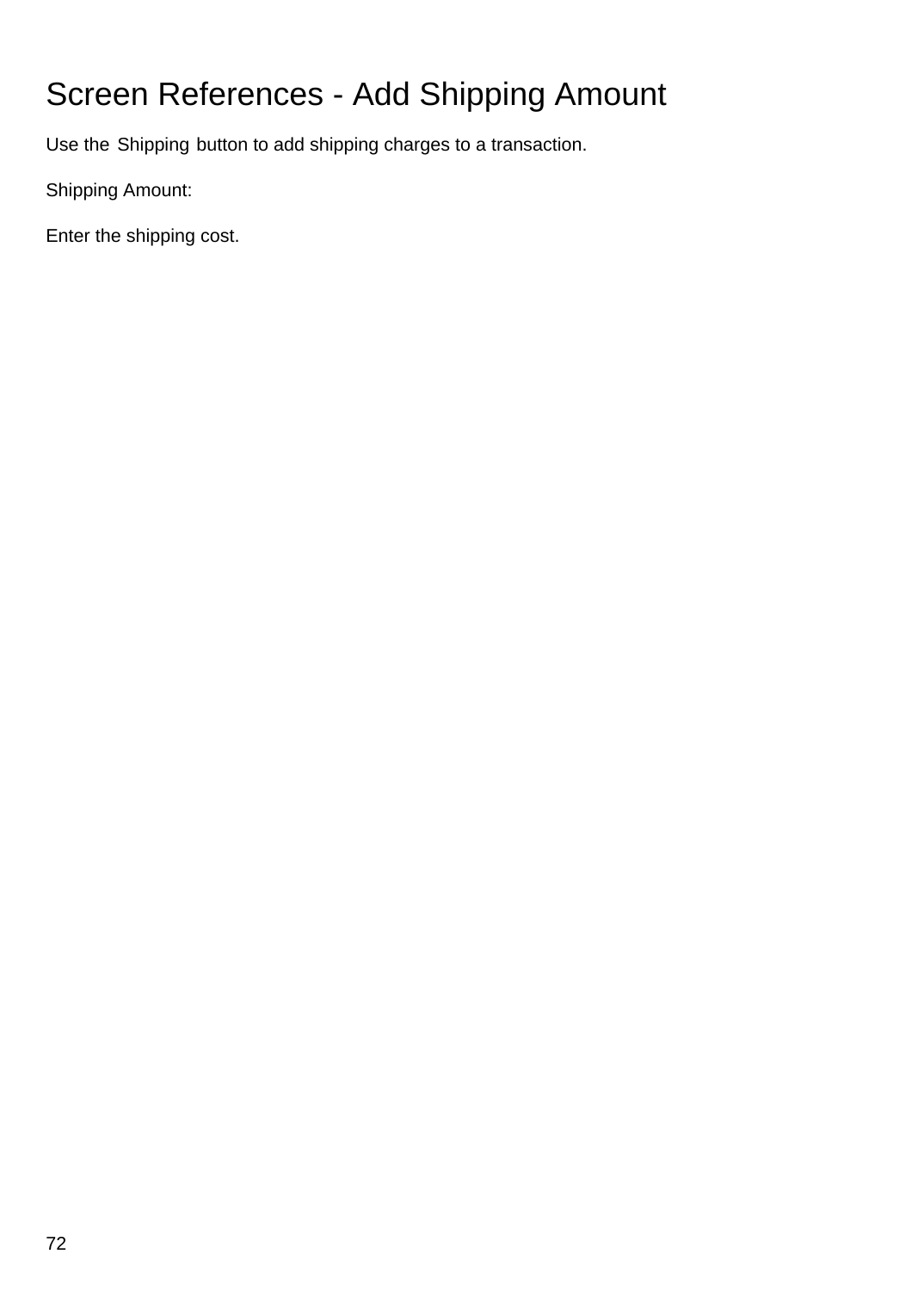# Screen References - Add Shipping Amount

Use the Shipping button to add shipping charges to a transaction.

Shipping Amount:

Enter the shipping cost.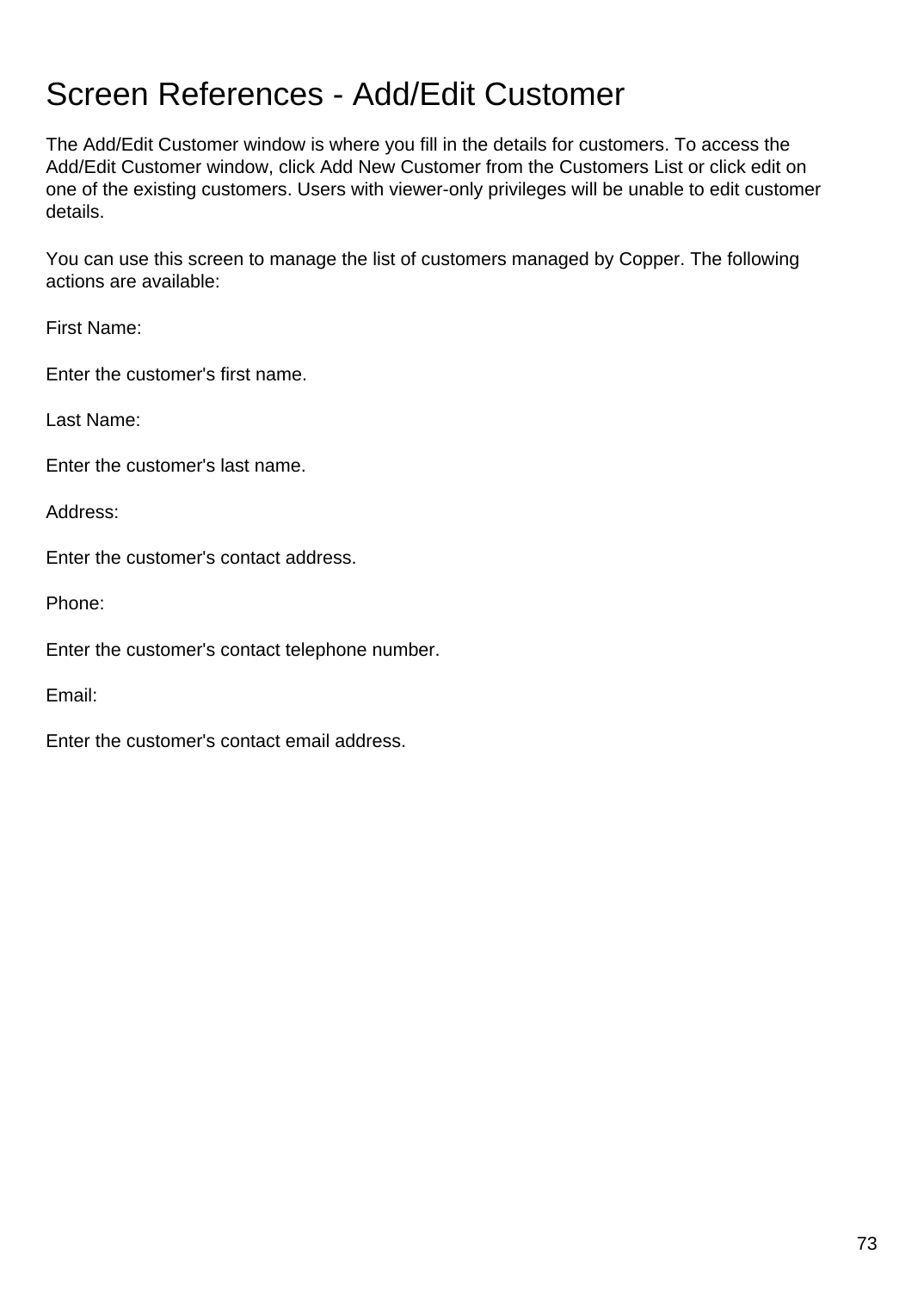## Screen References - Add/Edit Customer

The Add/Edit Customer window is where you fill in the details for customers. To access the Add/Edit Customer window, click Add New Customer from the Customers List or click edit on one of the existing customers. Users with viewer-only privileges will be unable to edit customer details.

You can use this screen to manage the list of customers managed by Copper. The following actions are available:

First Name:

Enter the customer's first name.

Last Name:

Enter the customer's last name.

Address:

Enter the customer's contact address.

Phone:

Enter the customer's contact telephone number.

Email:

Enter the customer's contact email address.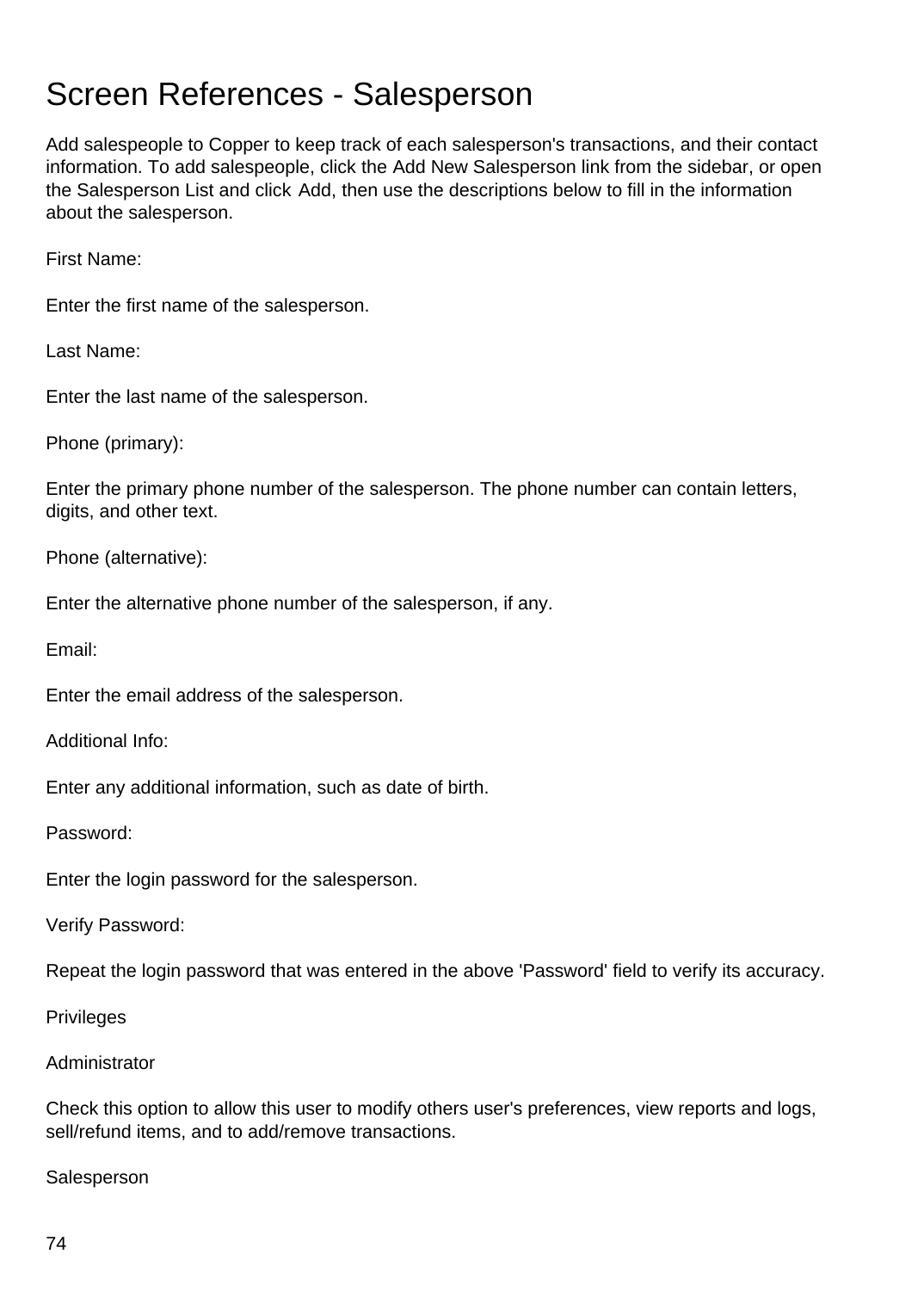#### Screen References - Salesperson

Add salespeople to Copper to keep track of each salesperson's transactions, and their contact information. To add salespeople, click the Add New Salesperson link from the sidebar, or open the Salesperson List and click Add, then use the descriptions below to fill in the information about the salesperson.

First Name:

Enter the first name of the salesperson.

Last Name:

Enter the last name of the salesperson.

Phone (primary):

Enter the primary phone number of the salesperson. The phone number can contain letters, digits, and other text.

Phone (alternative):

Enter the alternative phone number of the salesperson, if any.

Email:

Enter the email address of the salesperson.

Additional Info:

Enter any additional information, such as date of birth.

Password:

Enter the login password for the salesperson.

Verify Password:

Repeat the login password that was entered in the above 'Password' field to verify its accuracy.

Privileges

#### Administrator

Check this option to allow this user to modify others user's preferences, view reports and logs, sell/refund items, and to add/remove transactions.

**Salesperson**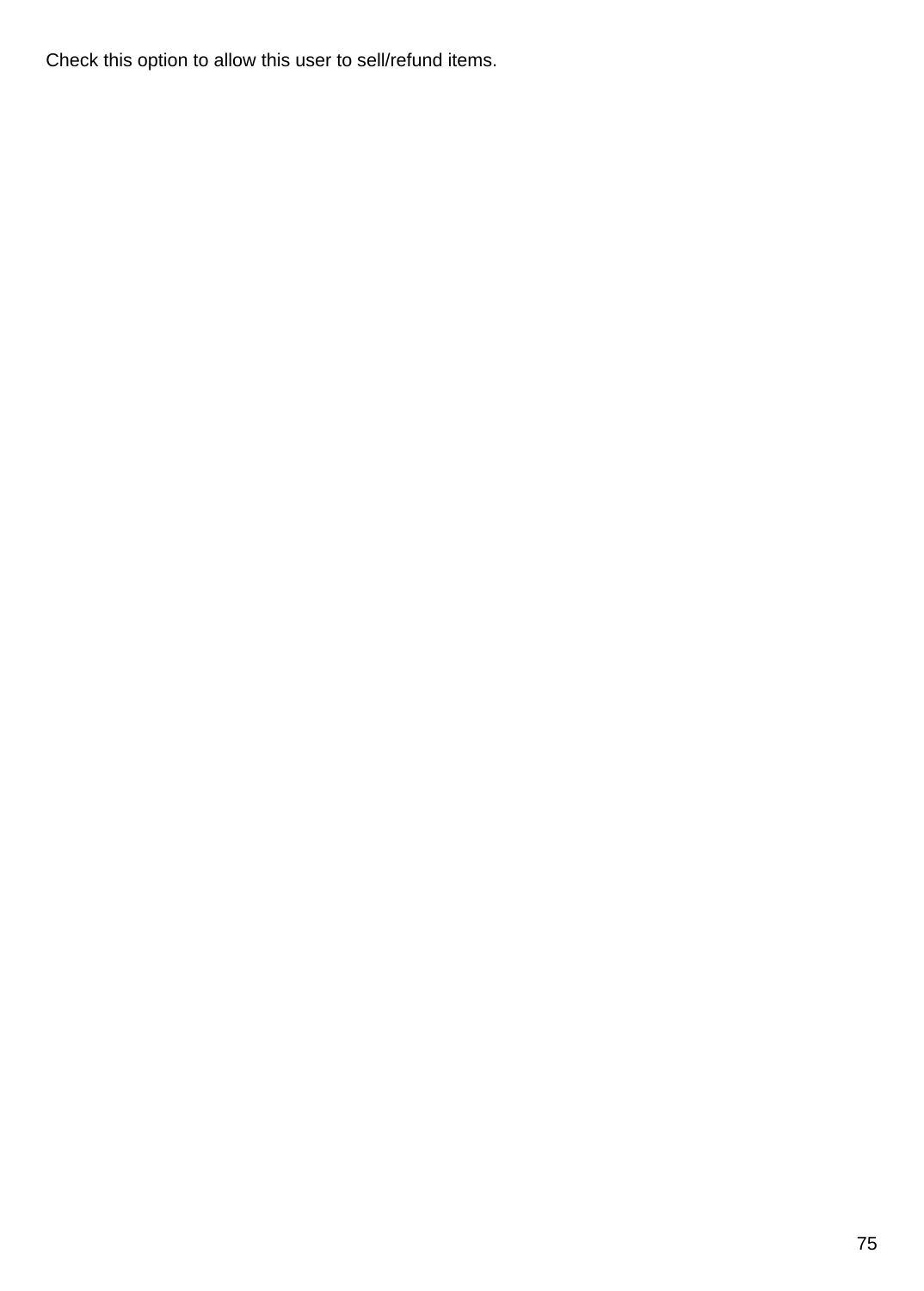Check this option to allow this user to sell/refund items.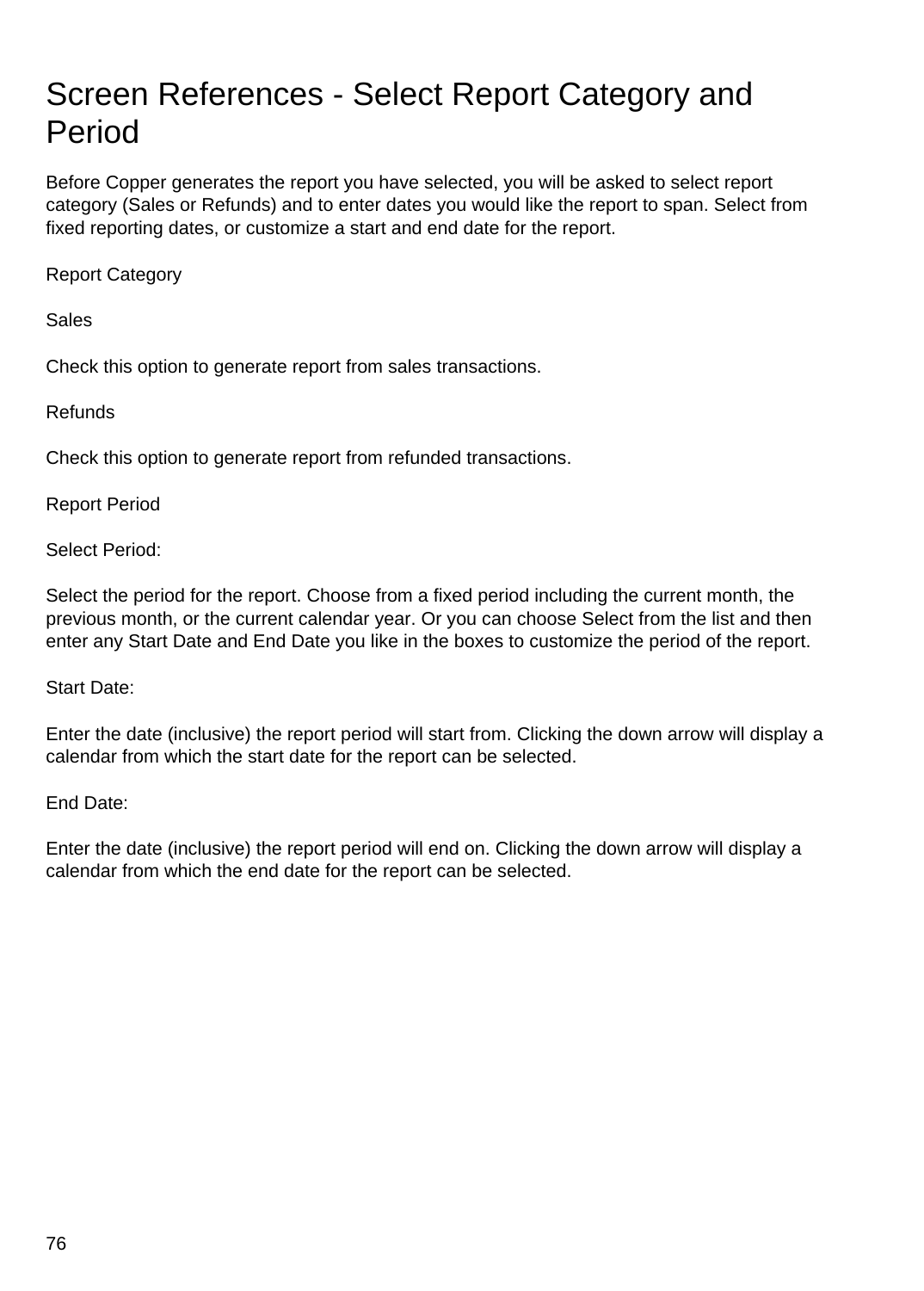## Screen References - Select Report Category and Period

Before Copper generates the report you have selected, you will be asked to select report category (Sales or Refunds) and to enter dates you would like the report to span. Select from fixed reporting dates, or customize a start and end date for the report.

Report Category

Sales

Check this option to generate report from sales transactions.

Refunds

Check this option to generate report from refunded transactions.

Report Period

Select Period:

Select the period for the report. Choose from a fixed period including the current month, the previous month, or the current calendar year. Or you can choose Select from the list and then enter any Start Date and End Date you like in the boxes to customize the period of the report.

Start Date:

Enter the date (inclusive) the report period will start from. Clicking the down arrow will display a calendar from which the start date for the report can be selected.

End Date:

Enter the date (inclusive) the report period will end on. Clicking the down arrow will display a calendar from which the end date for the report can be selected.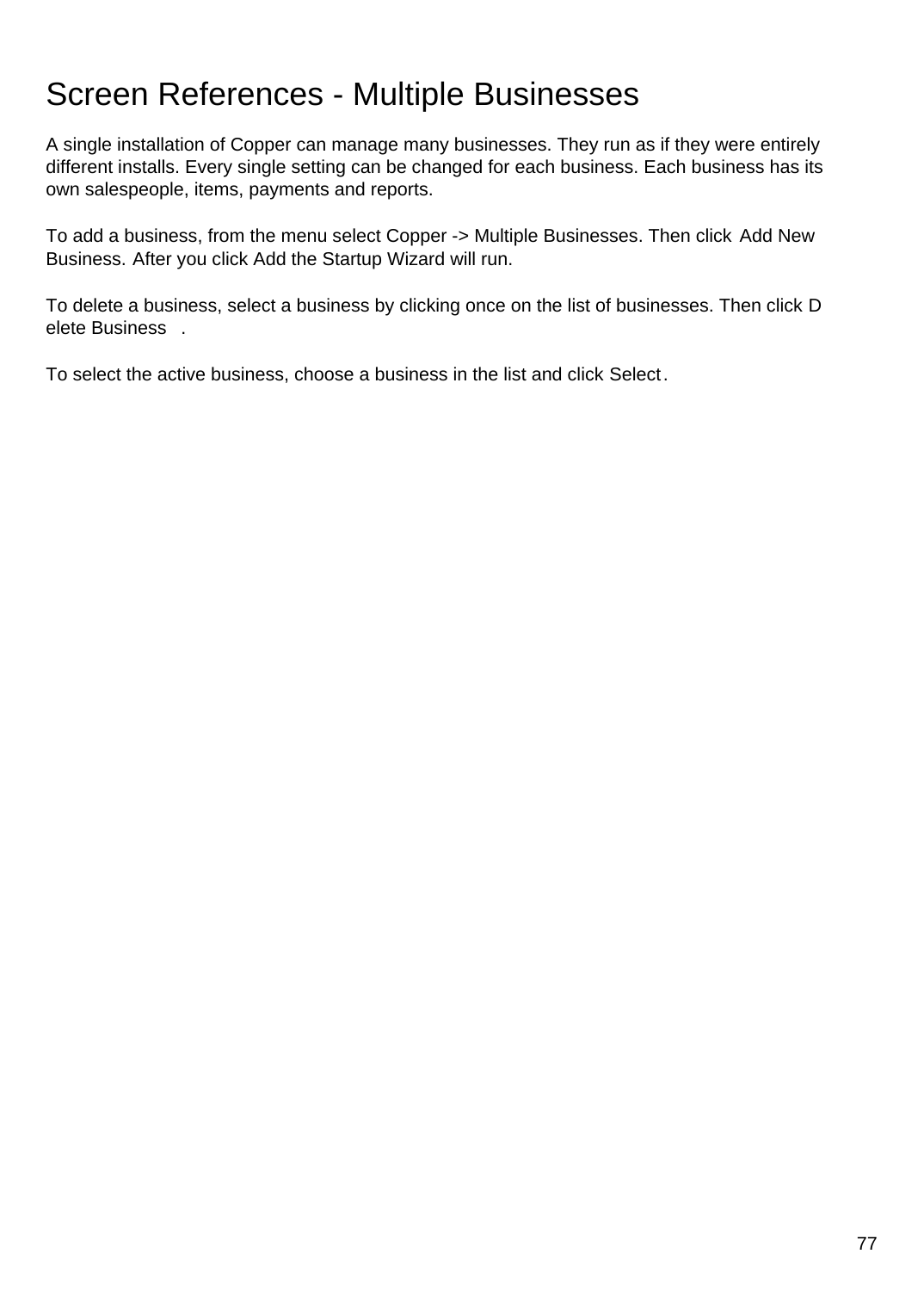### Screen References - Multiple Businesses

A single installation of Copper can manage many businesses. They run as if they were entirely different installs. Every single setting can be changed for each business. Each business has its own salespeople, items, payments and reports.

To add a business, from the menu select Copper -> Multiple Businesses. Then click Add New Business. After you click Add the Startup Wizard will run.

To delete a business, select a business by clicking once on the list of businesses. Then click D elete Business .

To select the active business, choose a business in the list and click Select.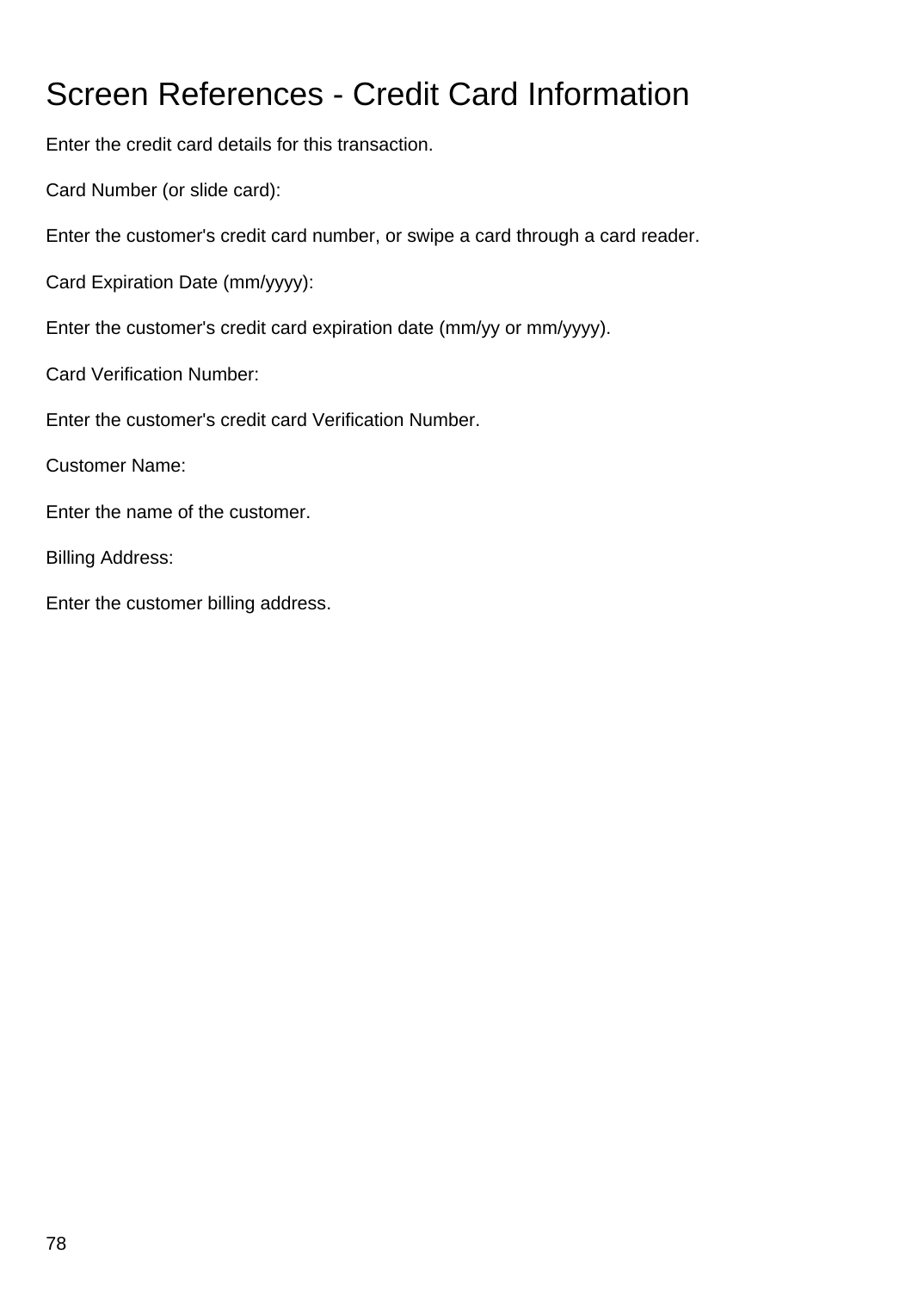# Screen References - Credit Card Information

Enter the credit card details for this transaction.

Card Number (or slide card):

Enter the customer's credit card number, or swipe a card through a card reader.

Card Expiration Date (mm/yyyy):

Enter the customer's credit card expiration date (mm/yy or mm/yyyy).

Card Verification Number:

Enter the customer's credit card Verification Number.

Customer Name:

Enter the name of the customer.

Billing Address:

Enter the customer billing address.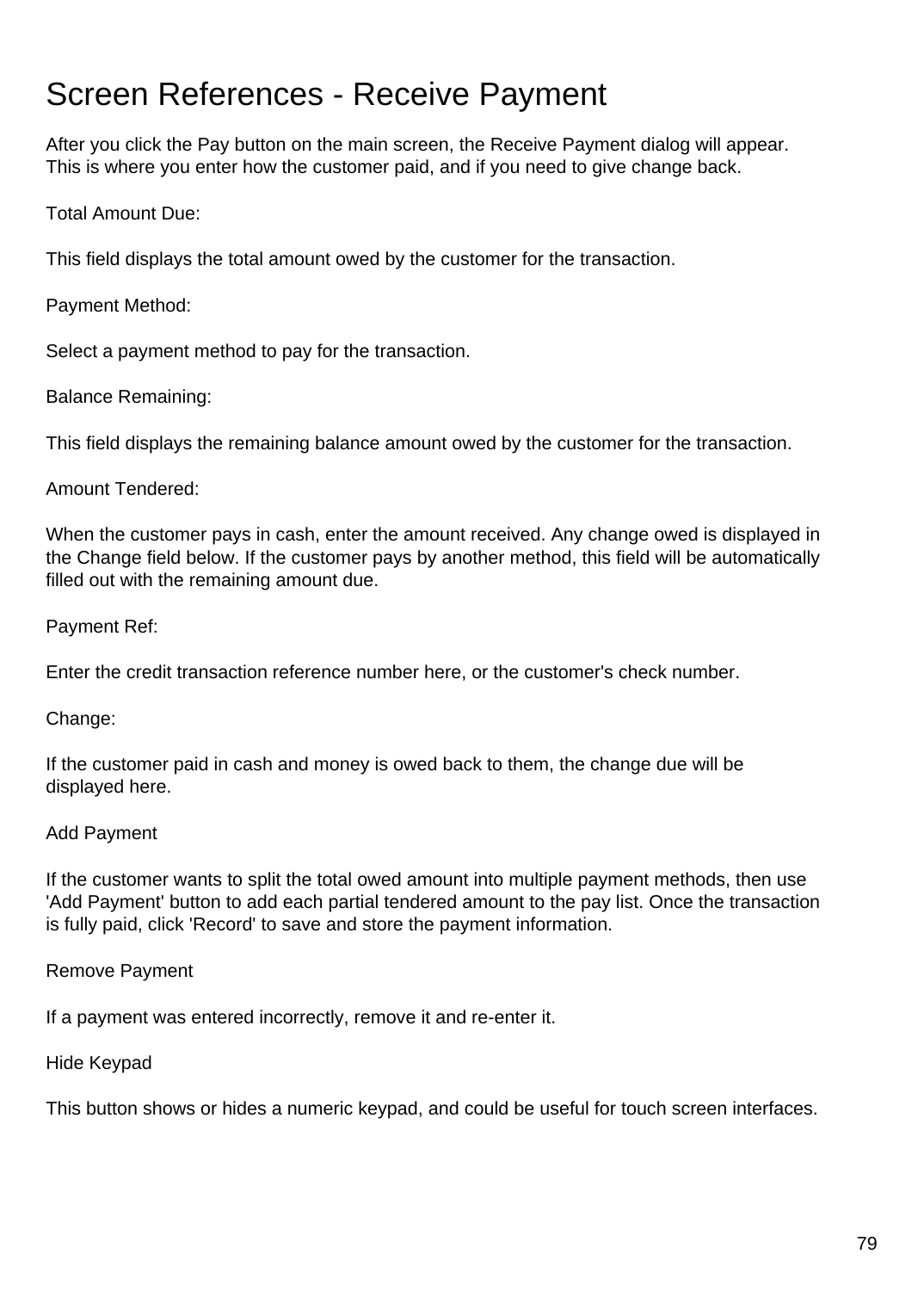### Screen References - Receive Payment

After you click the Pay button on the main screen, the Receive Payment dialog will appear. This is where you enter how the customer paid, and if you need to give change back.

Total Amount Due:

This field displays the total amount owed by the customer for the transaction.

Payment Method:

Select a payment method to pay for the transaction.

Balance Remaining:

This field displays the remaining balance amount owed by the customer for the transaction.

#### Amount Tendered:

When the customer pays in cash, enter the amount received. Any change owed is displayed in the Change field below. If the customer pays by another method, this field will be automatically filled out with the remaining amount due.

Payment Ref:

Enter the credit transaction reference number here, or the customer's check number.

Change:

If the customer paid in cash and money is owed back to them, the change due will be displayed here.

#### Add Payment

If the customer wants to split the total owed amount into multiple payment methods, then use 'Add Payment' button to add each partial tendered amount to the pay list. Once the transaction is fully paid, click 'Record' to save and store the payment information.

Remove Payment

If a payment was entered incorrectly, remove it and re-enter it.

Hide Keypad

This button shows or hides a numeric keypad, and could be useful for touch screen interfaces.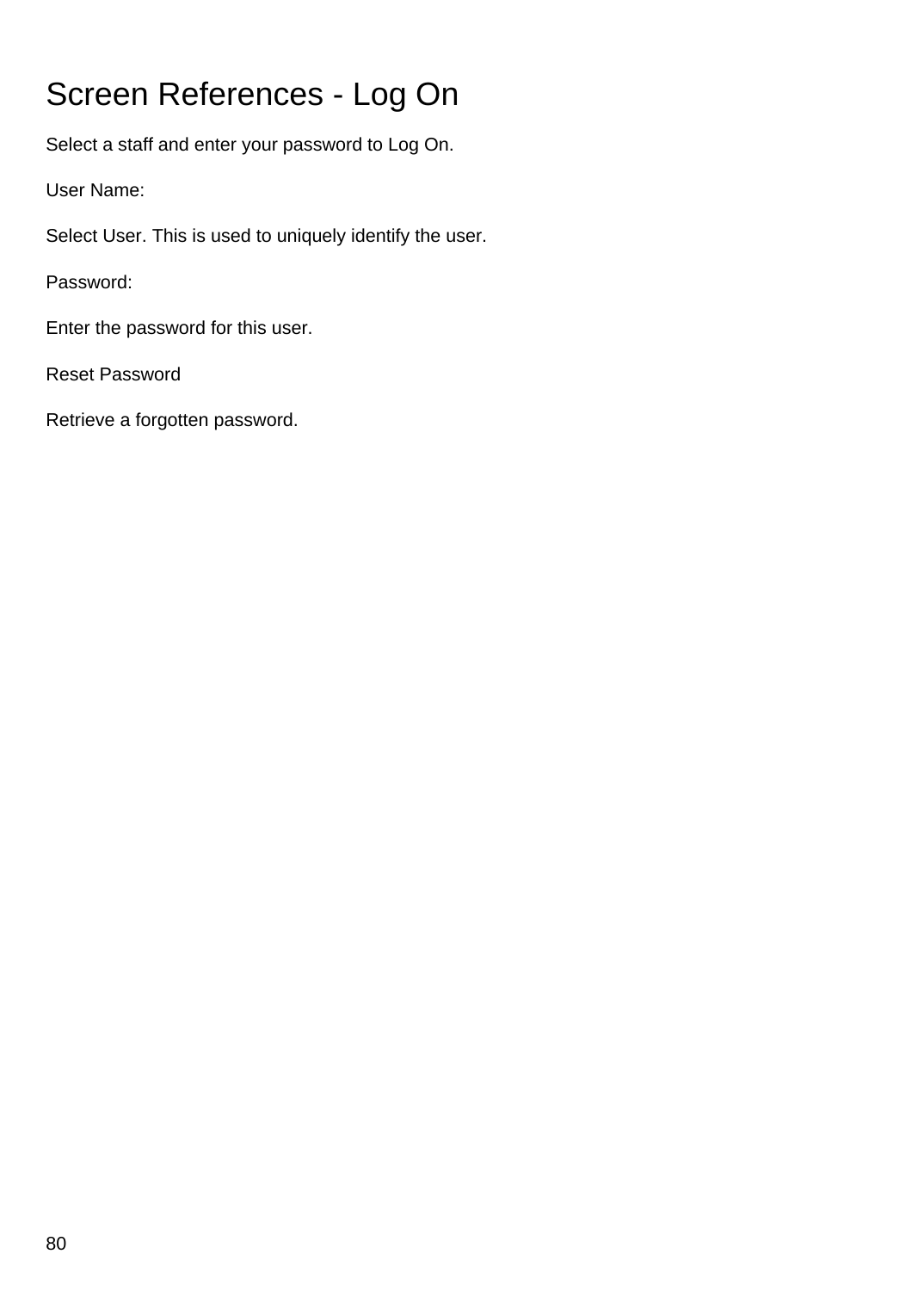# Screen References - Log On

Select a staff and enter your password to Log On.

User Name:

Select User. This is used to uniquely identify the user.

Password:

Enter the password for this user.

Reset Password

Retrieve a forgotten password.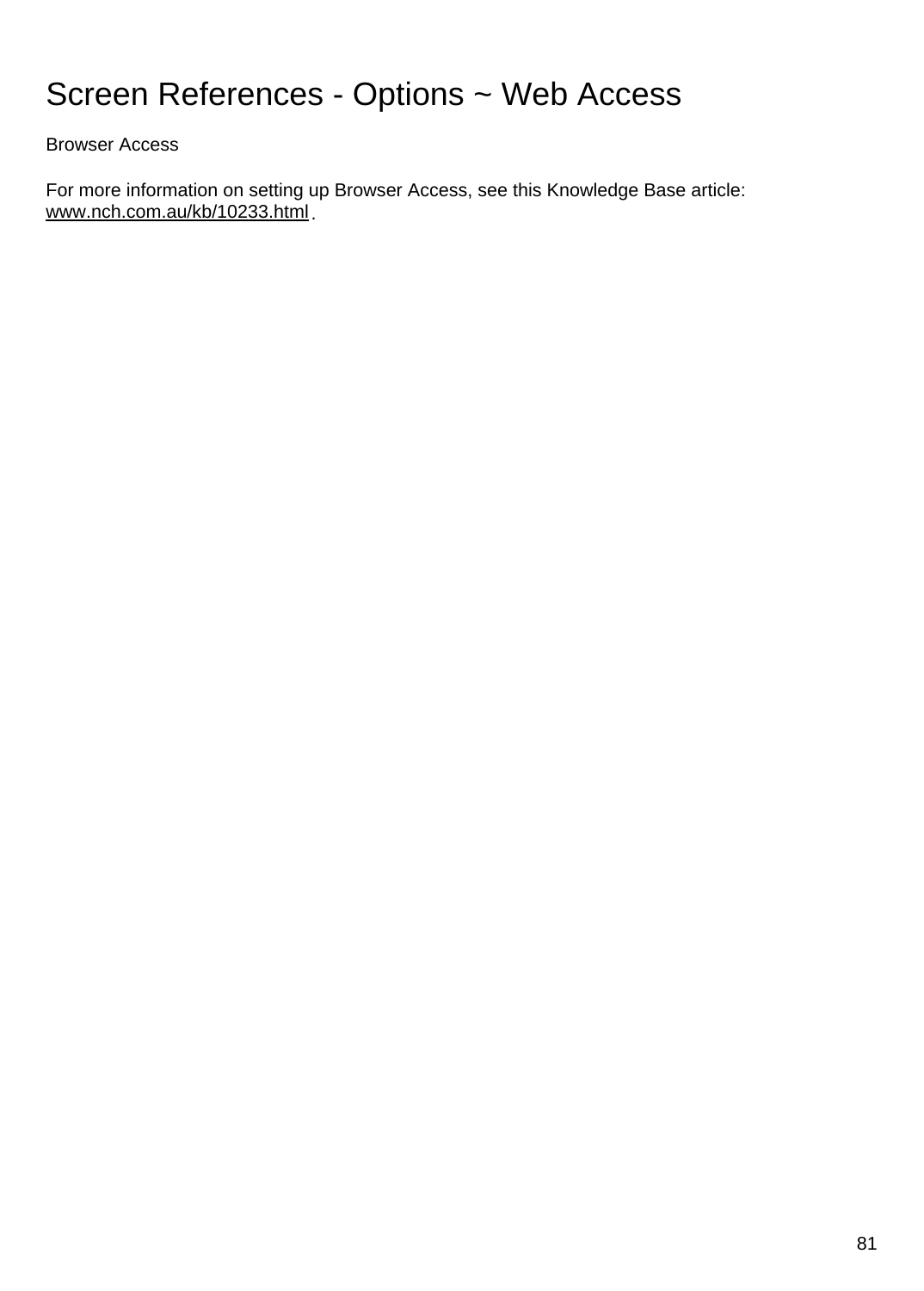## Screen References - Options ~ Web Access

Browser Access

For more information on setting up Browser Access, see this Knowledge Base article: [www.nch.com.au/kb/10233.html](https://www.nch.com.au/kb/10233.html).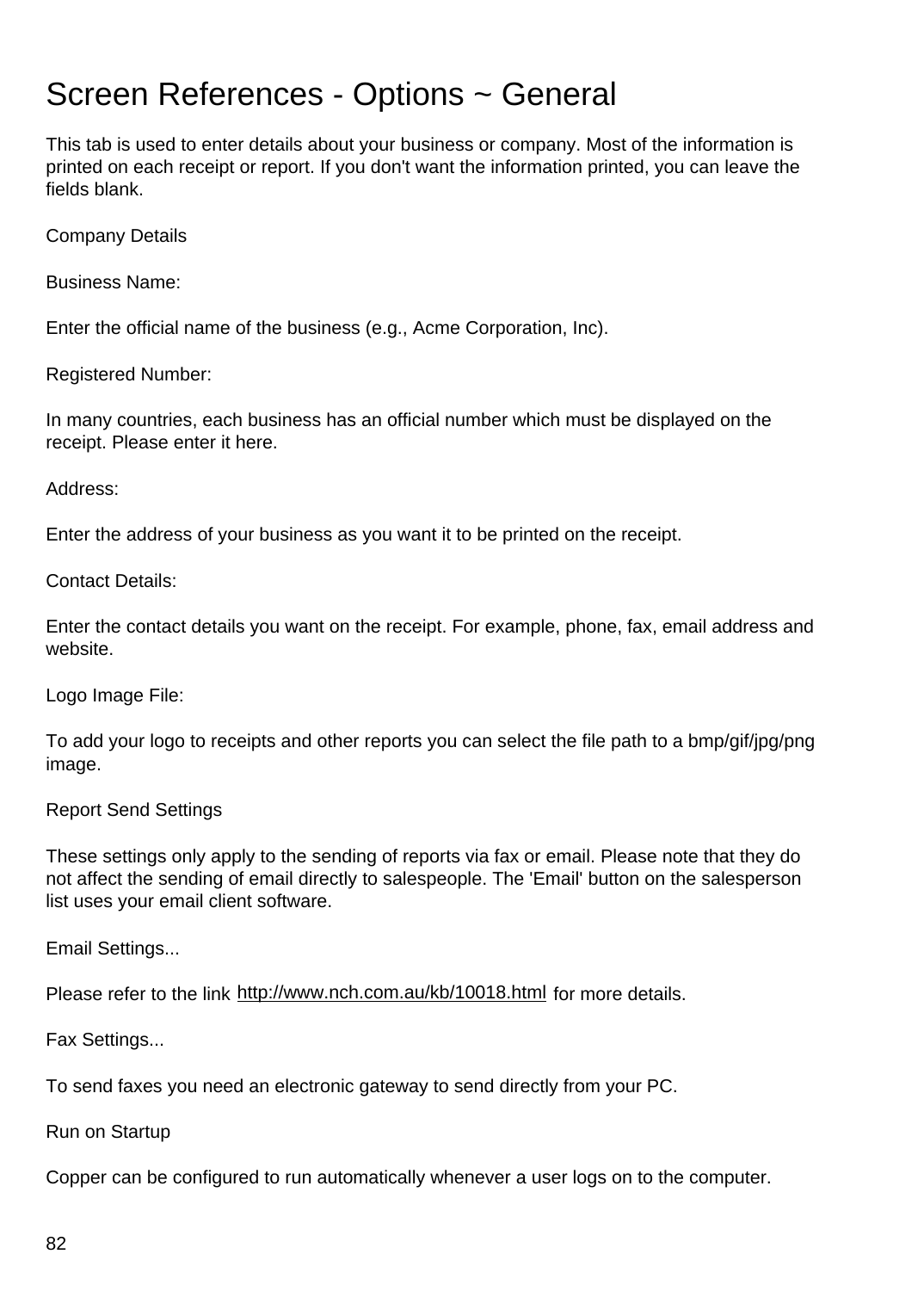#### Screen References - Options ~ General

This tab is used to enter details about your business or company. Most of the information is printed on each receipt or report. If you don't want the information printed, you can leave the fields blank.

Company Details

Business Name:

Enter the official name of the business (e.g., Acme Corporation, Inc).

Registered Number:

In many countries, each business has an official number which must be displayed on the receipt. Please enter it here.

Address:

Enter the address of your business as you want it to be printed on the receipt.

Contact Details:

Enter the contact details you want on the receipt. For example, phone, fax, email address and website.

Logo Image File:

To add your logo to receipts and other reports you can select the file path to a bmp/gif/jpg/png image.

Report Send Settings

These settings only apply to the sending of reports via fax or email. Please note that they do not affect the sending of email directly to salespeople. The 'Email' button on the salesperson list uses your email client software.

Email Settings...

Please refer to the link <http://www.nch.com.au/kb/10018.html> for more details.

Fax Settings...

To send faxes you need an electronic gateway to send directly from your PC.

Run on Startup

Copper can be configured to run automatically whenever a user logs on to the computer.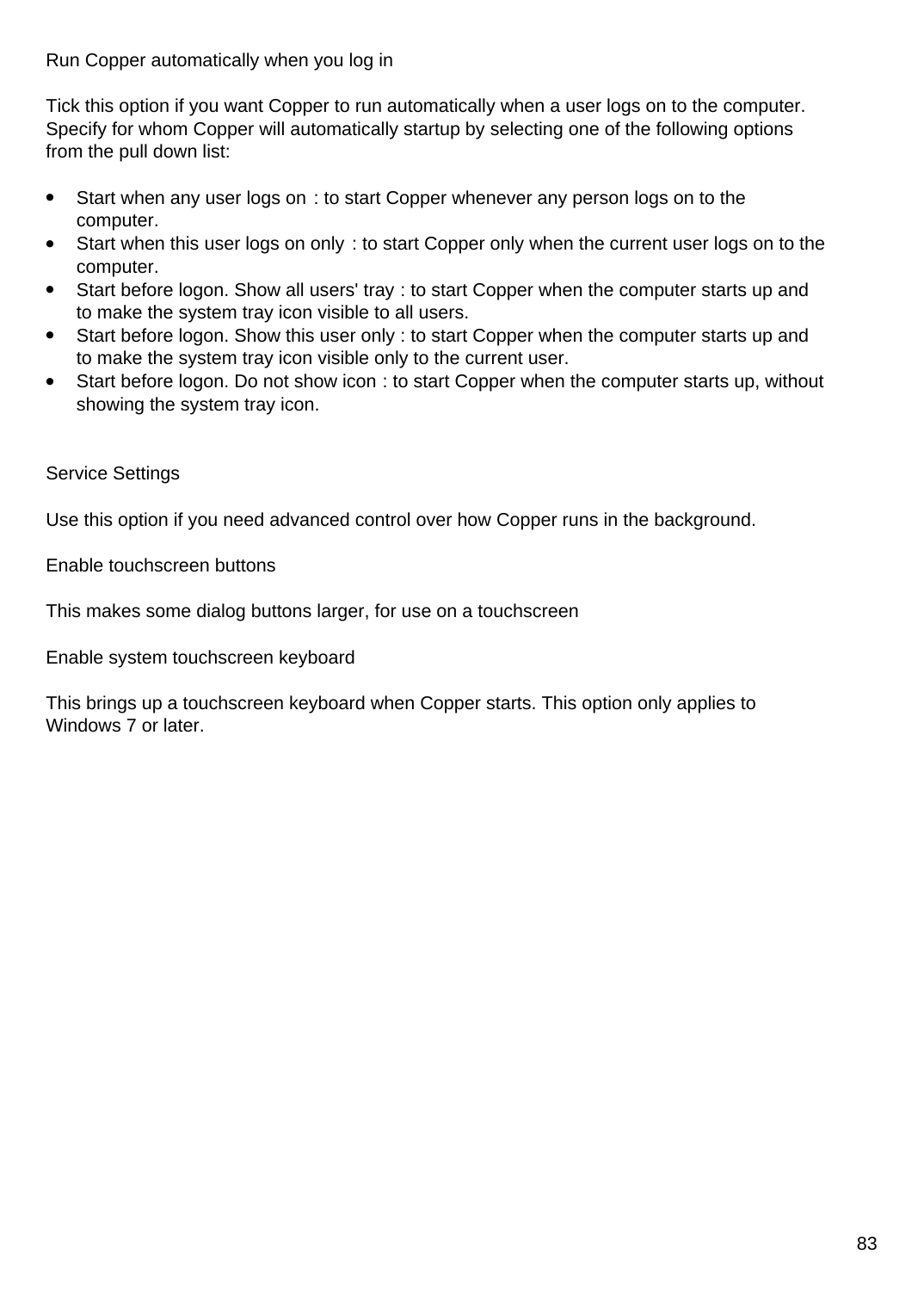Run Copper automatically when you log in

Tick this option if you want Copper to run automatically when a user logs on to the computer. Specify for whom Copper will automatically startup by selecting one of the following options from the pull down list:

- Start when any user logs on : to start Copper whenever any person logs on to the computer.
- Start when this user logs on only : to start Copper only when the current user logs on to the computer.
- Start before logon. Show all users' tray : to start Copper when the computer starts up and to make the system tray icon visible to all users.
- Start before logon. Show this user only : to start Copper when the computer starts up and to make the system tray icon visible only to the current user.
- Start before logon. Do not show icon : to start Copper when the computer starts up, without showing the system tray icon.

#### Service Settings

Use this option if you need advanced control over how Copper runs in the background.

Enable touchscreen buttons

This makes some dialog buttons larger, for use on a touchscreen

Enable system touchscreen keyboard

This brings up a touchscreen keyboard when Copper starts. This option only applies to Windows 7 or later.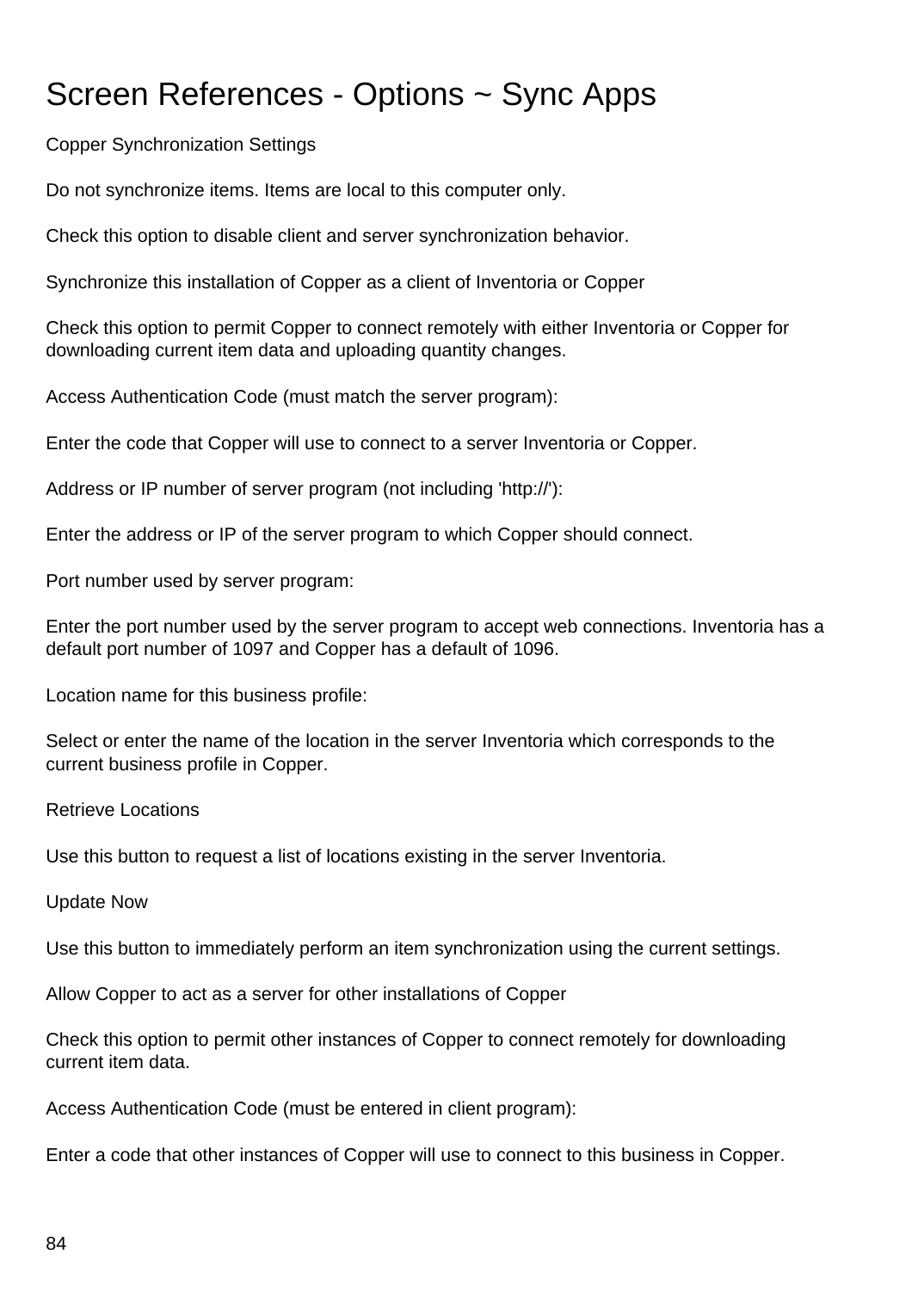# Screen References - Options ~ Sync Apps

Copper Synchronization Settings

Do not synchronize items. Items are local to this computer only.

Check this option to disable client and server synchronization behavior.

Synchronize this installation of Copper as a client of Inventoria or Copper

Check this option to permit Copper to connect remotely with either Inventoria or Copper for downloading current item data and uploading quantity changes.

Access Authentication Code (must match the server program):

Enter the code that Copper will use to connect to a server Inventoria or Copper.

Address or IP number of server program (not including 'http://'):

Enter the address or IP of the server program to which Copper should connect.

Port number used by server program:

Enter the port number used by the server program to accept web connections. Inventoria has a default port number of 1097 and Copper has a default of 1096.

Location name for this business profile:

Select or enter the name of the location in the server Inventoria which corresponds to the current business profile in Copper.

Retrieve Locations

Use this button to request a list of locations existing in the server Inventoria.

Update Now

Use this button to immediately perform an item synchronization using the current settings.

Allow Copper to act as a server for other installations of Copper

Check this option to permit other instances of Copper to connect remotely for downloading current item data.

Access Authentication Code (must be entered in client program):

Enter a code that other instances of Copper will use to connect to this business in Copper.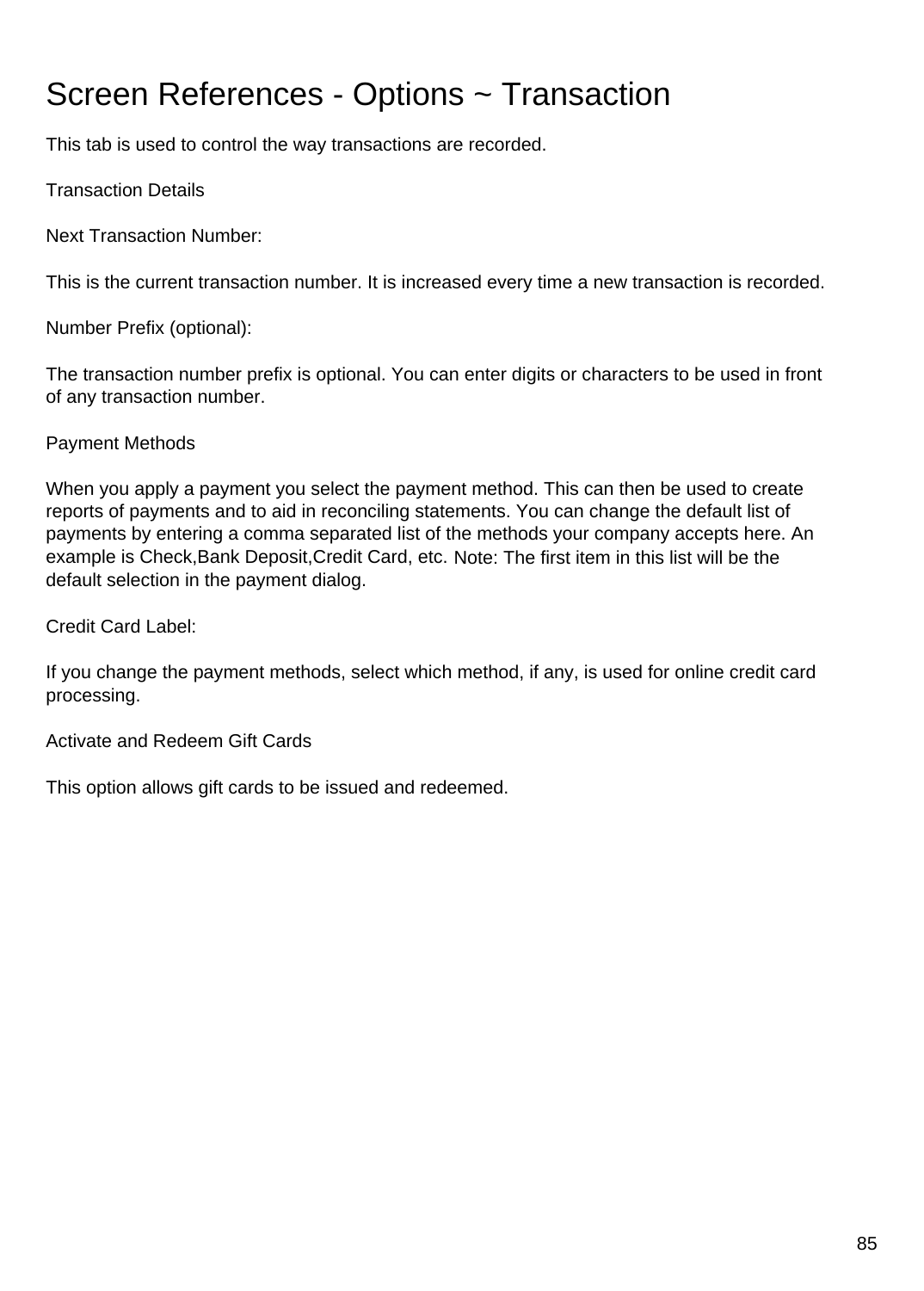# Screen References - Options ~ Transaction

This tab is used to control the way transactions are recorded.

Transaction Details

Next Transaction Number:

This is the current transaction number. It is increased every time a new transaction is recorded.

Number Prefix (optional):

The transaction number prefix is optional. You can enter digits or characters to be used in front of any transaction number.

#### Payment Methods

When you apply a payment you select the payment method. This can then be used to create reports of payments and to aid in reconciling statements. You can change the default list of payments by entering a comma separated list of the methods your company accepts here. An example is Check,Bank Deposit,Credit Card, etc. Note: The first item in this list will be the default selection in the payment dialog.

Credit Card Label:

If you change the payment methods, select which method, if any, is used for online credit card processing.

Activate and Redeem Gift Cards

This option allows gift cards to be issued and redeemed.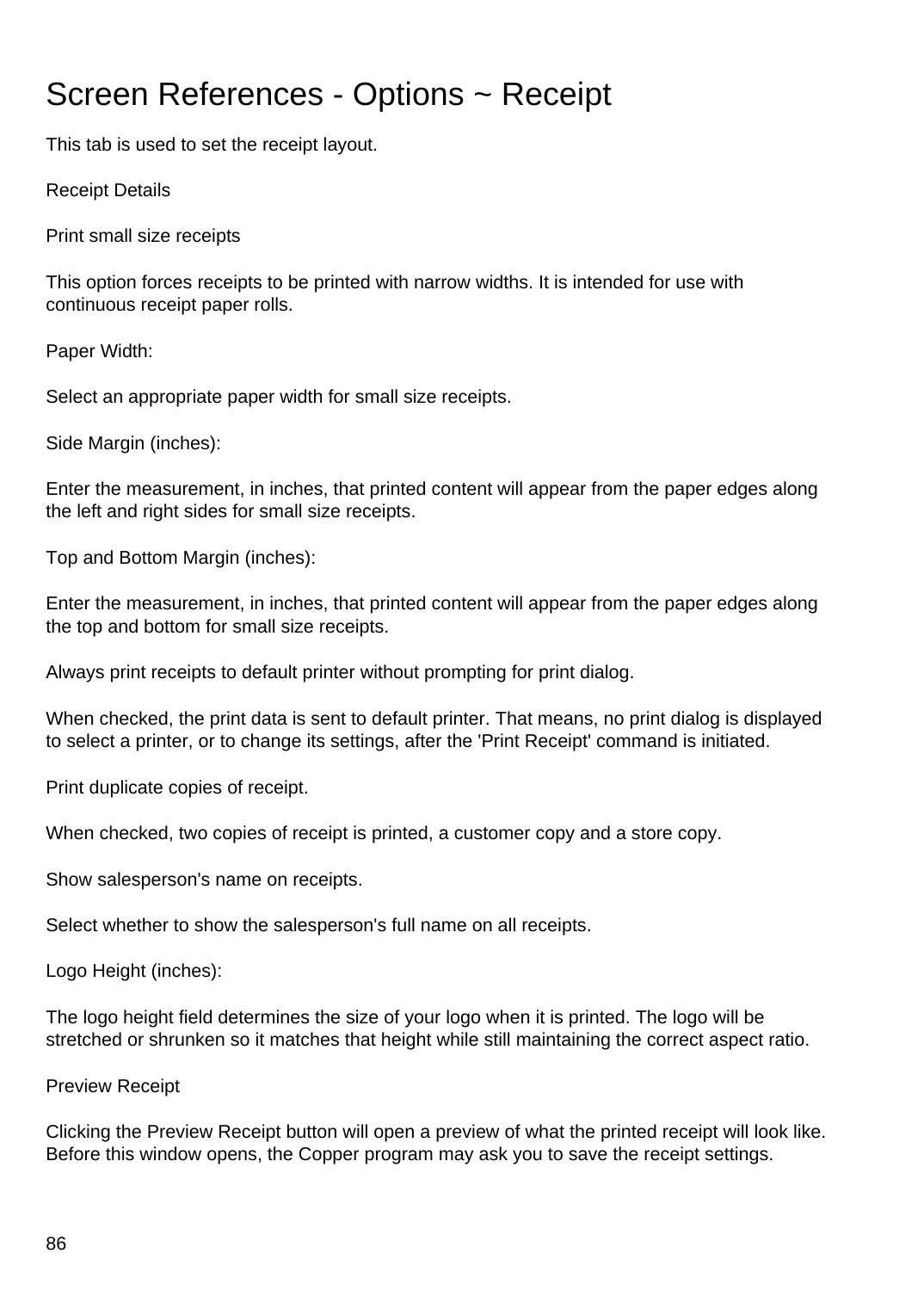## Screen References - Options ~ Receipt

This tab is used to set the receipt layout.

Receipt Details

Print small size receipts

This option forces receipts to be printed with narrow widths. It is intended for use with continuous receipt paper rolls.

Paper Width:

Select an appropriate paper width for small size receipts.

Side Margin (inches):

Enter the measurement, in inches, that printed content will appear from the paper edges along the left and right sides for small size receipts.

Top and Bottom Margin (inches):

Enter the measurement, in inches, that printed content will appear from the paper edges along the top and bottom for small size receipts.

Always print receipts to default printer without prompting for print dialog.

When checked, the print data is sent to default printer. That means, no print dialog is displayed to select a printer, or to change its settings, after the 'Print Receipt' command is initiated.

Print duplicate copies of receipt.

When checked, two copies of receipt is printed, a customer copy and a store copy.

Show salesperson's name on receipts.

Select whether to show the salesperson's full name on all receipts.

Logo Height (inches):

The logo height field determines the size of your logo when it is printed. The logo will be stretched or shrunken so it matches that height while still maintaining the correct aspect ratio.

Preview Receipt

Clicking the Preview Receipt button will open a preview of what the printed receipt will look like. Before this window opens, the Copper program may ask you to save the receipt settings.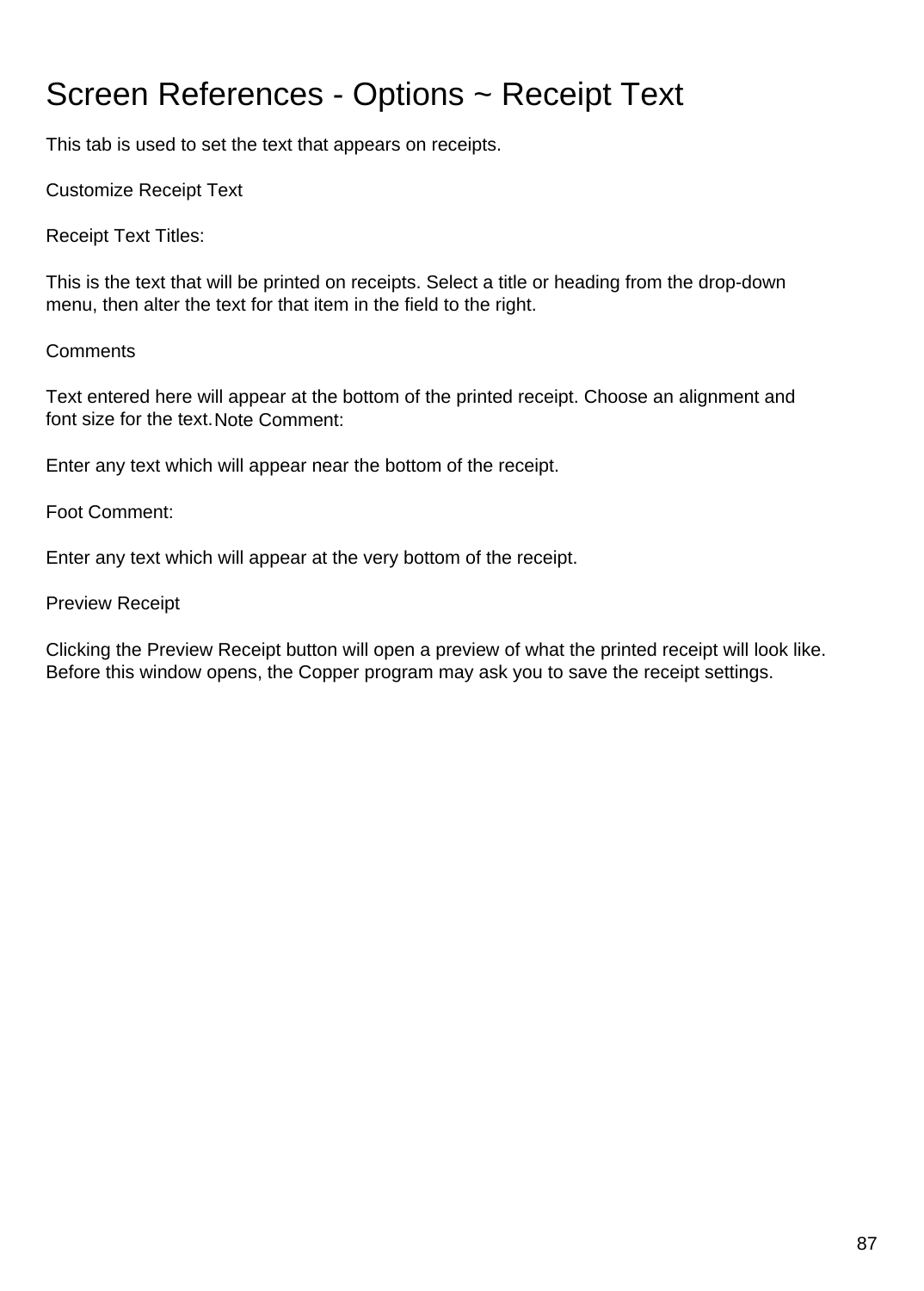# Screen References - Options ~ Receipt Text

This tab is used to set the text that appears on receipts.

Customize Receipt Text

Receipt Text Titles:

This is the text that will be printed on receipts. Select a title or heading from the drop-down menu, then alter the text for that item in the field to the right.

#### **Comments**

Text entered here will appear at the bottom of the printed receipt. Choose an alignment and font size for the text.Note Comment:

Enter any text which will appear near the bottom of the receipt.

Foot Comment:

Enter any text which will appear at the very bottom of the receipt.

#### Preview Receipt

Clicking the Preview Receipt button will open a preview of what the printed receipt will look like. Before this window opens, the Copper program may ask you to save the receipt settings.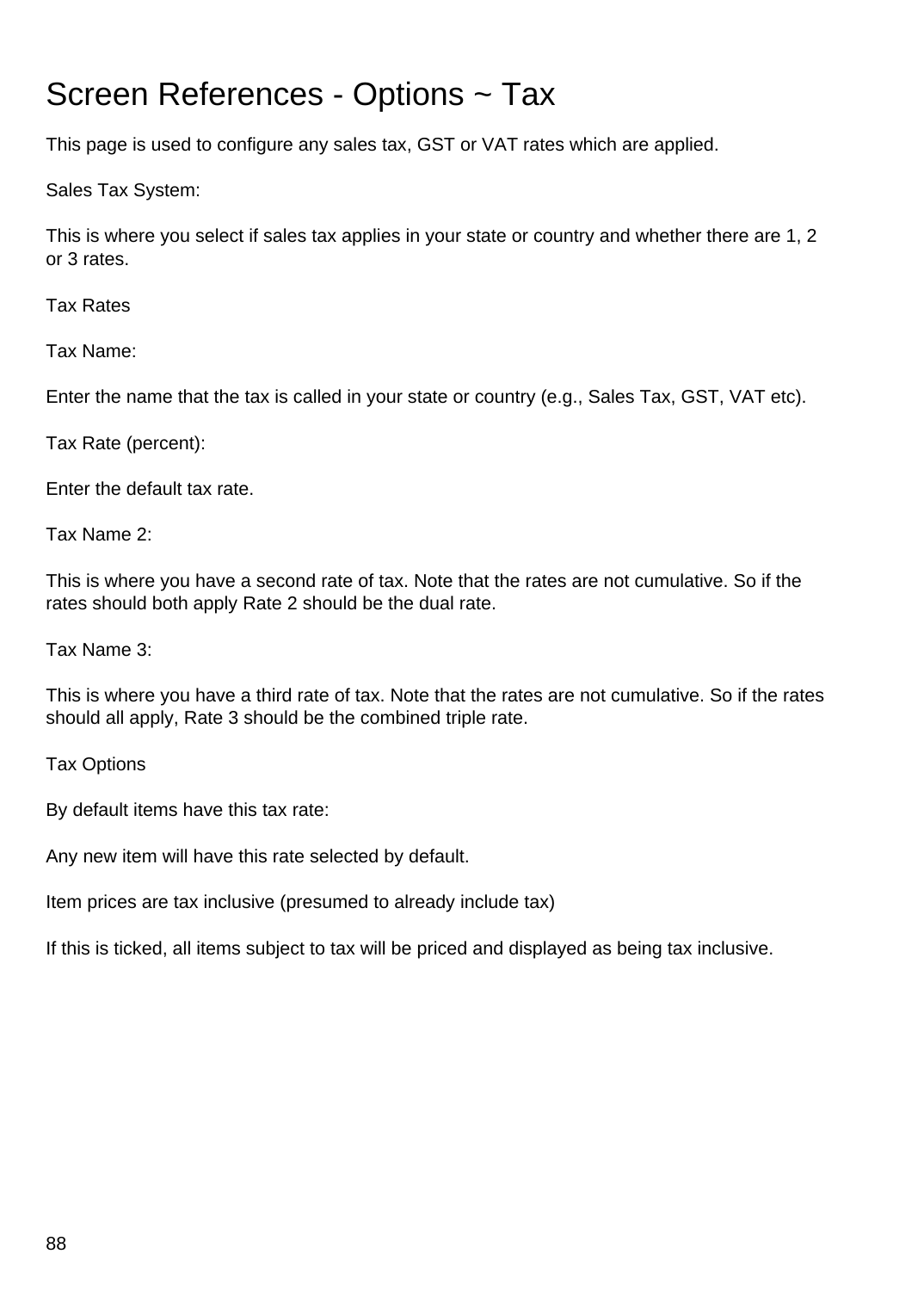### Screen References - Options ~ Tax

This page is used to configure any sales tax, GST or VAT rates which are applied.

Sales Tax System:

This is where you select if sales tax applies in your state or country and whether there are 1, 2 or 3 rates.

Tax Rates

Tax Name:

Enter the name that the tax is called in your state or country (e.g., Sales Tax, GST, VAT etc).

Tax Rate (percent):

Enter the default tax rate.

Tax Name 2:

This is where you have a second rate of tax. Note that the rates are not cumulative. So if the rates should both apply Rate 2 should be the dual rate.

Tax Name 3:

This is where you have a third rate of tax. Note that the rates are not cumulative. So if the rates should all apply, Rate 3 should be the combined triple rate.

Tax Options

By default items have this tax rate:

Any new item will have this rate selected by default.

Item prices are tax inclusive (presumed to already include tax)

If this is ticked, all items subject to tax will be priced and displayed as being tax inclusive.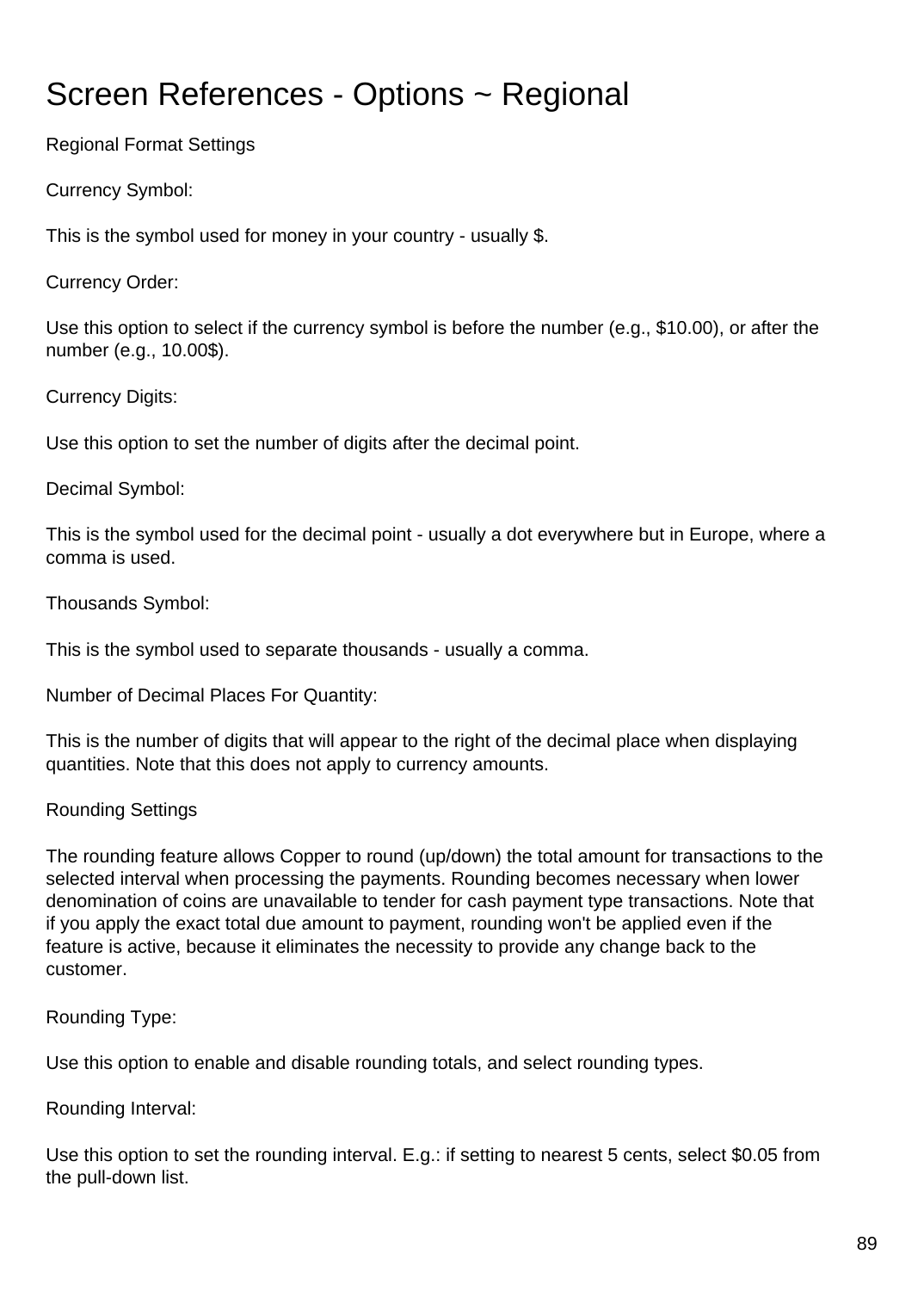# Screen References - Options ~ Regional

Regional Format Settings

Currency Symbol:

This is the symbol used for money in your country - usually \$.

Currency Order:

Use this option to select if the currency symbol is before the number (e.g., \$10.00), or after the number (e.g., 10.00\$).

Currency Digits:

Use this option to set the number of digits after the decimal point.

Decimal Symbol:

This is the symbol used for the decimal point - usually a dot everywhere but in Europe, where a comma is used.

Thousands Symbol:

This is the symbol used to separate thousands - usually a comma.

Number of Decimal Places For Quantity:

This is the number of digits that will appear to the right of the decimal place when displaying quantities. Note that this does not apply to currency amounts.

#### Rounding Settings

The rounding feature allows Copper to round (up/down) the total amount for transactions to the selected interval when processing the payments. Rounding becomes necessary when lower denomination of coins are unavailable to tender for cash payment type transactions. Note that if you apply the exact total due amount to payment, rounding won't be applied even if the feature is active, because it eliminates the necessity to provide any change back to the customer.

Rounding Type:

Use this option to enable and disable rounding totals, and select rounding types.

Rounding Interval:

Use this option to set the rounding interval. E.g.: if setting to nearest 5 cents, select \$0.05 from the pull-down list.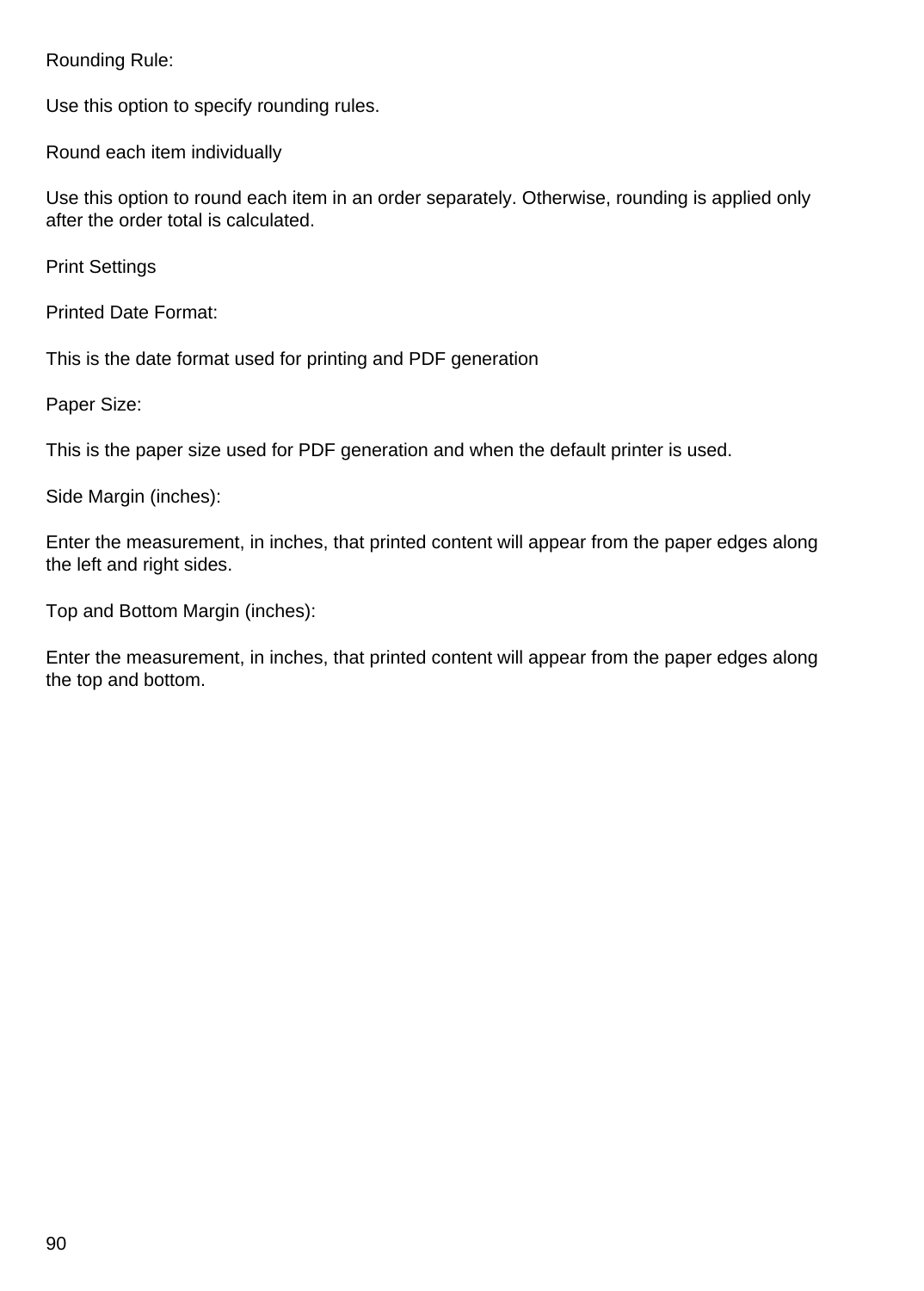Rounding Rule:

Use this option to specify rounding rules.

Round each item individually

Use this option to round each item in an order separately. Otherwise, rounding is applied only after the order total is calculated.

Print Settings

Printed Date Format:

This is the date format used for printing and PDF generation

Paper Size:

This is the paper size used for PDF generation and when the default printer is used.

Side Margin (inches):

Enter the measurement, in inches, that printed content will appear from the paper edges along the left and right sides.

Top and Bottom Margin (inches):

Enter the measurement, in inches, that printed content will appear from the paper edges along the top and bottom.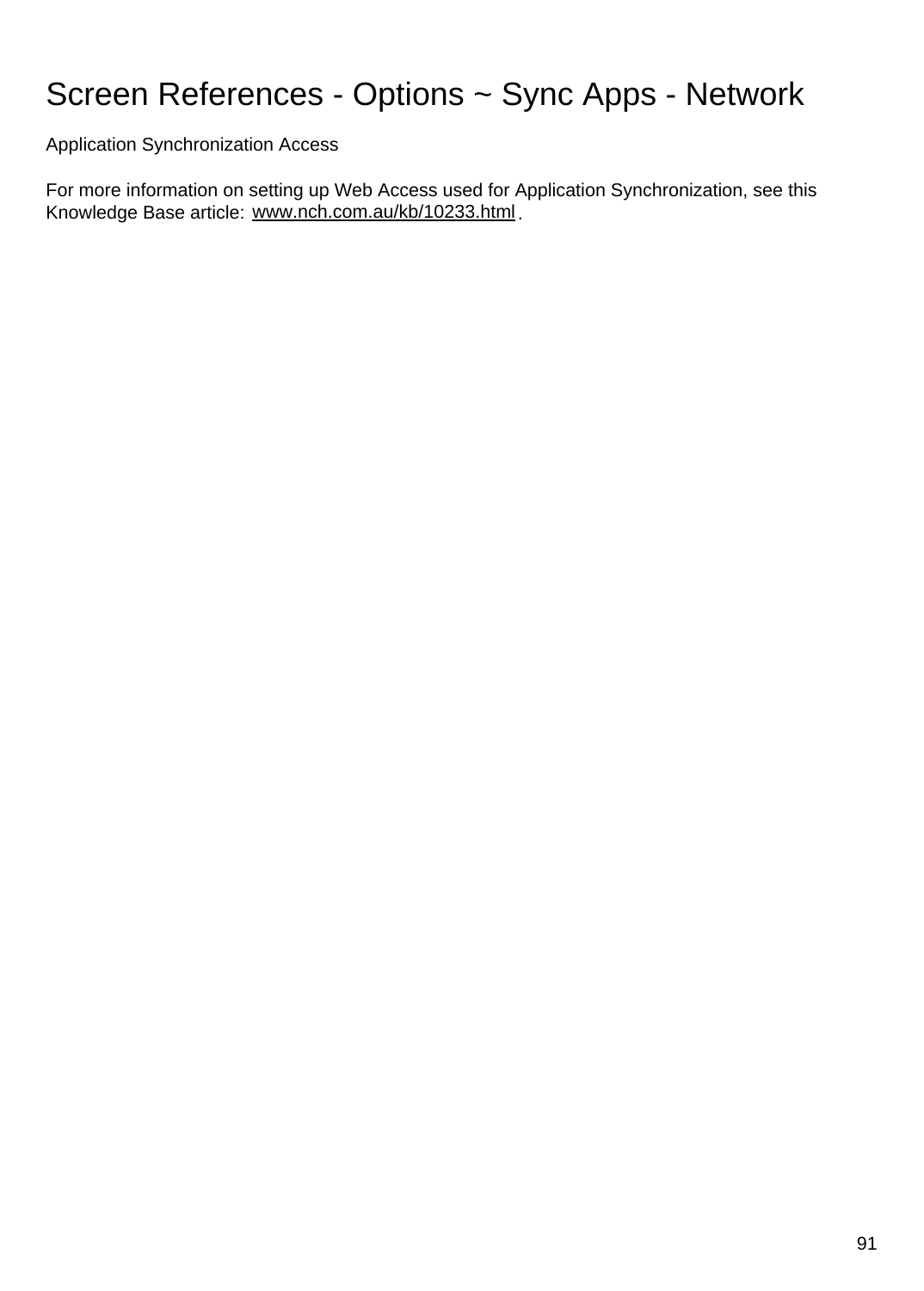### Screen References - Options ~ Sync Apps - Network

Application Synchronization Access

For more information on setting up Web Access used for Application Synchronization, see this Knowledge Base article: [www.nch.com.au/kb/10233.html](http://www.nch.com.au/kb/10233.html).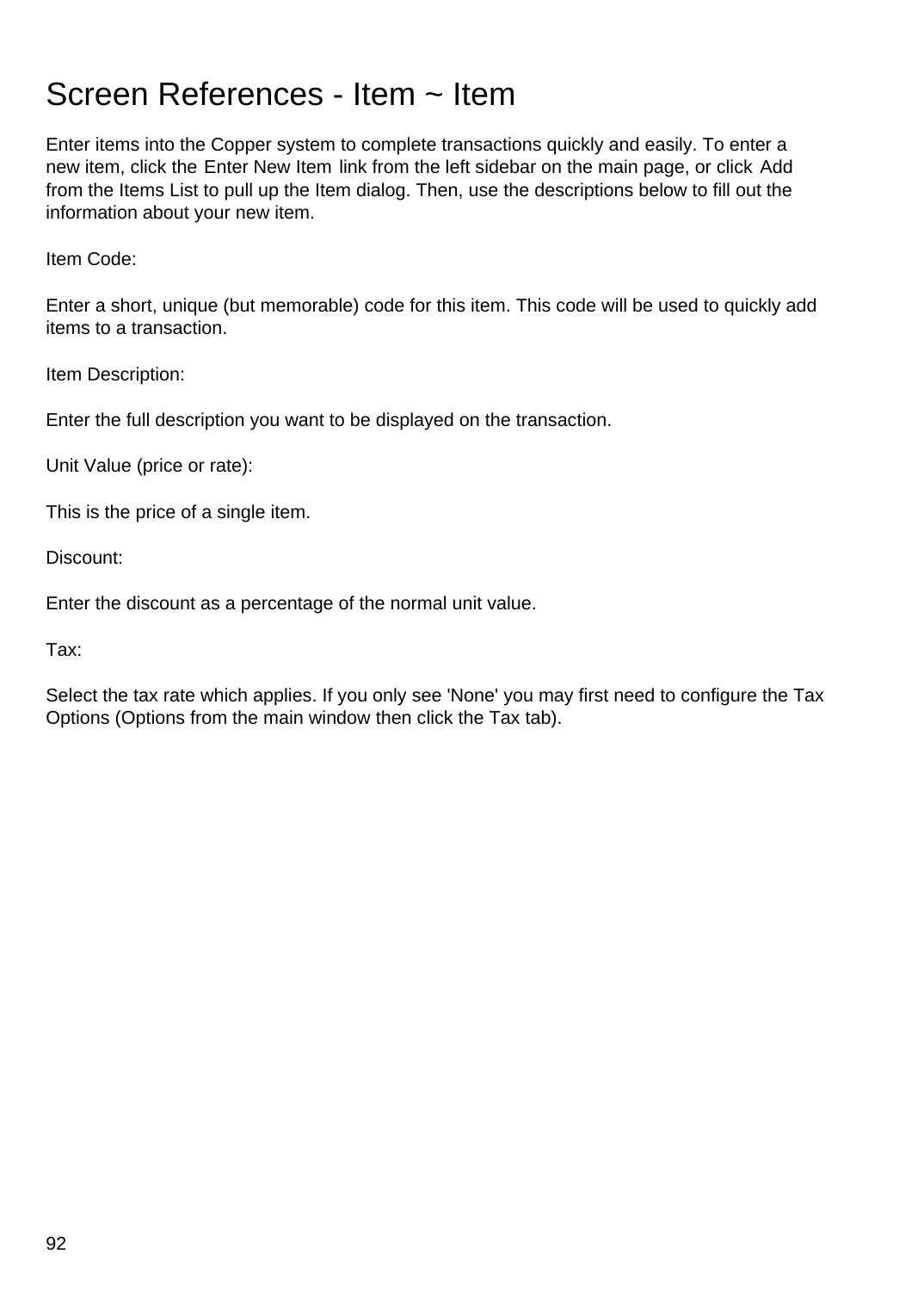### Screen References - Item ~ Item

Enter items into the Copper system to complete transactions quickly and easily. To enter a new item, click the Enter New Item link from the left sidebar on the main page, or click Add from the Items List to pull up the Item dialog. Then, use the descriptions below to fill out the information about your new item.

Item Code:

Enter a short, unique (but memorable) code for this item. This code will be used to quickly add items to a transaction.

Item Description:

Enter the full description you want to be displayed on the transaction.

Unit Value (price or rate):

This is the price of a single item.

Discount:

Enter the discount as a percentage of the normal unit value.

Tax:

Select the tax rate which applies. If you only see 'None' you may first need to configure the Tax Options (Options from the main window then click the Tax tab).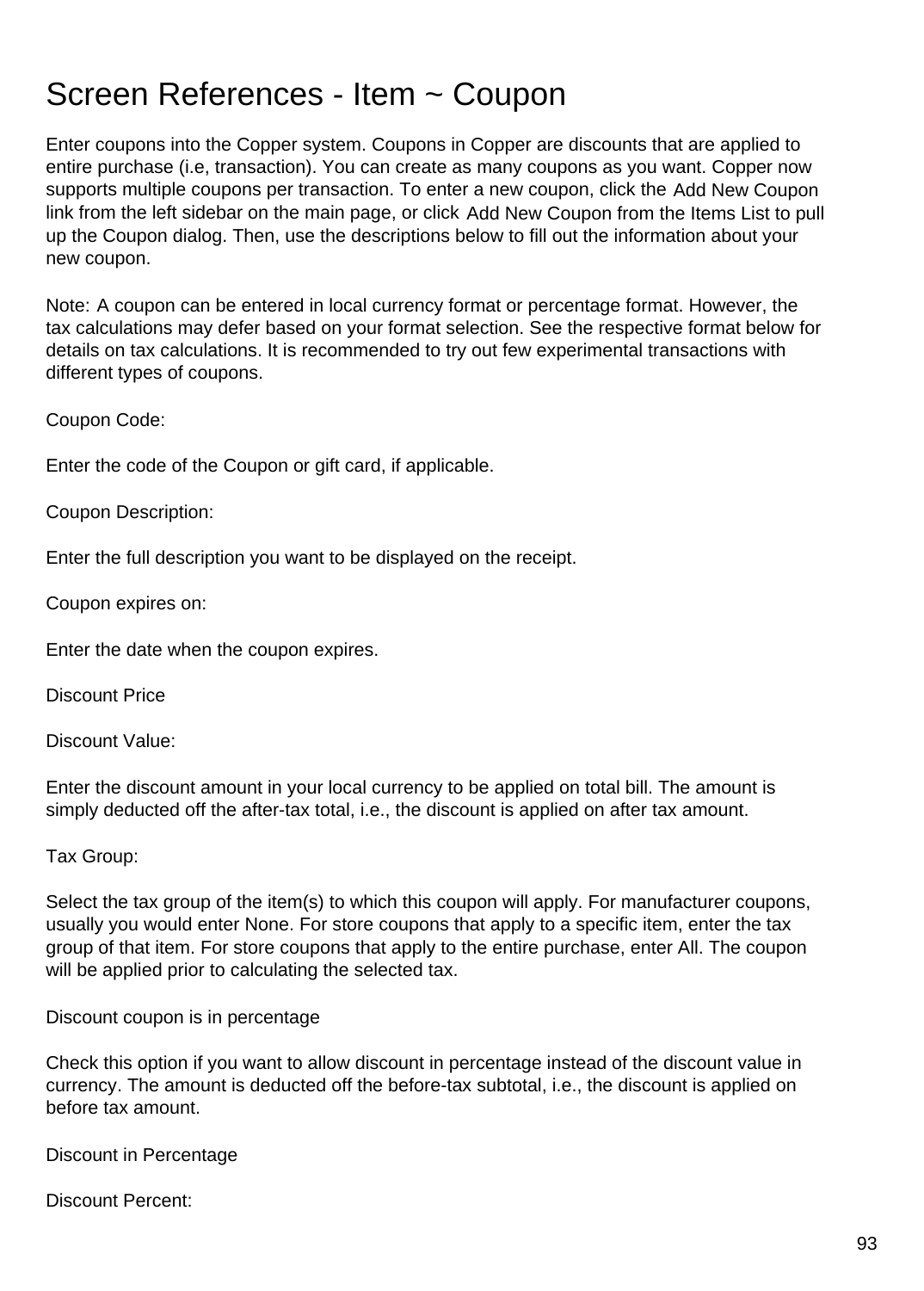### Screen References - Item ~ Coupon

Enter coupons into the Copper system. Coupons in Copper are discounts that are applied to entire purchase (i.e, transaction). You can create as many coupons as you want. Copper now supports multiple coupons per transaction. To enter a new coupon, click the Add New Coupon link from the left sidebar on the main page, or click Add New Coupon from the Items List to pull up the Coupon dialog. Then, use the descriptions below to fill out the information about your new coupon.

Note: A coupon can be entered in local currency format or percentage format. However, the tax calculations may defer based on your format selection. See the respective format below for details on tax calculations. It is recommended to try out few experimental transactions with different types of coupons.

Coupon Code:

Enter the code of the Coupon or gift card, if applicable.

Coupon Description:

Enter the full description you want to be displayed on the receipt.

Coupon expires on:

Enter the date when the coupon expires.

Discount Price

Discount Value:

Enter the discount amount in your local currency to be applied on total bill. The amount is simply deducted off the after-tax total, i.e., the discount is applied on after tax amount.

#### Tax Group:

Select the tax group of the item(s) to which this coupon will apply. For manufacturer coupons, usually you would enter None. For store coupons that apply to a specific item, enter the tax group of that item. For store coupons that apply to the entire purchase, enter All. The coupon will be applied prior to calculating the selected tax.

Discount coupon is in percentage

Check this option if you want to allow discount in percentage instead of the discount value in currency. The amount is deducted off the before-tax subtotal, i.e., the discount is applied on before tax amount.

Discount in Percentage

Discount Percent: